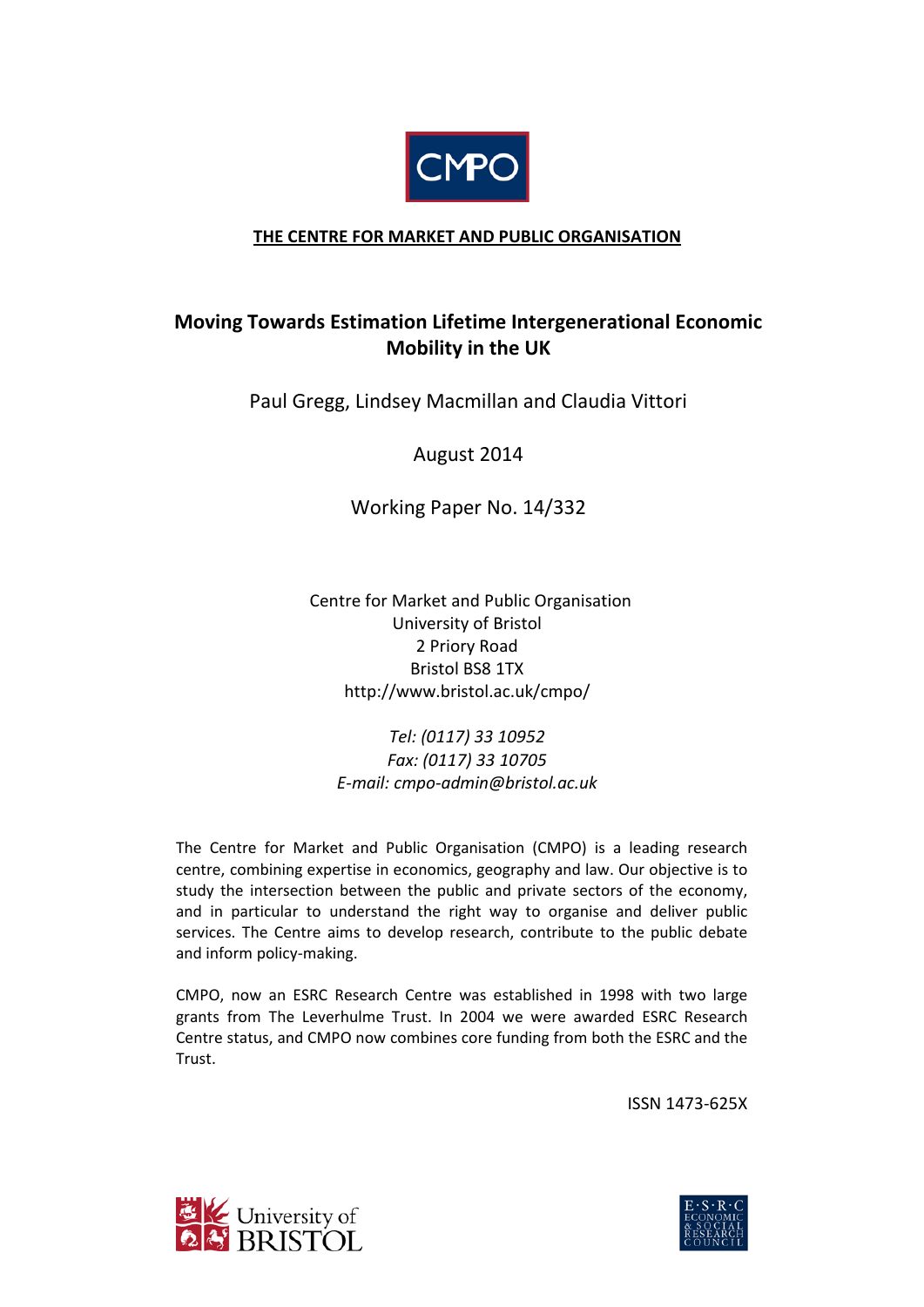

# **THE CENTRE FOR MARKET AND PUBLIC ORGANISATION**

# **Moving Towards Estimation Lifetime Intergenerational Economic Mobility in the UK**

Paul Gregg, Lindsey Macmillan and Claudia Vittori

August 2014

Working Paper No. 14/332

 Centre for Market and Public Organisation University of Bristol 2 Priory Road Bristol BS8 1TX http://www.bristol.ac.uk/cmpo/

*Tel: (0117) 33 10952 Fax: (0117) 33 10705 E-mail: cmpo-admin@bristol.ac.uk*

The Centre for Market and Public Organisation (CMPO) is a leading research centre, combining expertise in economics, geography and law. Our objective is to study the intersection between the public and private sectors of the economy, and in particular to understand the right way to organise and deliver public services. The Centre aims to develop research, contribute to the public debate and inform policy-making.

CMPO, now an ESRC Research Centre was established in 1998 with two large grants from The Leverhulme Trust. In 2004 we were awarded ESRC Research Centre status, and CMPO now combines core funding from both the ESRC and the Trust.

ISSN 1473-625X



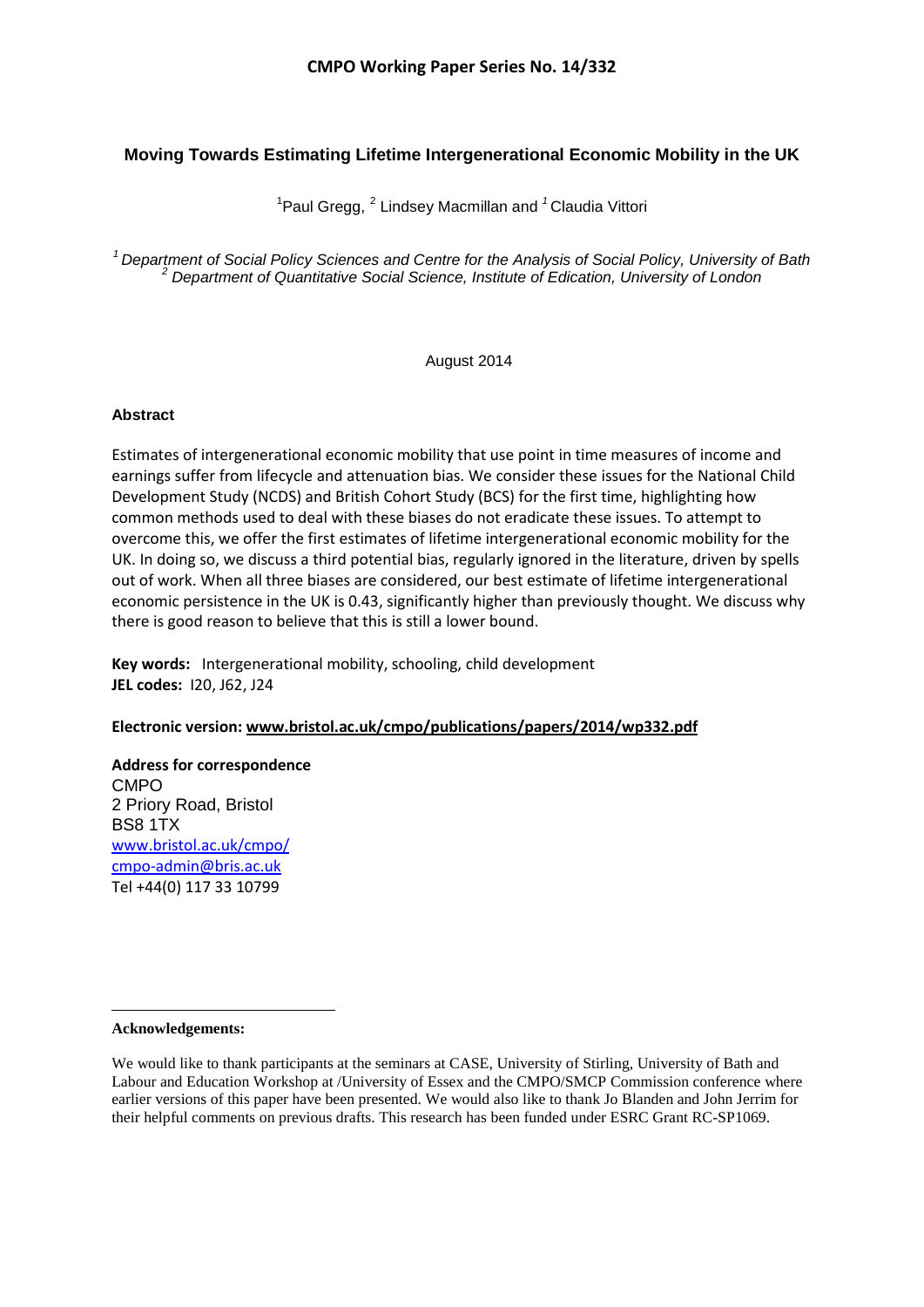# **Moving Towards Estimating Lifetime Intergenerational Economic Mobility in the UK**

<sup>[1](#page-1-0)</sup>Paul Gregg, <sup>[2](#page-1-1)</sup> Lindsey Macmillan and <sup>1</sup> Claudia Vittori

<sup>1</sup> Department of Social Policy Sciences and Centre for the Analysis of Social Policy, University of Bath <sup>2</sup><br><sup>2</sup> Department of Quantitative Social Science, Institute of Edication, University of London

### August 2014

### **Abstract**

Estimates of intergenerational economic mobility that use point in time measures of income and earnings suffer from lifecycle and attenuation bias. We consider these issues for the National Child Development Study (NCDS) and British Cohort Study (BCS) for the first time, highlighting how common methods used to deal with these biases do not eradicate these issues. To attempt to overcome this, we offer the first estimates of lifetime intergenerational economic mobility for the UK. In doing so, we discuss a third potential bias, regularly ignored in the literature, driven by spells out of work. When all three biases are considered, our best estimate of lifetime intergenerational economic persistence in the UK is 0.43, significantly higher than previously thought. We discuss why there is good reason to believe that this is still a lower bound.

**Key words:** Intergenerational mobility, schooling, child development **JEL codes:** I20, J62, J24

### **Electronic version: www.bristol.ac.uk/cmpo/publications/papers/2014/wp332.pdf**

### **Address for correspondence** CMPO 2 Priory Road, Bristol BS8 1TX [www.bristol.ac.uk/cmpo/](http://www.bristol.ac.uk/cmpo/) cmpo-admin@bris.ac.uk Tel +44(0) 117 33 10799

#### <span id="page-1-0"></span>**Acknowledgements:**

 $\overline{\phantom{a}}$ 

<span id="page-1-1"></span>We would like to thank participants at the seminars at CASE. University of Stirling, University of Bath and Labour and Education Workshop at /University of Essex and the CMPO/SMCP Commission conference where earlier versions of this paper have been presented. We would also like to thank Jo Blanden and John Jerrim for their helpful comments on previous drafts. This research has been funded under ESRC Grant RC-SP1069.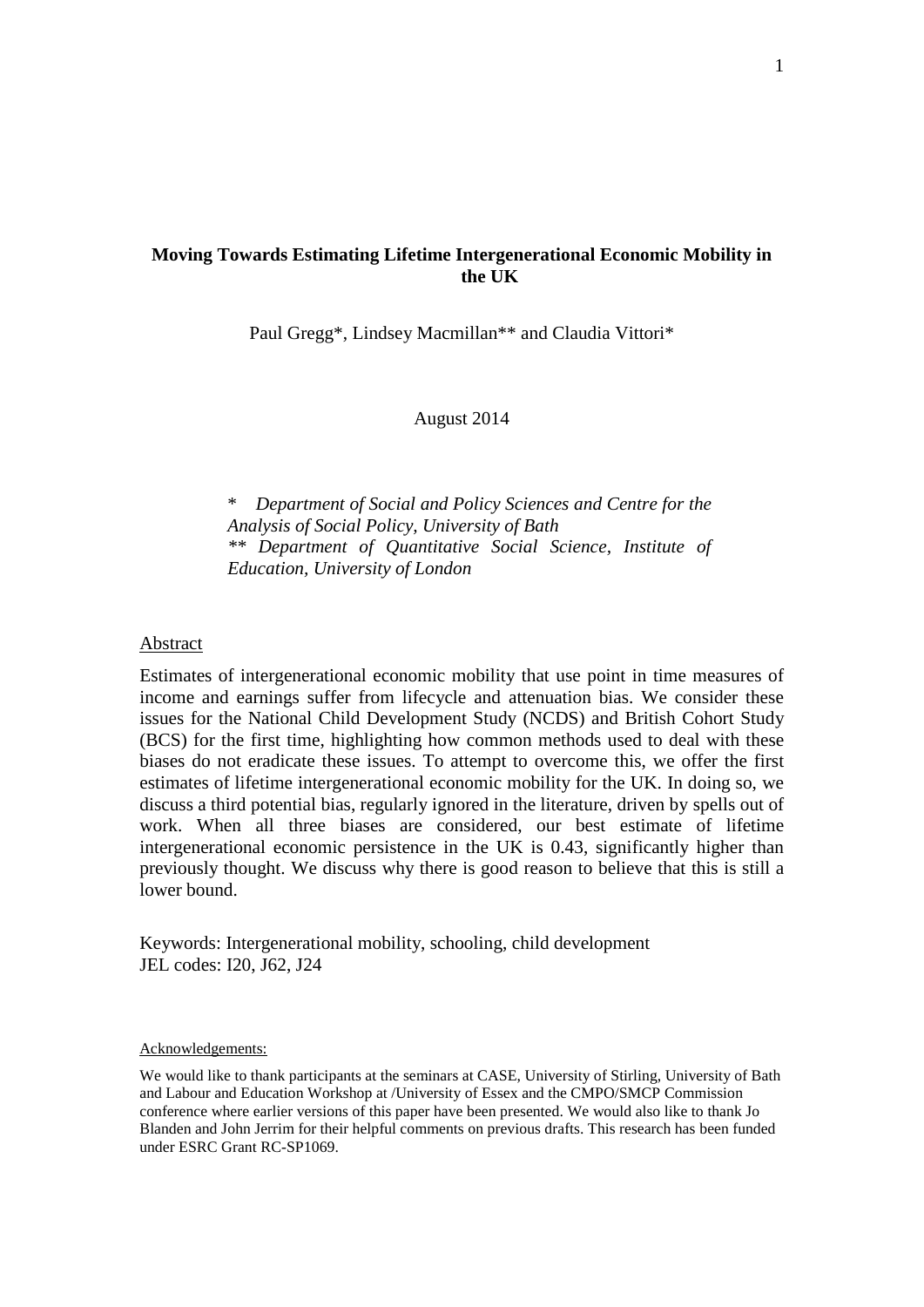## **Moving Towards Estimating Lifetime Intergenerational Economic Mobility in the UK**

Paul Gregg\*, Lindsey Macmillan\*\* and Claudia Vittori\*

August 2014

\* *Department of Social and Policy Sciences and Centre for the Analysis of Social Policy, University of Bath \*\* Department of Quantitative Social Science, Institute of Education, University of London*

### Abstract

Estimates of intergenerational economic mobility that use point in time measures of income and earnings suffer from lifecycle and attenuation bias. We consider these issues for the National Child Development Study (NCDS) and British Cohort Study (BCS) for the first time, highlighting how common methods used to deal with these biases do not eradicate these issues. To attempt to overcome this, we offer the first estimates of lifetime intergenerational economic mobility for the UK. In doing so, we discuss a third potential bias, regularly ignored in the literature, driven by spells out of work. When all three biases are considered, our best estimate of lifetime intergenerational economic persistence in the UK is 0.43, significantly higher than previously thought. We discuss why there is good reason to believe that this is still a lower bound.

Keywords: Intergenerational mobility, schooling, child development JEL codes: I20, J62, J24

#### Acknowledgements:

We would like to thank participants at the seminars at CASE, University of Stirling, University of Bath and Labour and Education Workshop at /University of Essex and the CMPO/SMCP Commission conference where earlier versions of this paper have been presented. We would also like to thank Jo Blanden and John Jerrim for their helpful comments on previous drafts. This research has been funded under ESRC Grant RC-SP1069.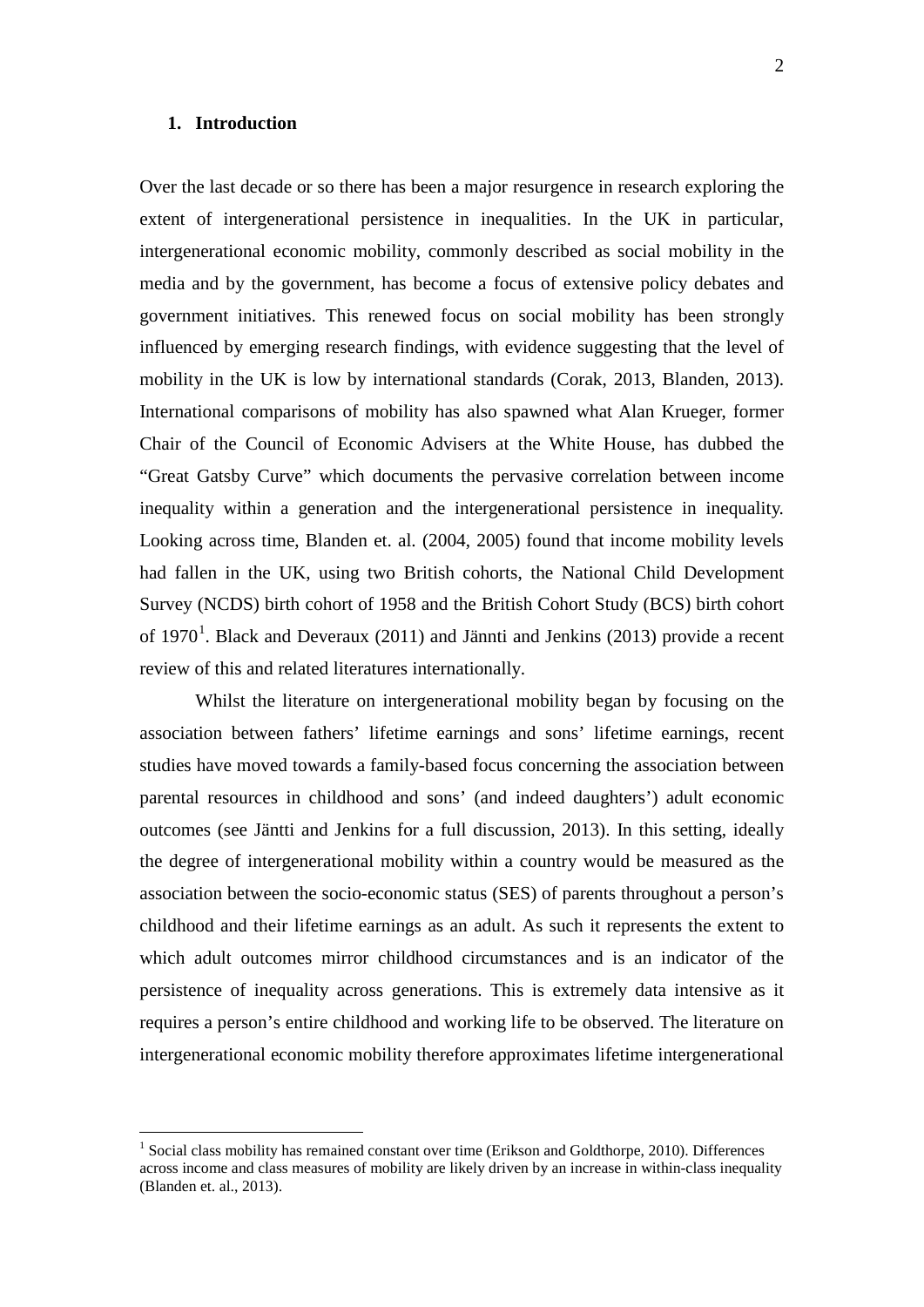### **1. Introduction**

-

Over the last decade or so there has been a major resurgence in research exploring the extent of intergenerational persistence in inequalities. In the UK in particular, intergenerational economic mobility, commonly described as social mobility in the media and by the government, has become a focus of extensive policy debates and government initiatives. This renewed focus on social mobility has been strongly influenced by emerging research findings, with evidence suggesting that the level of mobility in the UK is low by international standards (Corak, 2013, Blanden, 2013). International comparisons of mobility has also spawned what Alan Krueger, former Chair of the Council of Economic Advisers at the White House, has dubbed the "Great Gatsby Curve" which documents the pervasive correlation between income inequality within a generation and the intergenerational persistence in inequality. Looking across time, Blanden et. al. (2004, 2005) found that income mobility levels had fallen in the UK, using two British cohorts, the National Child Development Survey (NCDS) birth cohort of 1958 and the British Cohort Study (BCS) birth cohort of [1](#page-3-0)970<sup>1</sup>. Black and Deveraux (2011) and Jännti and Jenkins (2013) provide a recent review of this and related literatures internationally.

Whilst the literature on intergenerational mobility began by focusing on the association between fathers' lifetime earnings and sons' lifetime earnings, recent studies have moved towards a family-based focus concerning the association between parental resources in childhood and sons' (and indeed daughters') adult economic outcomes (see Jäntti and Jenkins for a full discussion, 2013). In this setting, ideally the degree of intergenerational mobility within a country would be measured as the association between the socio-economic status (SES) of parents throughout a person's childhood and their lifetime earnings as an adult. As such it represents the extent to which adult outcomes mirror childhood circumstances and is an indicator of the persistence of inequality across generations. This is extremely data intensive as it requires a person's entire childhood and working life to be observed. The literature on intergenerational economic mobility therefore approximates lifetime intergenerational

<span id="page-3-0"></span><sup>&</sup>lt;sup>1</sup> Social class mobility has remained constant over time (Erikson and Goldthorpe, 2010). Differences across income and class measures of mobility are likely driven by an increase in within-class inequality (Blanden et. al., 2013).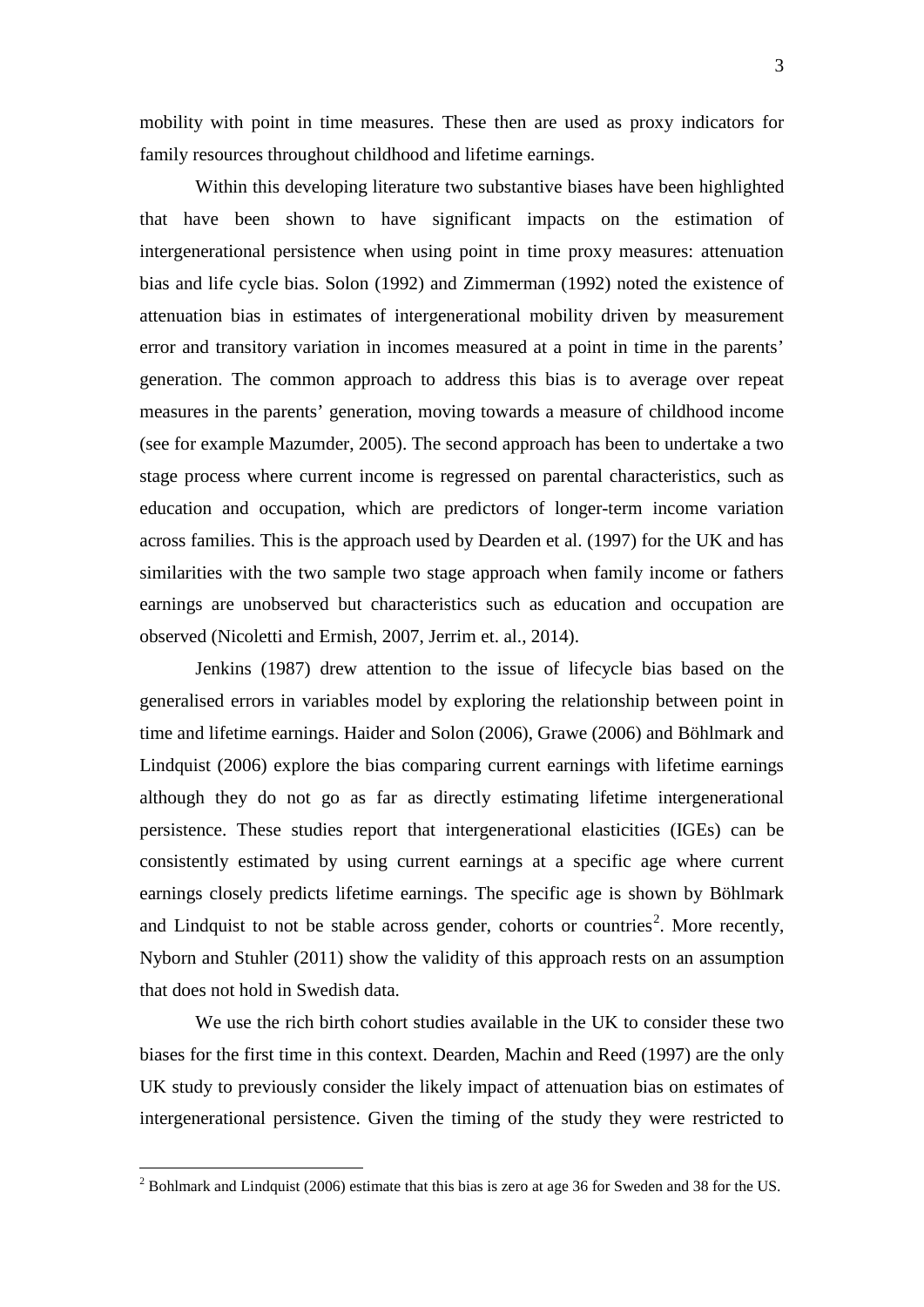mobility with point in time measures. These then are used as proxy indicators for family resources throughout childhood and lifetime earnings.

Within this developing literature two substantive biases have been highlighted that have been shown to have significant impacts on the estimation of intergenerational persistence when using point in time proxy measures: attenuation bias and life cycle bias. Solon (1992) and Zimmerman (1992) noted the existence of attenuation bias in estimates of intergenerational mobility driven by measurement error and transitory variation in incomes measured at a point in time in the parents' generation. The common approach to address this bias is to average over repeat measures in the parents' generation, moving towards a measure of childhood income (see for example Mazumder, 2005). The second approach has been to undertake a two stage process where current income is regressed on parental characteristics, such as education and occupation, which are predictors of longer-term income variation across families. This is the approach used by Dearden et al. (1997) for the UK and has similarities with the two sample two stage approach when family income or fathers earnings are unobserved but characteristics such as education and occupation are observed (Nicoletti and Ermish, 2007, Jerrim et. al., 2014).

Jenkins (1987) drew attention to the issue of lifecycle bias based on the generalised errors in variables model by exploring the relationship between point in time and lifetime earnings. Haider and Solon (2006), Grawe (2006) and Böhlmark and Lindquist (2006) explore the bias comparing current earnings with lifetime earnings although they do not go as far as directly estimating lifetime intergenerational persistence. These studies report that intergenerational elasticities (IGEs) can be consistently estimated by using current earnings at a specific age where current earnings closely predicts lifetime earnings. The specific age is shown by Böhlmark and Lindquist to not be stable across gender, cohorts or countries<sup>[2](#page-4-0)</sup>. More recently, Nyborn and Stuhler (2011) show the validity of this approach rests on an assumption that does not hold in Swedish data.

We use the rich birth cohort studies available in the UK to consider these two biases for the first time in this context. Dearden, Machin and Reed (1997) are the only UK study to previously consider the likely impact of attenuation bias on estimates of intergenerational persistence. Given the timing of the study they were restricted to

<u>.</u>

<span id="page-4-0"></span> $2^{2}$  Bohlmark and Lindquist (2006) estimate that this bias is zero at age 36 for Sweden and 38 for the US.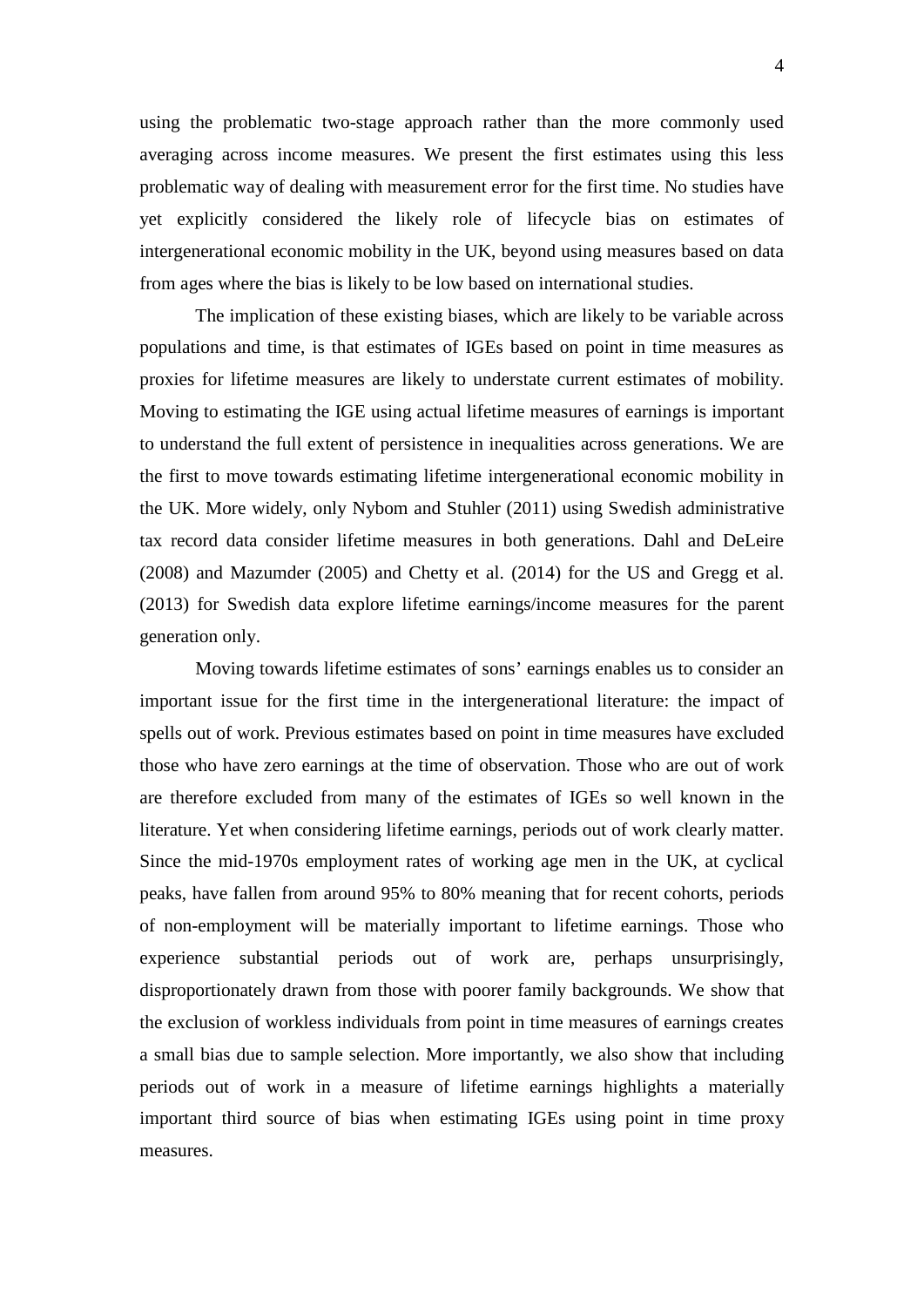using the problematic two-stage approach rather than the more commonly used averaging across income measures. We present the first estimates using this less problematic way of dealing with measurement error for the first time. No studies have yet explicitly considered the likely role of lifecycle bias on estimates of intergenerational economic mobility in the UK, beyond using measures based on data from ages where the bias is likely to be low based on international studies.

The implication of these existing biases, which are likely to be variable across populations and time, is that estimates of IGEs based on point in time measures as proxies for lifetime measures are likely to understate current estimates of mobility. Moving to estimating the IGE using actual lifetime measures of earnings is important to understand the full extent of persistence in inequalities across generations. We are the first to move towards estimating lifetime intergenerational economic mobility in the UK. More widely, only Nybom and Stuhler (2011) using Swedish administrative tax record data consider lifetime measures in both generations. Dahl and DeLeire (2008) and Mazumder (2005) and Chetty et al. (2014) for the US and Gregg et al. (2013) for Swedish data explore lifetime earnings/income measures for the parent generation only.

Moving towards lifetime estimates of sons' earnings enables us to consider an important issue for the first time in the intergenerational literature: the impact of spells out of work. Previous estimates based on point in time measures have excluded those who have zero earnings at the time of observation. Those who are out of work are therefore excluded from many of the estimates of IGEs so well known in the literature. Yet when considering lifetime earnings, periods out of work clearly matter. Since the mid-1970s employment rates of working age men in the UK, at cyclical peaks, have fallen from around 95% to 80% meaning that for recent cohorts, periods of non-employment will be materially important to lifetime earnings. Those who experience substantial periods out of work are, perhaps unsurprisingly, disproportionately drawn from those with poorer family backgrounds. We show that the exclusion of workless individuals from point in time measures of earnings creates a small bias due to sample selection. More importantly, we also show that including periods out of work in a measure of lifetime earnings highlights a materially important third source of bias when estimating IGEs using point in time proxy measures.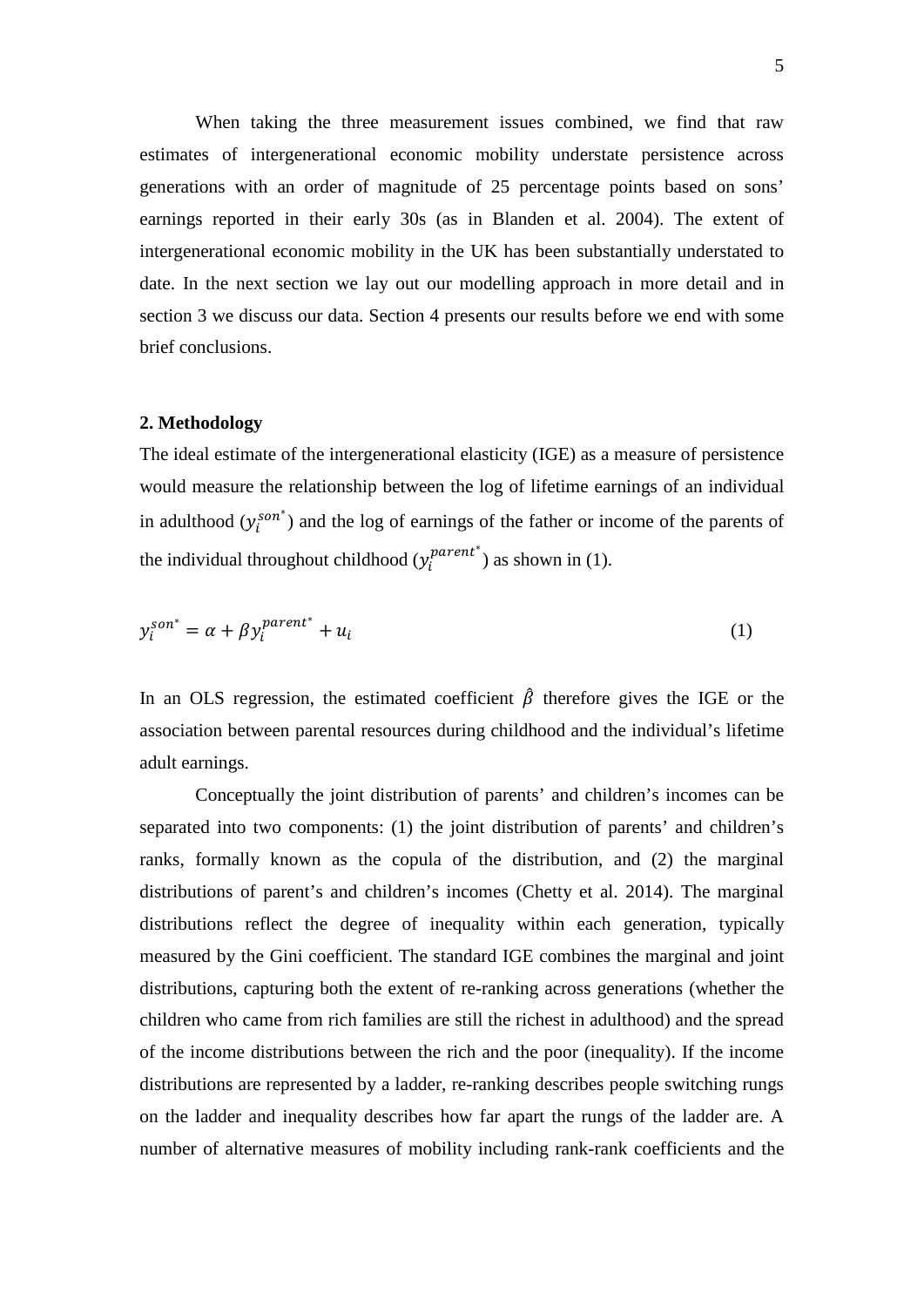When taking the three measurement issues combined, we find that raw estimates of intergenerational economic mobility understate persistence across generations with an order of magnitude of 25 percentage points based on sons' earnings reported in their early 30s (as in Blanden et al. 2004). The extent of intergenerational economic mobility in the UK has been substantially understated to date. In the next section we lay out our modelling approach in more detail and in section 3 we discuss our data. Section 4 presents our results before we end with some brief conclusions.

#### **2. Methodology**

The ideal estimate of the intergenerational elasticity (IGE) as a measure of persistence would measure the relationship between the log of lifetime earnings of an individual in adulthood  $(y_i^{son^*})$  and the log of earnings of the father or income of the parents of the individual throughout childhood  $(y_i^{parent^*})$  as shown in (1).

$$
y_i^{son^*} = \alpha + \beta y_i^{parent^*} + u_i
$$
 (1)

In an OLS regression, the estimated coefficient  $\hat{\beta}$  therefore gives the IGE or the association between parental resources during childhood and the individual's lifetime adult earnings.

Conceptually the joint distribution of parents' and children's incomes can be separated into two components: (1) the joint distribution of parents' and children's ranks, formally known as the copula of the distribution, and (2) the marginal distributions of parent's and children's incomes (Chetty et al. 2014). The marginal distributions reflect the degree of inequality within each generation, typically measured by the Gini coefficient. The standard IGE combines the marginal and joint distributions, capturing both the extent of re-ranking across generations (whether the children who came from rich families are still the richest in adulthood) and the spread of the income distributions between the rich and the poor (inequality). If the income distributions are represented by a ladder, re-ranking describes people switching rungs on the ladder and inequality describes how far apart the rungs of the ladder are. A number of alternative measures of mobility including rank-rank coefficients and the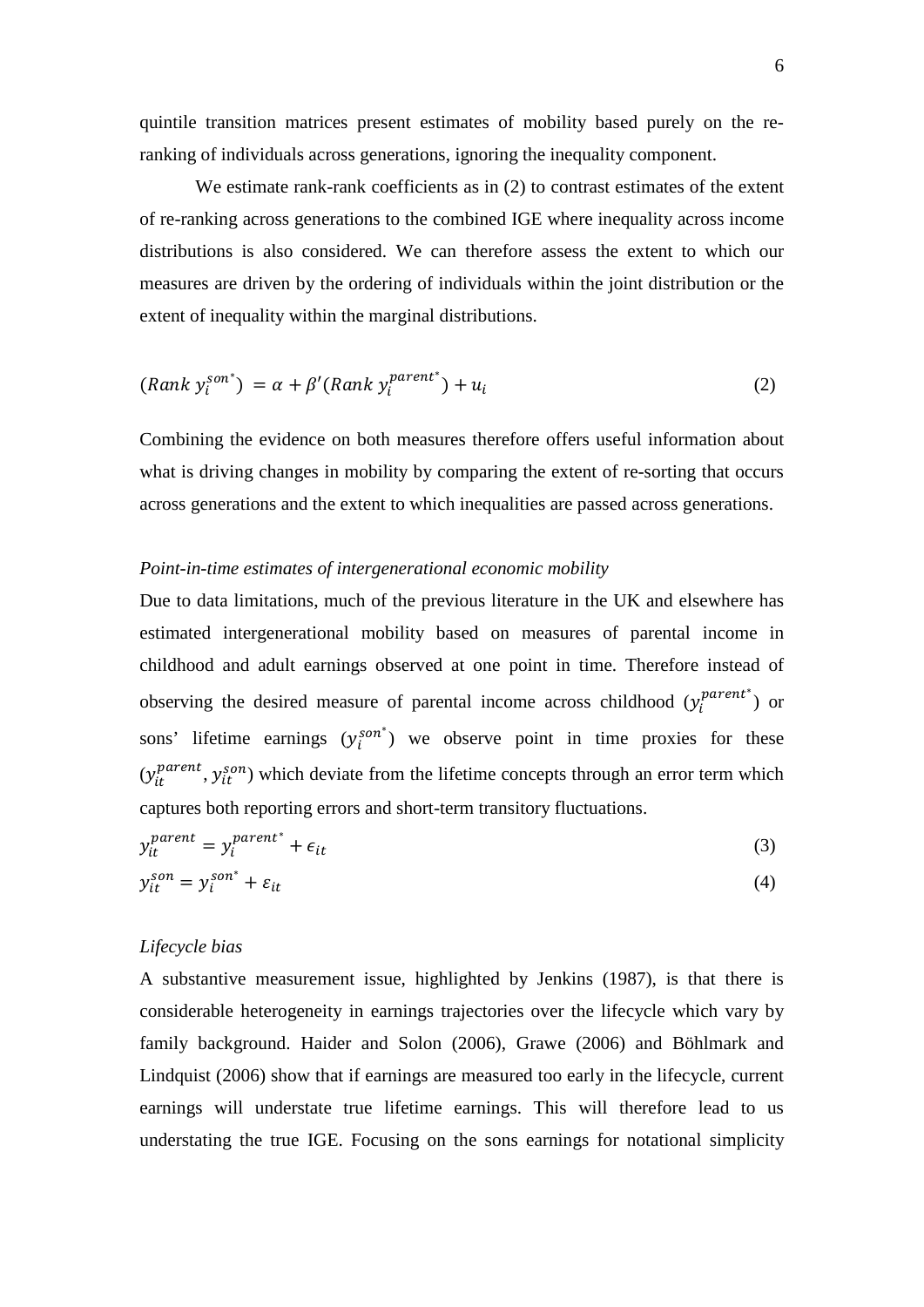quintile transition matrices present estimates of mobility based purely on the reranking of individuals across generations, ignoring the inequality component.

We estimate rank-rank coefficients as in (2) to contrast estimates of the extent of re-ranking across generations to the combined IGE where inequality across income distributions is also considered. We can therefore assess the extent to which our measures are driven by the ordering of individuals within the joint distribution or the extent of inequality within the marginal distributions.

$$
(Rank y_i^{son^*}) = \alpha + \beta'(Rank y_i^{parent^*}) + u_i
$$
\n(2)

Combining the evidence on both measures therefore offers useful information about what is driving changes in mobility by comparing the extent of re-sorting that occurs across generations and the extent to which inequalities are passed across generations.

### *Point-in-time estimates of intergenerational economic mobility*

Due to data limitations, much of the previous literature in the UK and elsewhere has estimated intergenerational mobility based on measures of parental income in childhood and adult earnings observed at one point in time. Therefore instead of observing the desired measure of parental income across childhood  $(y_i^{parent^*})$  or sons' lifetime earnings  $(y_i^{son^*})$  we observe point in time proxies for these  $(y_{it}^{parent}, y_{it}^{son})$  which deviate from the lifetime concepts through an error term which captures both reporting errors and short-term transitory fluctuations.

$$
y_{it}^{parent} = y_i^{parent^*} + \epsilon_{it}
$$
 (3)

$$
y_{it}^{son} = y_i^{son^*} + \varepsilon_{it}
$$
 (4)

### *Lifecycle bias*

A substantive measurement issue, highlighted by Jenkins (1987), is that there is considerable heterogeneity in earnings trajectories over the lifecycle which vary by family background. Haider and Solon (2006), Grawe (2006) and Böhlmark and Lindquist (2006) show that if earnings are measured too early in the lifecycle, current earnings will understate true lifetime earnings. This will therefore lead to us understating the true IGE. Focusing on the sons earnings for notational simplicity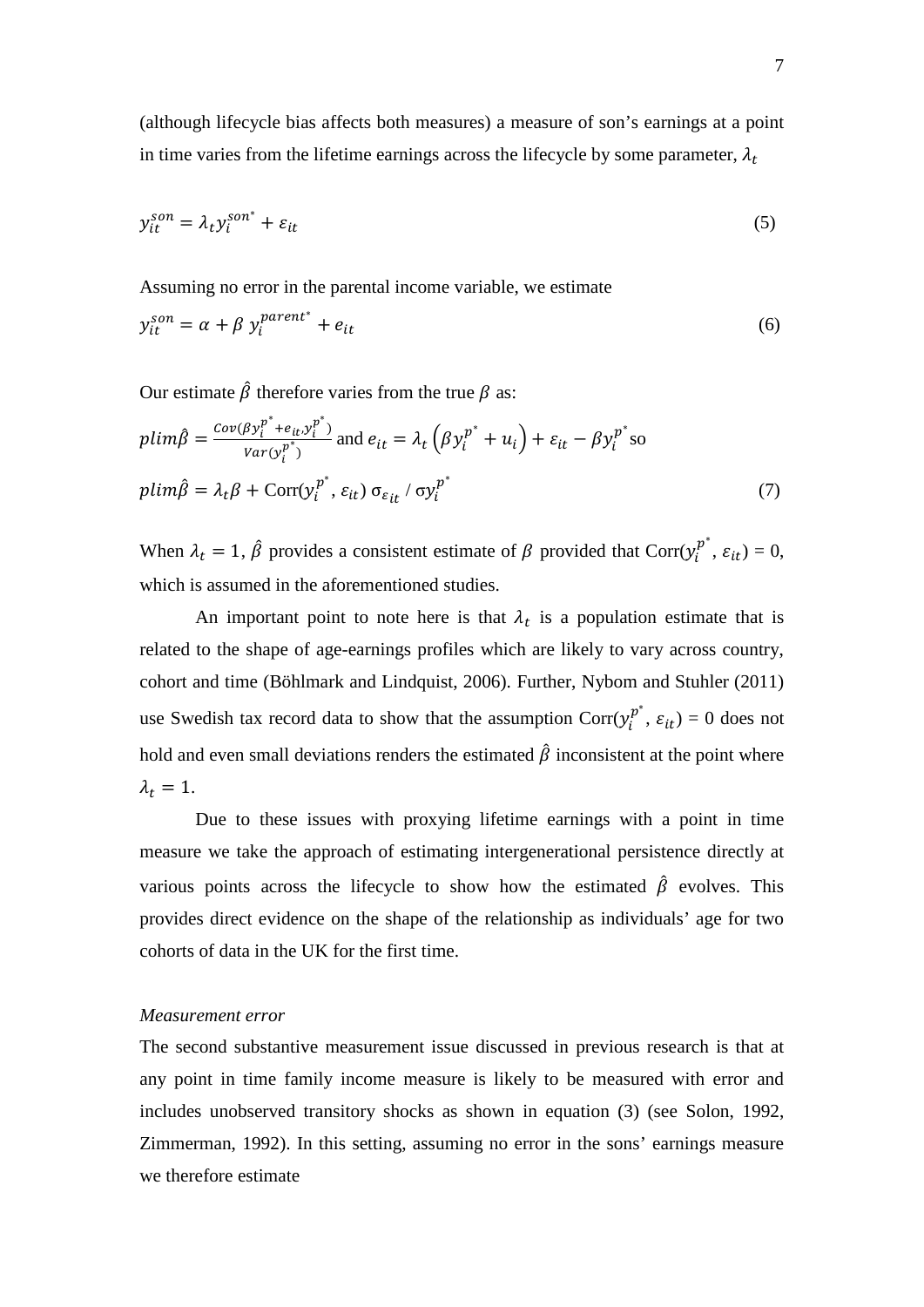(although lifecycle bias affects both measures) a measure of son's earnings at a point in time varies from the lifetime earnings across the lifecycle by some parameter,  $\lambda_t$ 

$$
y_{it}^{son} = \lambda_t y_i^{son^*} + \varepsilon_{it}
$$
 (5)

Assuming no error in the parental income variable, we estimate

$$
y_{it}^{son} = \alpha + \beta y_i^{parent^*} + e_{it}
$$
 (6)

Our estimate  $\hat{\beta}$  therefore varies from the true  $\beta$  as:

$$
plim\hat{\beta} = \frac{Cov(\beta y_i^{p^*} + e_{it} y_i^{p^*})}{Var(y_i^{p^*})}
$$
 and  $e_{it} = \lambda_t (\beta y_i^{p^*} + u_i) + \varepsilon_{it} - \beta y_i^{p^*}$  so  
\n
$$
plim\hat{\beta} = \lambda_t \beta + \text{Corr}(y_i^{p^*}, \varepsilon_{it}) \sigma_{\varepsilon_{it}} / \sigma y_i^{p^*}
$$
\n
$$
(7)
$$

When  $\lambda_t = 1$ ,  $\hat{\beta}$  provides a consistent estimate of  $\beta$  provided that Corr $(y_i^{p^*}, \varepsilon_{it}) = 0$ , which is assumed in the aforementioned studies.

An important point to note here is that  $\lambda_t$  is a population estimate that is related to the shape of age-earnings profiles which are likely to vary across country, cohort and time (Böhlmark and Lindquist, 2006). Further, Nybom and Stuhler (2011) use Swedish tax record data to show that the assumption  $Corr(y_i^{p^*}, \varepsilon_{it}) = 0$  does not hold and even small deviations renders the estimated  $\hat{\beta}$  inconsistent at the point where  $\lambda_t = 1$ .

Due to these issues with proxying lifetime earnings with a point in time measure we take the approach of estimating intergenerational persistence directly at various points across the lifecycle to show how the estimated  $\hat{\beta}$  evolves. This provides direct evidence on the shape of the relationship as individuals' age for two cohorts of data in the UK for the first time.

### *Measurement error*

The second substantive measurement issue discussed in previous research is that at any point in time family income measure is likely to be measured with error and includes unobserved transitory shocks as shown in equation (3) (see Solon, 1992, Zimmerman, 1992). In this setting, assuming no error in the sons' earnings measure we therefore estimate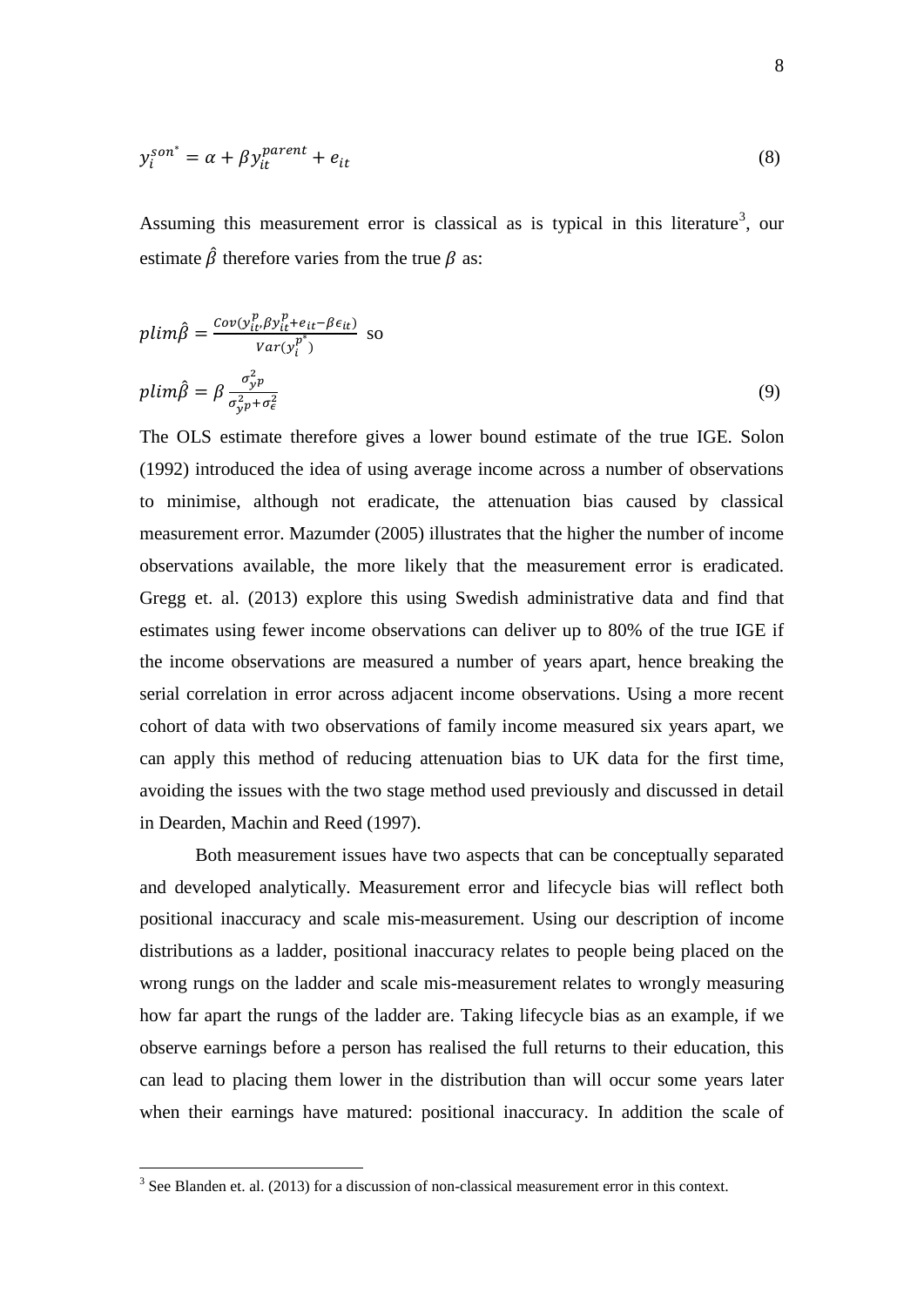$$
y_i^{son^*} = \alpha + \beta y_{it}^{parent} + e_{it}
$$
 (8)

Assuming this measurement error is classical as is typical in this literature<sup>[3](#page-9-0)</sup>, our estimate  $\hat{\beta}$  therefore varies from the true  $\beta$  as:

$$
plim\hat{\beta} = \frac{Cov(y_{it}^p, \beta y_{it}^p + e_{it} - \beta \epsilon_{it})}{Var(y_i^{p^*})}
$$
 so  

$$
plim\hat{\beta} = \beta \frac{\sigma_y^2 p}{\sigma_y^2 p + \sigma_\epsilon^2}
$$
 (9)

The OLS estimate therefore gives a lower bound estimate of the true IGE. Solon (1992) introduced the idea of using average income across a number of observations to minimise, although not eradicate, the attenuation bias caused by classical measurement error. Mazumder (2005) illustrates that the higher the number of income observations available, the more likely that the measurement error is eradicated. Gregg et. al. (2013) explore this using Swedish administrative data and find that estimates using fewer income observations can deliver up to 80% of the true IGE if the income observations are measured a number of years apart, hence breaking the serial correlation in error across adjacent income observations. Using a more recent cohort of data with two observations of family income measured six years apart, we can apply this method of reducing attenuation bias to UK data for the first time, avoiding the issues with the two stage method used previously and discussed in detail in Dearden, Machin and Reed (1997).

Both measurement issues have two aspects that can be conceptually separated and developed analytically. Measurement error and lifecycle bias will reflect both positional inaccuracy and scale mis-measurement. Using our description of income distributions as a ladder, positional inaccuracy relates to people being placed on the wrong rungs on the ladder and scale mis-measurement relates to wrongly measuring how far apart the rungs of the ladder are. Taking lifecycle bias as an example, if we observe earnings before a person has realised the full returns to their education, this can lead to placing them lower in the distribution than will occur some years later when their earnings have matured: positional inaccuracy. In addition the scale of

<u>.</u>

<span id="page-9-0"></span><sup>&</sup>lt;sup>3</sup> See Blanden et. al. (2013) for a discussion of non-classical measurement error in this context.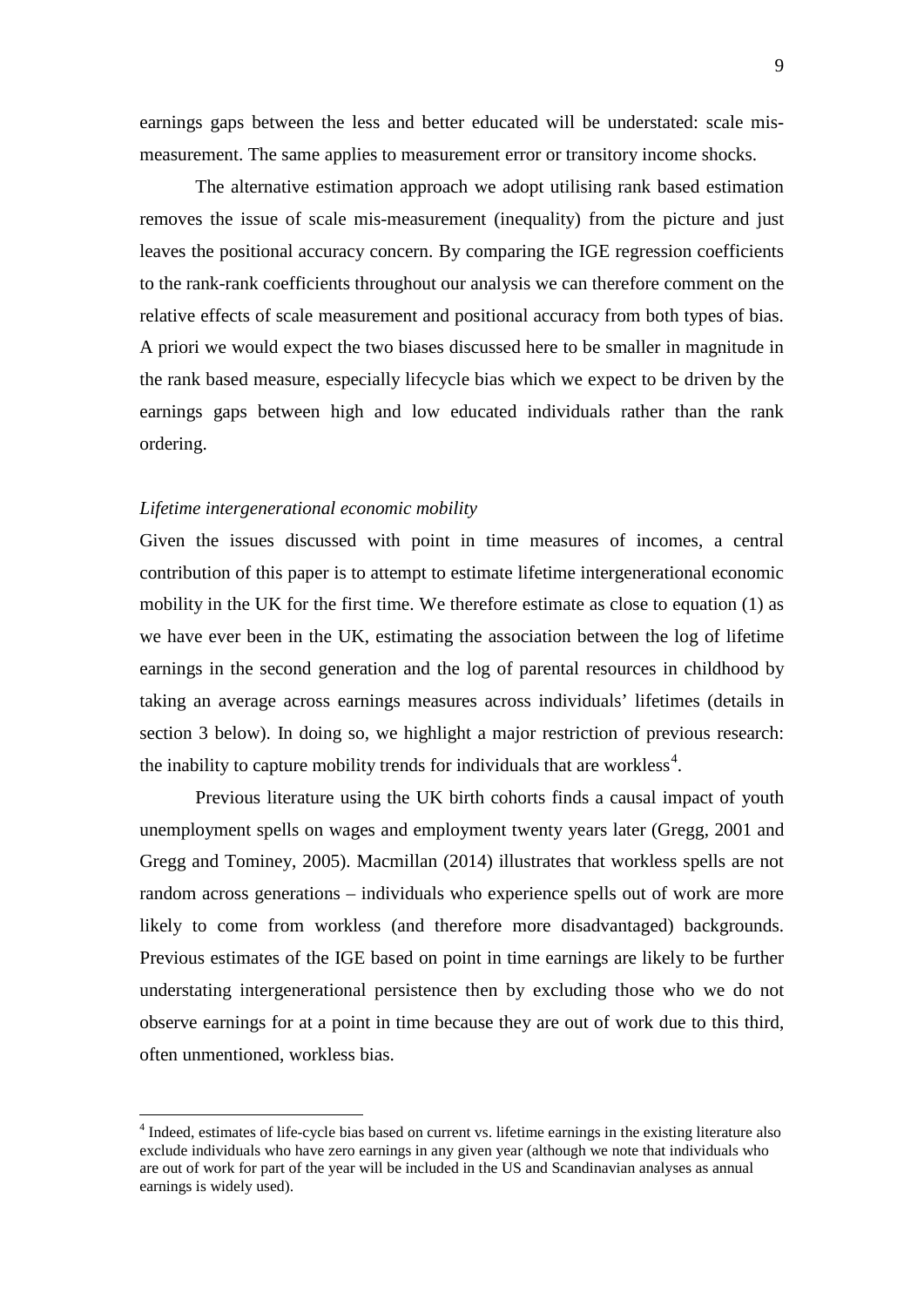earnings gaps between the less and better educated will be understated: scale mismeasurement. The same applies to measurement error or transitory income shocks.

The alternative estimation approach we adopt utilising rank based estimation removes the issue of scale mis-measurement (inequality) from the picture and just leaves the positional accuracy concern. By comparing the IGE regression coefficients to the rank-rank coefficients throughout our analysis we can therefore comment on the relative effects of scale measurement and positional accuracy from both types of bias. A priori we would expect the two biases discussed here to be smaller in magnitude in the rank based measure, especially lifecycle bias which we expect to be driven by the earnings gaps between high and low educated individuals rather than the rank ordering.

### *Lifetime intergenerational economic mobility*

<u>.</u>

Given the issues discussed with point in time measures of incomes, a central contribution of this paper is to attempt to estimate lifetime intergenerational economic mobility in the UK for the first time. We therefore estimate as close to equation (1) as we have ever been in the UK, estimating the association between the log of lifetime earnings in the second generation and the log of parental resources in childhood by taking an average across earnings measures across individuals' lifetimes (details in section 3 below). In doing so, we highlight a major restriction of previous research: the inability to capture mobility trends for individuals that are workless<sup>[4](#page-10-0)</sup>.

Previous literature using the UK birth cohorts finds a causal impact of youth unemployment spells on wages and employment twenty years later (Gregg, 2001 and Gregg and Tominey, 2005). Macmillan (2014) illustrates that workless spells are not random across generations – individuals who experience spells out of work are more likely to come from workless (and therefore more disadvantaged) backgrounds. Previous estimates of the IGE based on point in time earnings are likely to be further understating intergenerational persistence then by excluding those who we do not observe earnings for at a point in time because they are out of work due to this third, often unmentioned, workless bias.

<span id="page-10-0"></span><sup>4</sup> Indeed, estimates of life-cycle bias based on current vs. lifetime earnings in the existing literature also exclude individuals who have zero earnings in any given year (although we note that individuals who are out of work for part of the year will be included in the US and Scandinavian analyses as annual earnings is widely used).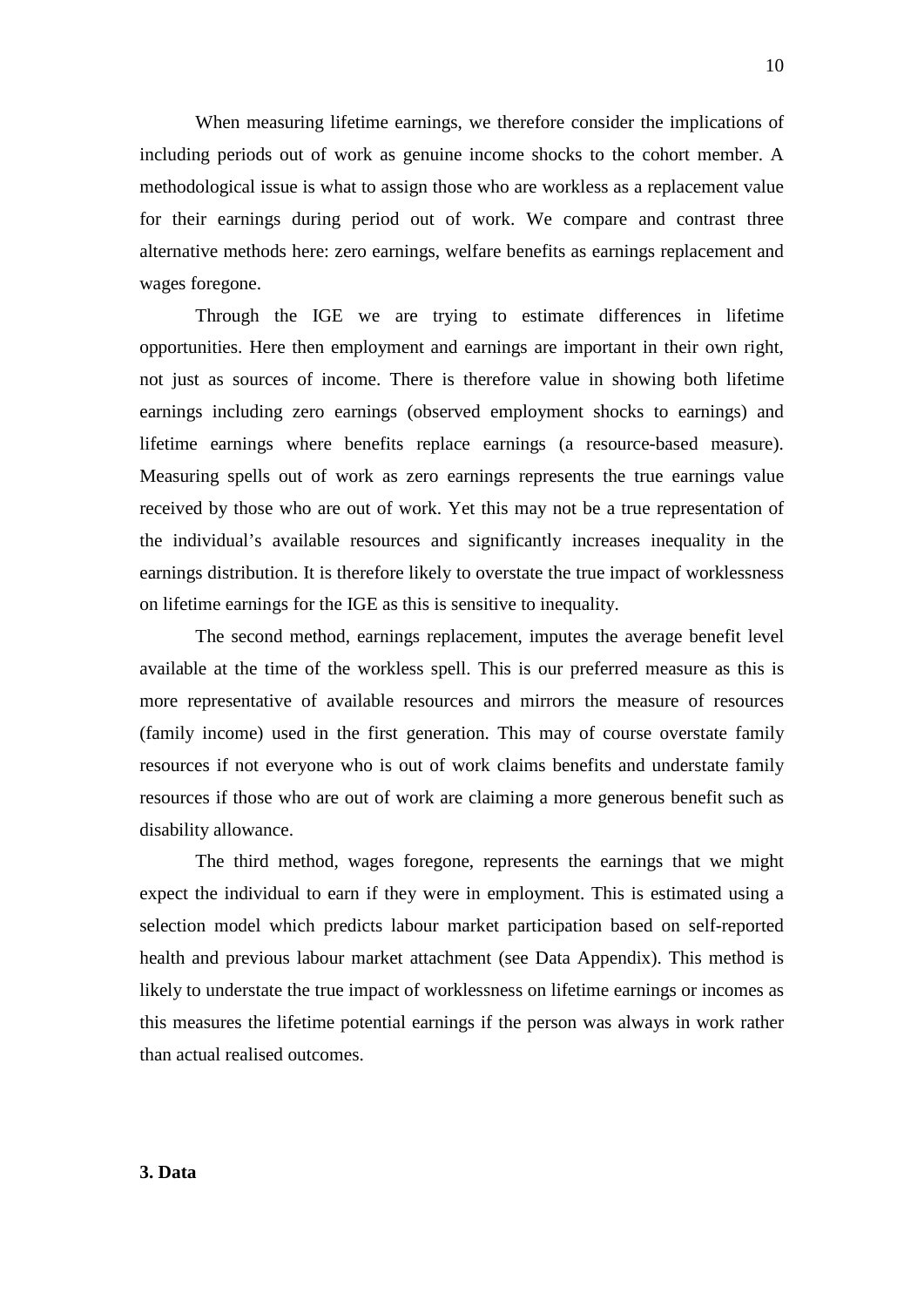When measuring lifetime earnings, we therefore consider the implications of including periods out of work as genuine income shocks to the cohort member. A methodological issue is what to assign those who are workless as a replacement value for their earnings during period out of work. We compare and contrast three alternative methods here: zero earnings, welfare benefits as earnings replacement and wages foregone.

Through the IGE we are trying to estimate differences in lifetime opportunities. Here then employment and earnings are important in their own right, not just as sources of income. There is therefore value in showing both lifetime earnings including zero earnings (observed employment shocks to earnings) and lifetime earnings where benefits replace earnings (a resource-based measure). Measuring spells out of work as zero earnings represents the true earnings value received by those who are out of work. Yet this may not be a true representation of the individual's available resources and significantly increases inequality in the earnings distribution. It is therefore likely to overstate the true impact of worklessness on lifetime earnings for the IGE as this is sensitive to inequality.

The second method, earnings replacement, imputes the average benefit level available at the time of the workless spell. This is our preferred measure as this is more representative of available resources and mirrors the measure of resources (family income) used in the first generation. This may of course overstate family resources if not everyone who is out of work claims benefits and understate family resources if those who are out of work are claiming a more generous benefit such as disability allowance.

The third method, wages foregone, represents the earnings that we might expect the individual to earn if they were in employment. This is estimated using a selection model which predicts labour market participation based on self-reported health and previous labour market attachment (see Data Appendix). This method is likely to understate the true impact of worklessness on lifetime earnings or incomes as this measures the lifetime potential earnings if the person was always in work rather than actual realised outcomes.

**3. Data**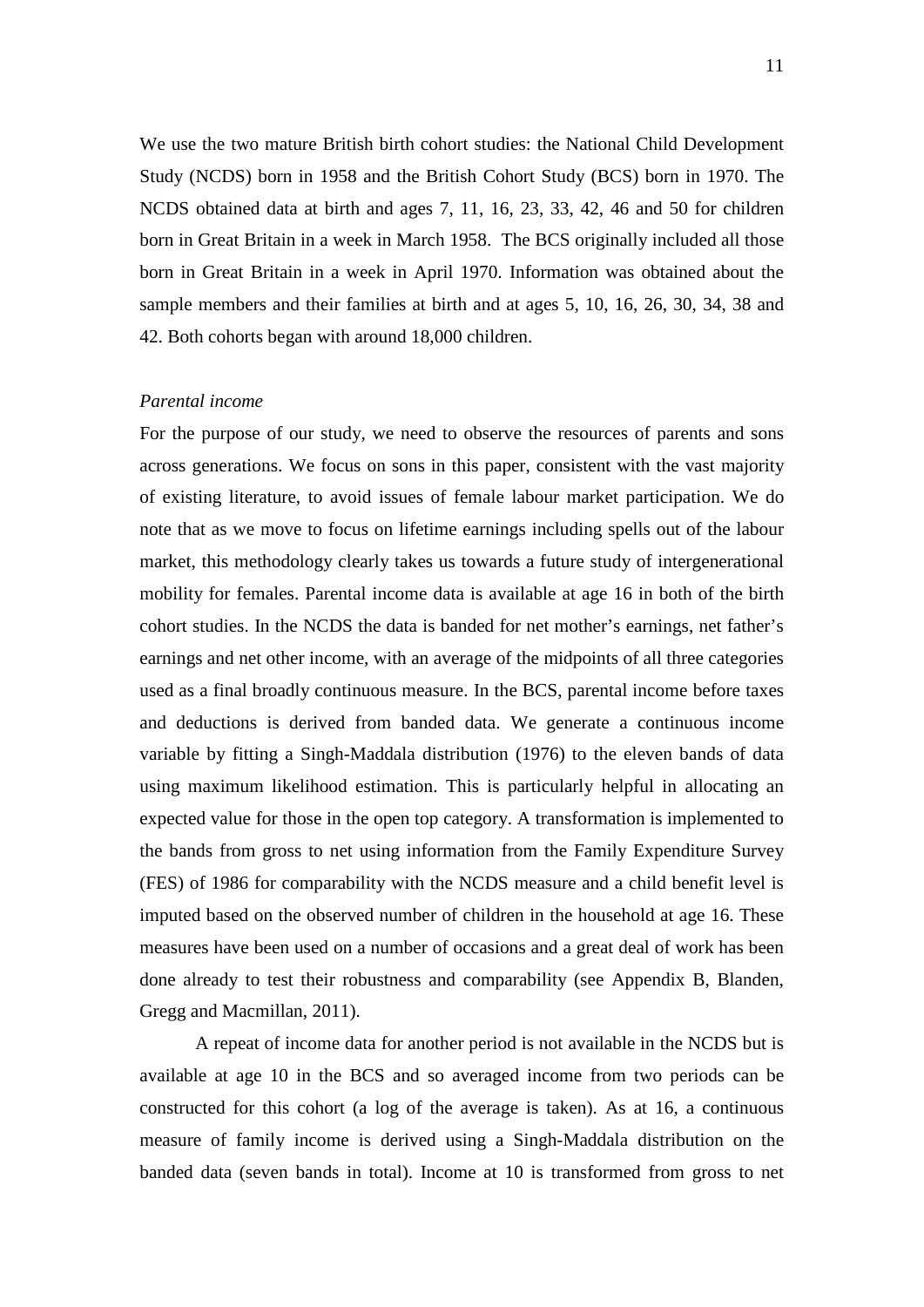We use the two mature British birth cohort studies: the National Child Development Study (NCDS) born in 1958 and the British Cohort Study (BCS) born in 1970. The NCDS obtained data at birth and ages 7, 11, 16, 23, 33, 42, 46 and 50 for children born in Great Britain in a week in March 1958. The BCS originally included all those born in Great Britain in a week in April 1970. Information was obtained about the sample members and their families at birth and at ages 5, 10, 16, 26, 30, 34, 38 and 42. Both cohorts began with around 18,000 children.

### *Parental income*

For the purpose of our study, we need to observe the resources of parents and sons across generations. We focus on sons in this paper, consistent with the vast majority of existing literature, to avoid issues of female labour market participation. We do note that as we move to focus on lifetime earnings including spells out of the labour market, this methodology clearly takes us towards a future study of intergenerational mobility for females. Parental income data is available at age 16 in both of the birth cohort studies. In the NCDS the data is banded for net mother's earnings, net father's earnings and net other income, with an average of the midpoints of all three categories used as a final broadly continuous measure. In the BCS, parental income before taxes and deductions is derived from banded data. We generate a continuous income variable by fitting a Singh-Maddala distribution (1976) to the eleven bands of data using maximum likelihood estimation. This is particularly helpful in allocating an expected value for those in the open top category. A transformation is implemented to the bands from gross to net using information from the Family Expenditure Survey (FES) of 1986 for comparability with the NCDS measure and a child benefit level is imputed based on the observed number of children in the household at age 16. These measures have been used on a number of occasions and a great deal of work has been done already to test their robustness and comparability (see Appendix B, Blanden, Gregg and Macmillan, 2011).

A repeat of income data for another period is not available in the NCDS but is available at age 10 in the BCS and so averaged income from two periods can be constructed for this cohort (a log of the average is taken). As at 16, a continuous measure of family income is derived using a Singh-Maddala distribution on the banded data (seven bands in total). Income at 10 is transformed from gross to net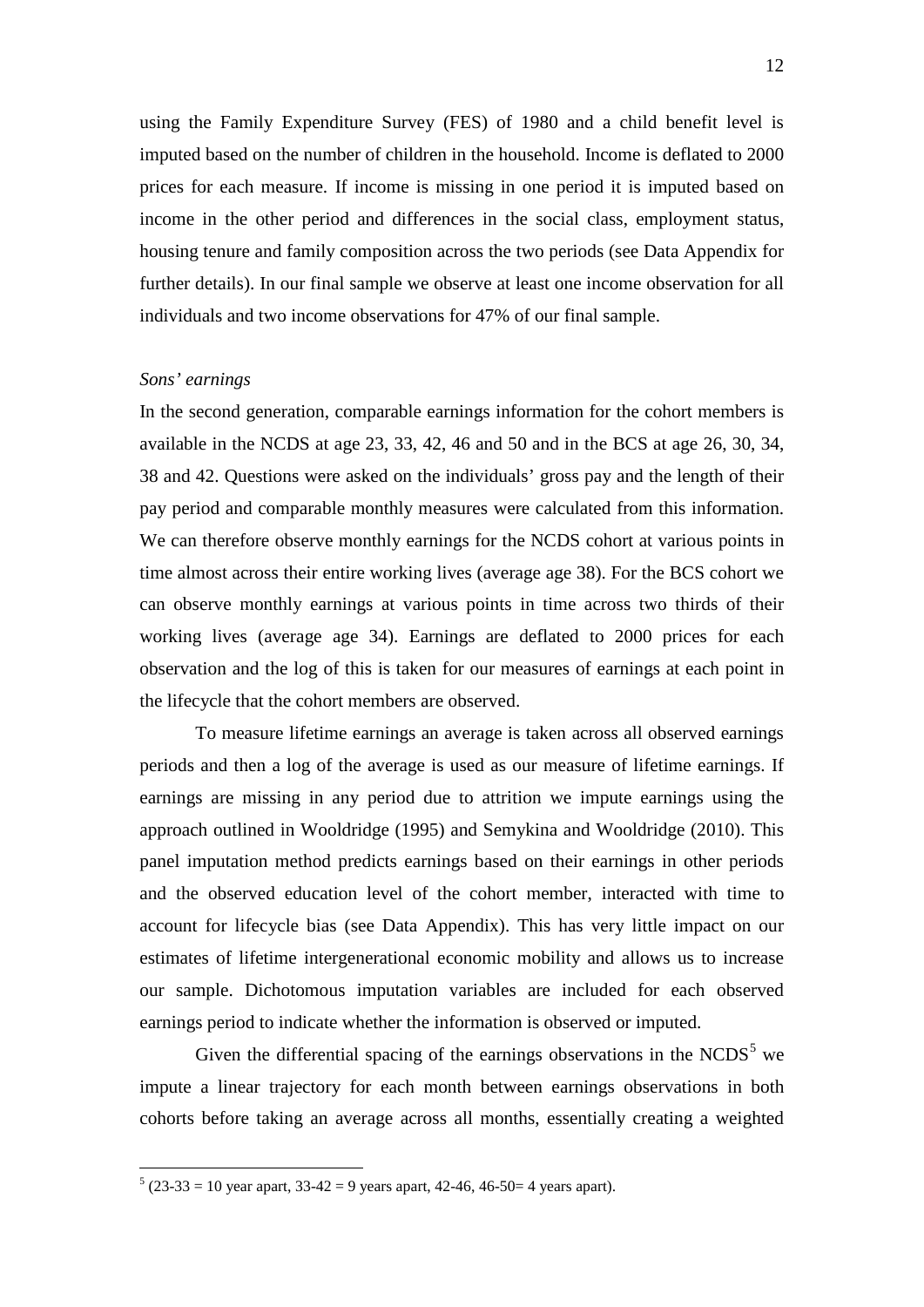using the Family Expenditure Survey (FES) of 1980 and a child benefit level is imputed based on the number of children in the household. Income is deflated to 2000 prices for each measure. If income is missing in one period it is imputed based on income in the other period and differences in the social class, employment status, housing tenure and family composition across the two periods (see Data Appendix for further details). In our final sample we observe at least one income observation for all individuals and two income observations for 47% of our final sample.

#### *Sons' earnings*

<u>.</u>

In the second generation, comparable earnings information for the cohort members is available in the NCDS at age 23, 33, 42, 46 and 50 and in the BCS at age 26, 30, 34, 38 and 42. Questions were asked on the individuals' gross pay and the length of their pay period and comparable monthly measures were calculated from this information. We can therefore observe monthly earnings for the NCDS cohort at various points in time almost across their entire working lives (average age 38). For the BCS cohort we can observe monthly earnings at various points in time across two thirds of their working lives (average age 34). Earnings are deflated to 2000 prices for each observation and the log of this is taken for our measures of earnings at each point in the lifecycle that the cohort members are observed.

To measure lifetime earnings an average is taken across all observed earnings periods and then a log of the average is used as our measure of lifetime earnings. If earnings are missing in any period due to attrition we impute earnings using the approach outlined in Wooldridge (1995) and Semykina and Wooldridge (2010). This panel imputation method predicts earnings based on their earnings in other periods and the observed education level of the cohort member, interacted with time to account for lifecycle bias (see Data Appendix). This has very little impact on our estimates of lifetime intergenerational economic mobility and allows us to increase our sample. Dichotomous imputation variables are included for each observed earnings period to indicate whether the information is observed or imputed.

Given the differential spacing of the earnings observations in the  $NCDS<sup>5</sup>$  $NCDS<sup>5</sup>$  $NCDS<sup>5</sup>$  we impute a linear trajectory for each month between earnings observations in both cohorts before taking an average across all months, essentially creating a weighted

<span id="page-13-0"></span> $5 (23-33 = 10 \text{ year}$  apart,  $33-42 = 9$  years apart,  $42-46$ ,  $46-50=4$  years apart).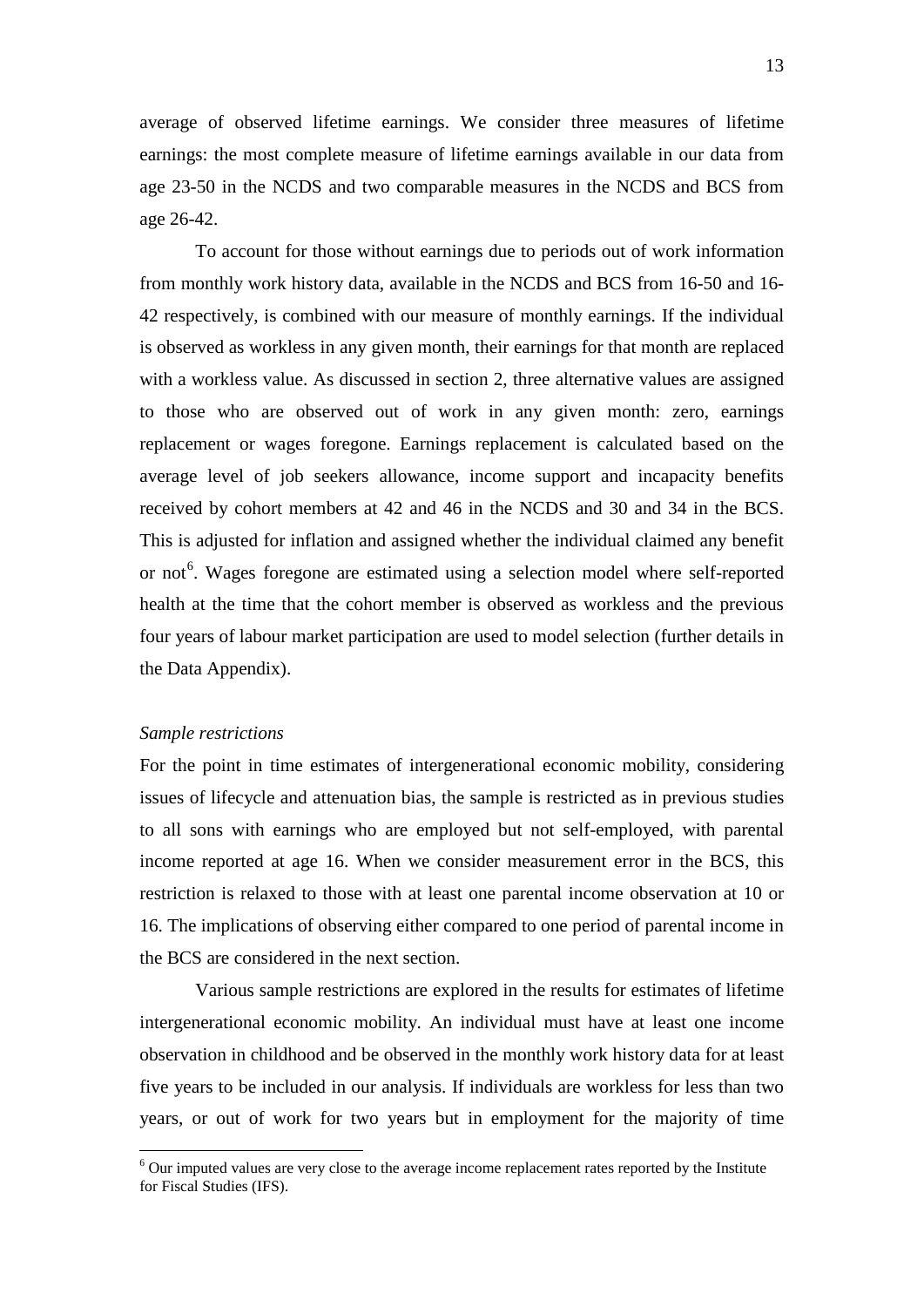average of observed lifetime earnings. We consider three measures of lifetime earnings: the most complete measure of lifetime earnings available in our data from age 23-50 in the NCDS and two comparable measures in the NCDS and BCS from age 26-42.

To account for those without earnings due to periods out of work information from monthly work history data, available in the NCDS and BCS from 16-50 and 16- 42 respectively, is combined with our measure of monthly earnings. If the individual is observed as workless in any given month, their earnings for that month are replaced with a workless value. As discussed in section 2, three alternative values are assigned to those who are observed out of work in any given month: zero, earnings replacement or wages foregone. Earnings replacement is calculated based on the average level of job seekers allowance, income support and incapacity benefits received by cohort members at 42 and 46 in the NCDS and 30 and 34 in the BCS. This is adjusted for inflation and assigned whether the individual claimed any benefit or not<sup>[6](#page-14-0)</sup>. Wages foregone are estimated using a selection model where self-reported health at the time that the cohort member is observed as workless and the previous four years of labour market participation are used to model selection (further details in the Data Appendix).

### *Sample restrictions*

<u>.</u>

For the point in time estimates of intergenerational economic mobility, considering issues of lifecycle and attenuation bias, the sample is restricted as in previous studies to all sons with earnings who are employed but not self-employed, with parental income reported at age 16. When we consider measurement error in the BCS, this restriction is relaxed to those with at least one parental income observation at 10 or 16. The implications of observing either compared to one period of parental income in the BCS are considered in the next section.

Various sample restrictions are explored in the results for estimates of lifetime intergenerational economic mobility. An individual must have at least one income observation in childhood and be observed in the monthly work history data for at least five years to be included in our analysis. If individuals are workless for less than two years, or out of work for two years but in employment for the majority of time

<span id="page-14-0"></span><sup>6</sup> Our imputed values are very close to the average income replacement rates reported by the Institute for Fiscal Studies (IFS).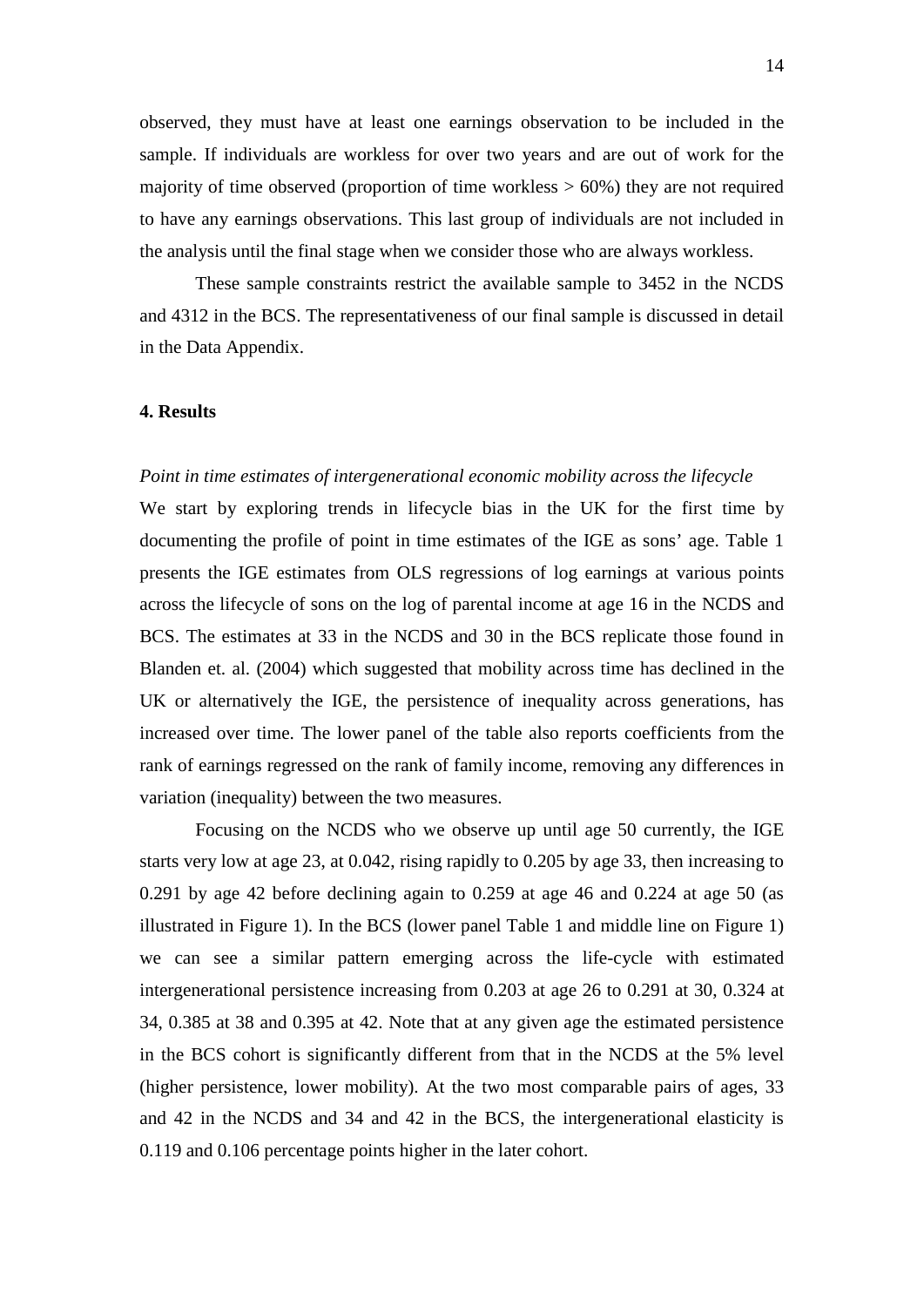observed, they must have at least one earnings observation to be included in the sample. If individuals are workless for over two years and are out of work for the majority of time observed (proportion of time workless  $> 60\%$ ) they are not required to have any earnings observations. This last group of individuals are not included in the analysis until the final stage when we consider those who are always workless.

These sample constraints restrict the available sample to 3452 in the NCDS and 4312 in the BCS. The representativeness of our final sample is discussed in detail in the Data Appendix.

### **4. Results**

### *Point in time estimates of intergenerational economic mobility across the lifecycle*

We start by exploring trends in lifecycle bias in the UK for the first time by documenting the profile of point in time estimates of the IGE as sons' age. Table 1 presents the IGE estimates from OLS regressions of log earnings at various points across the lifecycle of sons on the log of parental income at age 16 in the NCDS and BCS. The estimates at 33 in the NCDS and 30 in the BCS replicate those found in Blanden et. al. (2004) which suggested that mobility across time has declined in the UK or alternatively the IGE, the persistence of inequality across generations, has increased over time. The lower panel of the table also reports coefficients from the rank of earnings regressed on the rank of family income, removing any differences in variation (inequality) between the two measures.

Focusing on the NCDS who we observe up until age 50 currently, the IGE starts very low at age 23, at 0.042, rising rapidly to 0.205 by age 33, then increasing to 0.291 by age 42 before declining again to 0.259 at age 46 and 0.224 at age 50 (as illustrated in Figure 1). In the BCS (lower panel Table 1 and middle line on Figure 1) we can see a similar pattern emerging across the life-cycle with estimated intergenerational persistence increasing from 0.203 at age 26 to 0.291 at 30, 0.324 at 34, 0.385 at 38 and 0.395 at 42. Note that at any given age the estimated persistence in the BCS cohort is significantly different from that in the NCDS at the 5% level (higher persistence, lower mobility). At the two most comparable pairs of ages, 33 and 42 in the NCDS and 34 and 42 in the BCS, the intergenerational elasticity is 0.119 and 0.106 percentage points higher in the later cohort.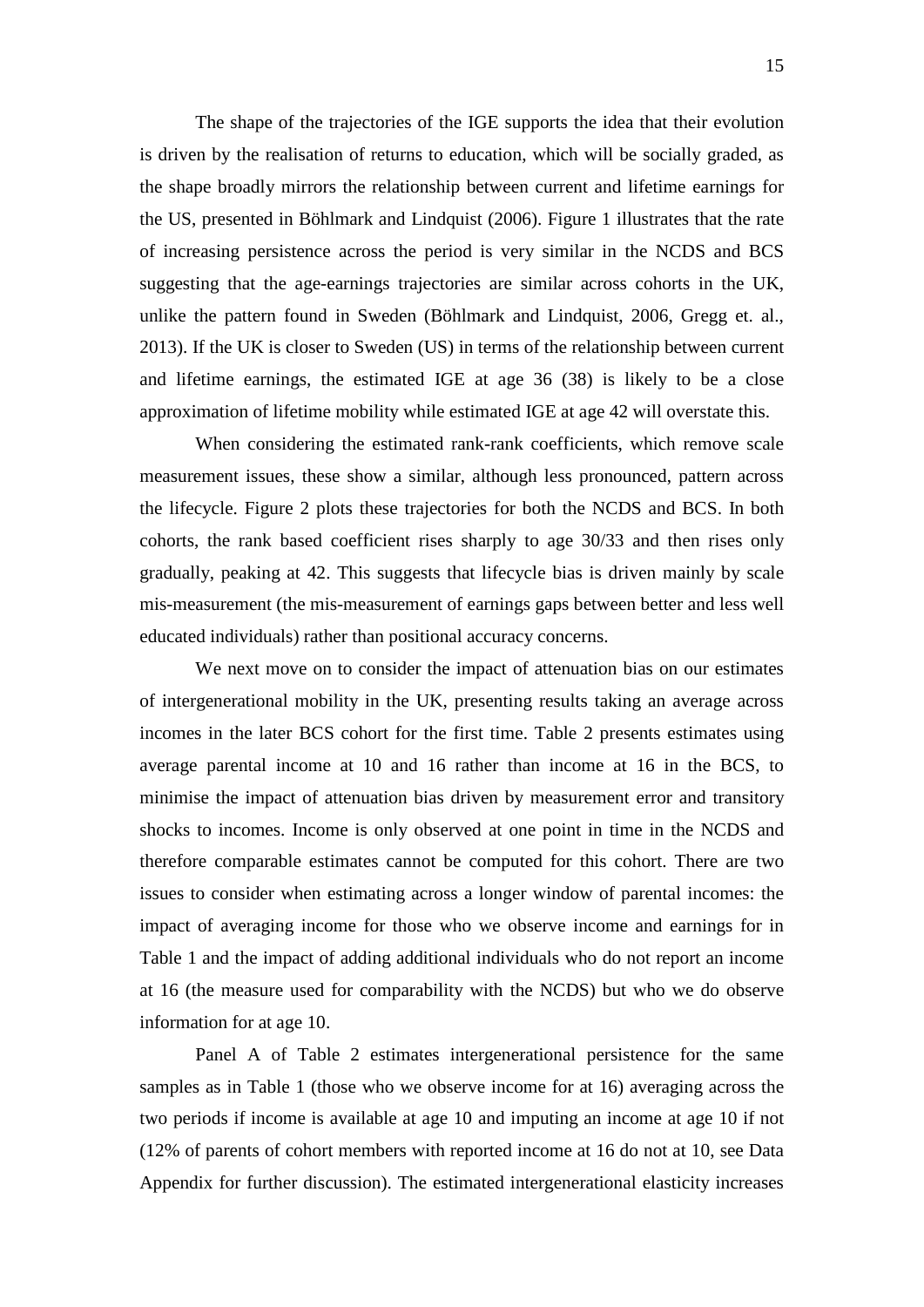The shape of the trajectories of the IGE supports the idea that their evolution is driven by the realisation of returns to education, which will be socially graded, as the shape broadly mirrors the relationship between current and lifetime earnings for the US, presented in Böhlmark and Lindquist (2006). Figure 1 illustrates that the rate of increasing persistence across the period is very similar in the NCDS and BCS suggesting that the age-earnings trajectories are similar across cohorts in the UK, unlike the pattern found in Sweden (Böhlmark and Lindquist, 2006, Gregg et. al., 2013). If the UK is closer to Sweden (US) in terms of the relationship between current and lifetime earnings, the estimated IGE at age 36 (38) is likely to be a close approximation of lifetime mobility while estimated IGE at age 42 will overstate this.

When considering the estimated rank-rank coefficients, which remove scale measurement issues, these show a similar, although less pronounced, pattern across the lifecycle. Figure 2 plots these trajectories for both the NCDS and BCS. In both cohorts, the rank based coefficient rises sharply to age 30/33 and then rises only gradually, peaking at 42. This suggests that lifecycle bias is driven mainly by scale mis-measurement (the mis-measurement of earnings gaps between better and less well educated individuals) rather than positional accuracy concerns.

We next move on to consider the impact of attenuation bias on our estimates of intergenerational mobility in the UK, presenting results taking an average across incomes in the later BCS cohort for the first time. Table 2 presents estimates using average parental income at 10 and 16 rather than income at 16 in the BCS, to minimise the impact of attenuation bias driven by measurement error and transitory shocks to incomes. Income is only observed at one point in time in the NCDS and therefore comparable estimates cannot be computed for this cohort. There are two issues to consider when estimating across a longer window of parental incomes: the impact of averaging income for those who we observe income and earnings for in Table 1 and the impact of adding additional individuals who do not report an income at 16 (the measure used for comparability with the NCDS) but who we do observe information for at age 10.

Panel A of Table 2 estimates intergenerational persistence for the same samples as in Table 1 (those who we observe income for at 16) averaging across the two periods if income is available at age 10 and imputing an income at age 10 if not (12% of parents of cohort members with reported income at 16 do not at 10, see Data Appendix for further discussion). The estimated intergenerational elasticity increases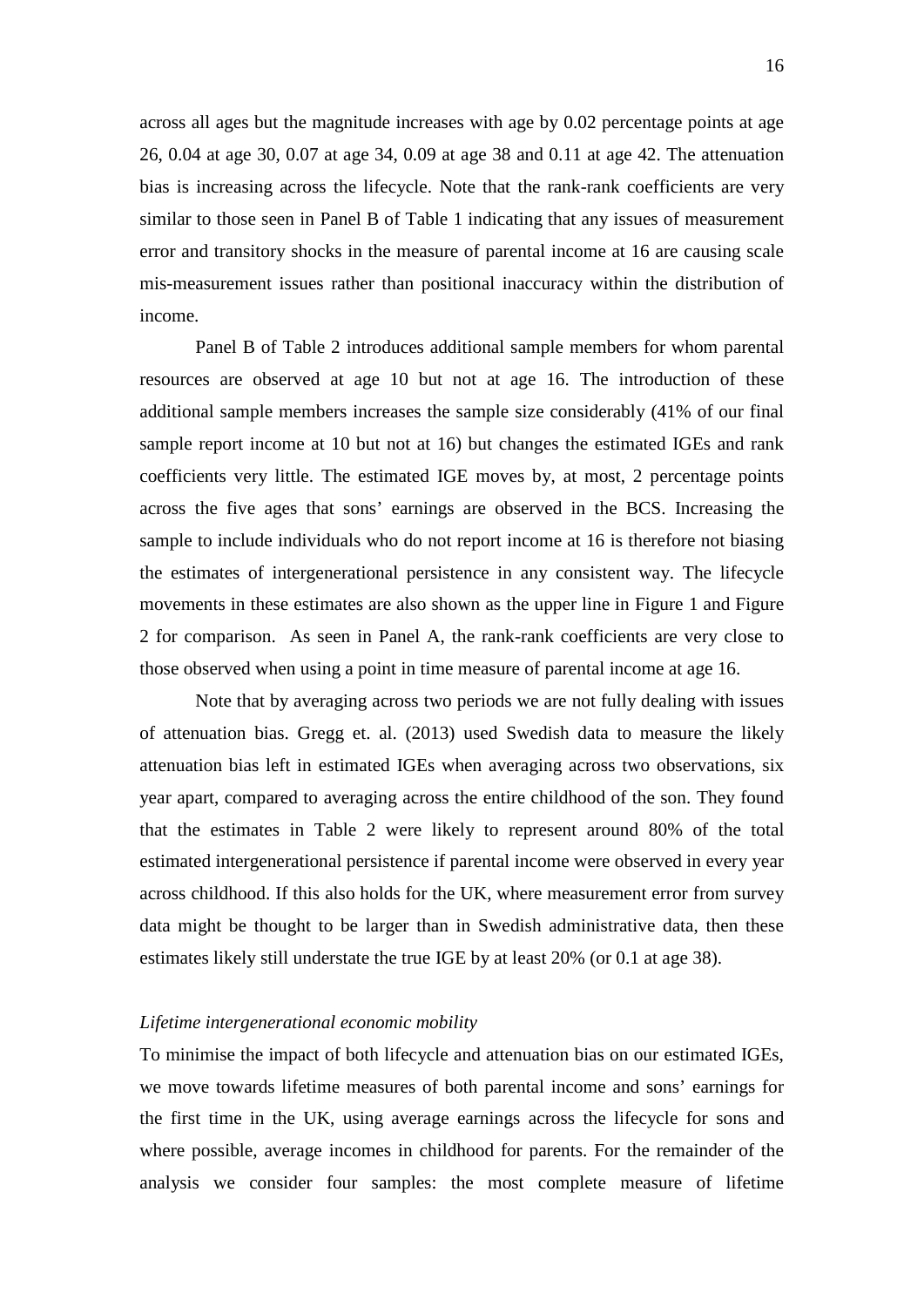across all ages but the magnitude increases with age by 0.02 percentage points at age 26, 0.04 at age 30, 0.07 at age 34, 0.09 at age 38 and 0.11 at age 42. The attenuation bias is increasing across the lifecycle. Note that the rank-rank coefficients are very similar to those seen in Panel B of Table 1 indicating that any issues of measurement error and transitory shocks in the measure of parental income at 16 are causing scale mis-measurement issues rather than positional inaccuracy within the distribution of income.

Panel B of Table 2 introduces additional sample members for whom parental resources are observed at age 10 but not at age 16. The introduction of these additional sample members increases the sample size considerably (41% of our final sample report income at 10 but not at 16) but changes the estimated IGEs and rank coefficients very little. The estimated IGE moves by, at most, 2 percentage points across the five ages that sons' earnings are observed in the BCS. Increasing the sample to include individuals who do not report income at 16 is therefore not biasing the estimates of intergenerational persistence in any consistent way. The lifecycle movements in these estimates are also shown as the upper line in Figure 1 and Figure 2 for comparison. As seen in Panel A, the rank-rank coefficients are very close to those observed when using a point in time measure of parental income at age 16.

Note that by averaging across two periods we are not fully dealing with issues of attenuation bias. Gregg et. al. (2013) used Swedish data to measure the likely attenuation bias left in estimated IGEs when averaging across two observations, six year apart, compared to averaging across the entire childhood of the son. They found that the estimates in Table 2 were likely to represent around 80% of the total estimated intergenerational persistence if parental income were observed in every year across childhood. If this also holds for the UK, where measurement error from survey data might be thought to be larger than in Swedish administrative data, then these estimates likely still understate the true IGE by at least 20% (or 0.1 at age 38).

#### *Lifetime intergenerational economic mobility*

To minimise the impact of both lifecycle and attenuation bias on our estimated IGEs, we move towards lifetime measures of both parental income and sons' earnings for the first time in the UK, using average earnings across the lifecycle for sons and where possible, average incomes in childhood for parents. For the remainder of the analysis we consider four samples: the most complete measure of lifetime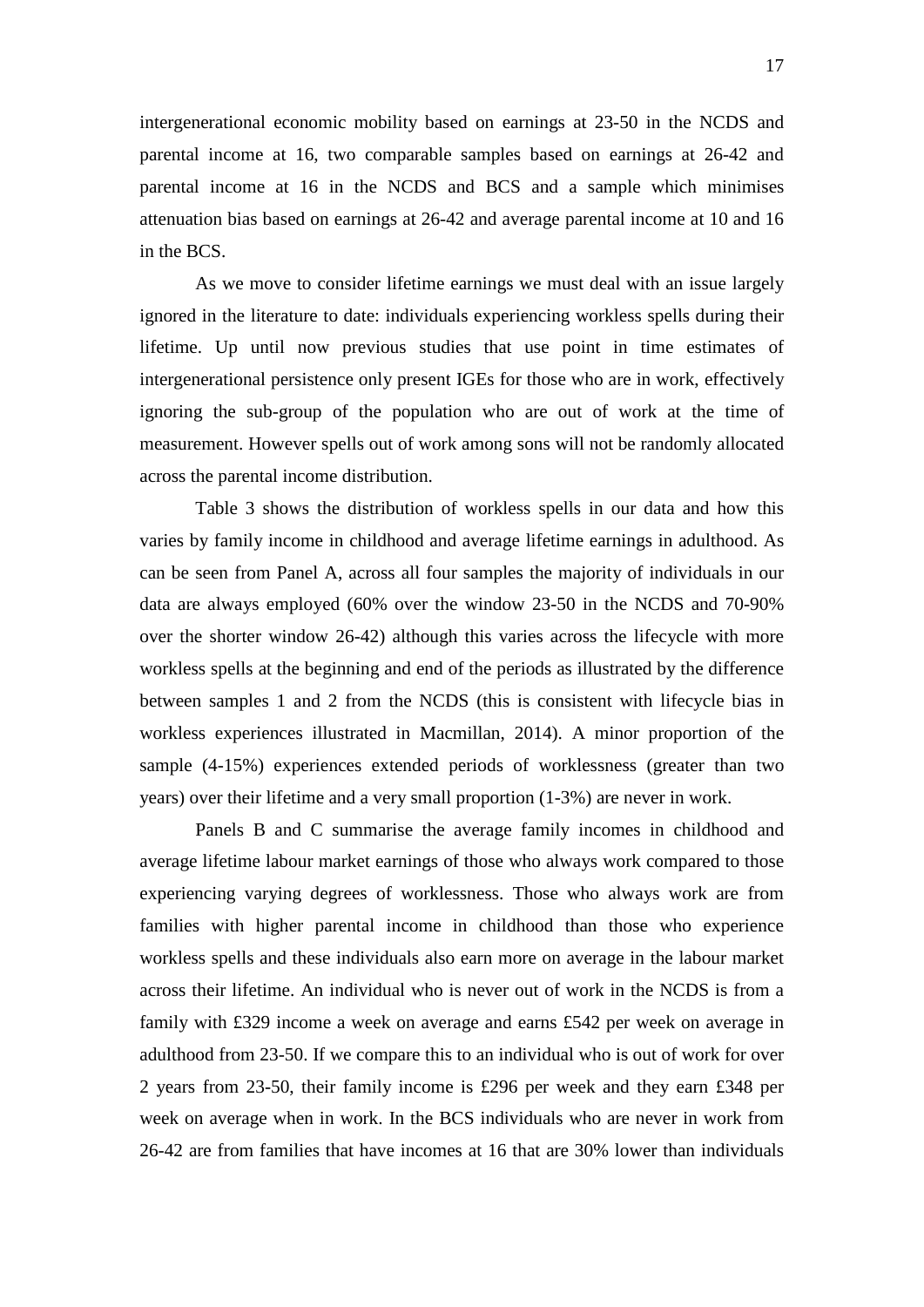intergenerational economic mobility based on earnings at 23-50 in the NCDS and parental income at 16, two comparable samples based on earnings at 26-42 and parental income at 16 in the NCDS and BCS and a sample which minimises attenuation bias based on earnings at 26-42 and average parental income at 10 and 16 in the BCS.

As we move to consider lifetime earnings we must deal with an issue largely ignored in the literature to date: individuals experiencing workless spells during their lifetime. Up until now previous studies that use point in time estimates of intergenerational persistence only present IGEs for those who are in work, effectively ignoring the sub-group of the population who are out of work at the time of measurement. However spells out of work among sons will not be randomly allocated across the parental income distribution.

Table 3 shows the distribution of workless spells in our data and how this varies by family income in childhood and average lifetime earnings in adulthood. As can be seen from Panel A, across all four samples the majority of individuals in our data are always employed (60% over the window 23-50 in the NCDS and 70-90% over the shorter window 26-42) although this varies across the lifecycle with more workless spells at the beginning and end of the periods as illustrated by the difference between samples 1 and 2 from the NCDS (this is consistent with lifecycle bias in workless experiences illustrated in Macmillan, 2014). A minor proportion of the sample (4-15%) experiences extended periods of worklessness (greater than two years) over their lifetime and a very small proportion (1-3%) are never in work.

Panels B and C summarise the average family incomes in childhood and average lifetime labour market earnings of those who always work compared to those experiencing varying degrees of worklessness. Those who always work are from families with higher parental income in childhood than those who experience workless spells and these individuals also earn more on average in the labour market across their lifetime. An individual who is never out of work in the NCDS is from a family with £329 income a week on average and earns £542 per week on average in adulthood from 23-50. If we compare this to an individual who is out of work for over 2 years from 23-50, their family income is £296 per week and they earn £348 per week on average when in work. In the BCS individuals who are never in work from 26-42 are from families that have incomes at 16 that are 30% lower than individuals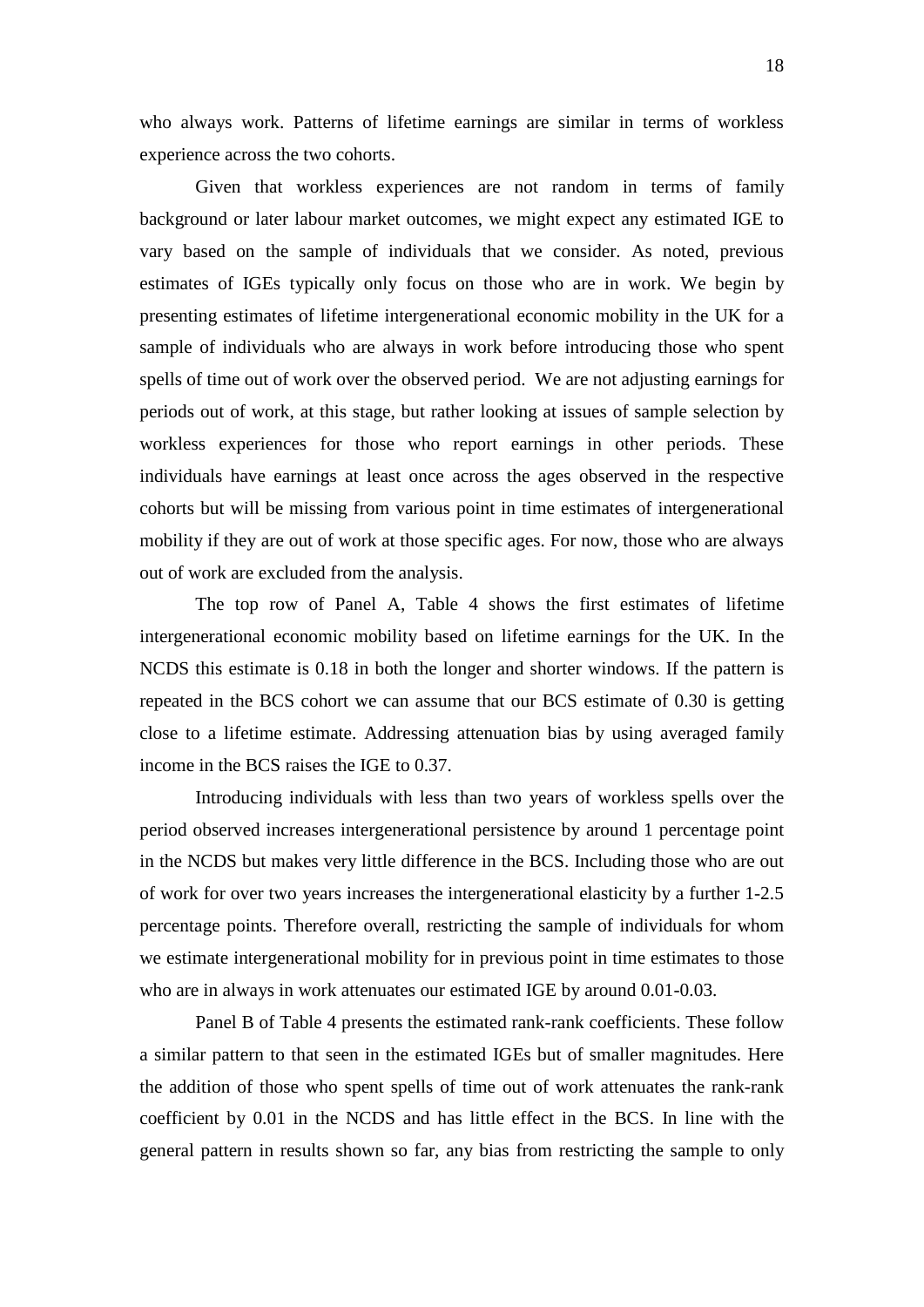who always work. Patterns of lifetime earnings are similar in terms of workless experience across the two cohorts.

Given that workless experiences are not random in terms of family background or later labour market outcomes, we might expect any estimated IGE to vary based on the sample of individuals that we consider. As noted, previous estimates of IGEs typically only focus on those who are in work. We begin by presenting estimates of lifetime intergenerational economic mobility in the UK for a sample of individuals who are always in work before introducing those who spent spells of time out of work over the observed period. We are not adjusting earnings for periods out of work, at this stage, but rather looking at issues of sample selection by workless experiences for those who report earnings in other periods. These individuals have earnings at least once across the ages observed in the respective cohorts but will be missing from various point in time estimates of intergenerational mobility if they are out of work at those specific ages. For now, those who are always out of work are excluded from the analysis.

The top row of Panel A, Table 4 shows the first estimates of lifetime intergenerational economic mobility based on lifetime earnings for the UK. In the NCDS this estimate is 0.18 in both the longer and shorter windows. If the pattern is repeated in the BCS cohort we can assume that our BCS estimate of 0.30 is getting close to a lifetime estimate. Addressing attenuation bias by using averaged family income in the BCS raises the IGE to 0.37.

Introducing individuals with less than two years of workless spells over the period observed increases intergenerational persistence by around 1 percentage point in the NCDS but makes very little difference in the BCS. Including those who are out of work for over two years increases the intergenerational elasticity by a further 1-2.5 percentage points. Therefore overall, restricting the sample of individuals for whom we estimate intergenerational mobility for in previous point in time estimates to those who are in always in work attenuates our estimated IGE by around 0.01-0.03.

Panel B of Table 4 presents the estimated rank-rank coefficients. These follow a similar pattern to that seen in the estimated IGEs but of smaller magnitudes. Here the addition of those who spent spells of time out of work attenuates the rank-rank coefficient by 0.01 in the NCDS and has little effect in the BCS. In line with the general pattern in results shown so far, any bias from restricting the sample to only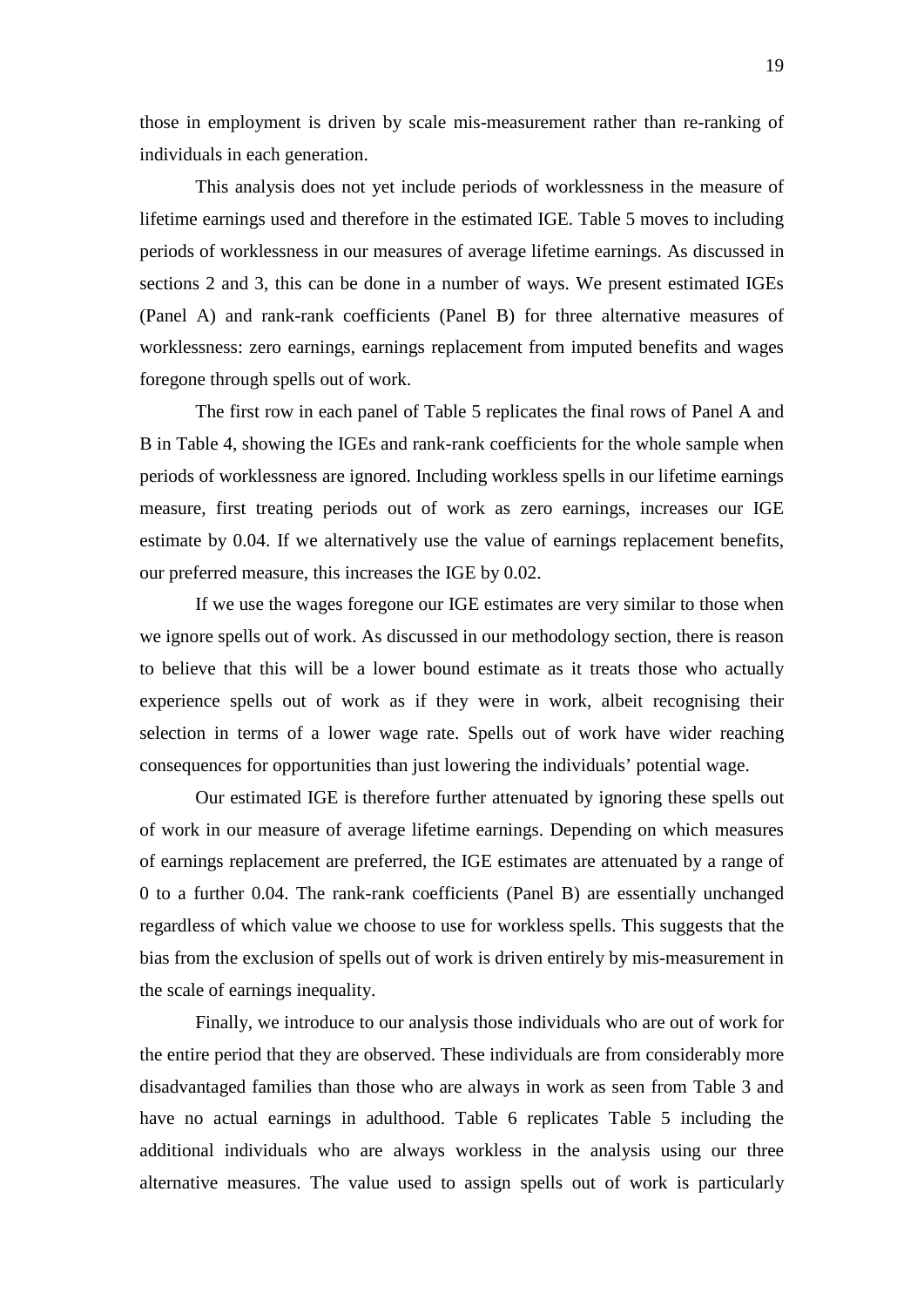those in employment is driven by scale mis-measurement rather than re-ranking of individuals in each generation.

This analysis does not yet include periods of worklessness in the measure of lifetime earnings used and therefore in the estimated IGE. Table 5 moves to including periods of worklessness in our measures of average lifetime earnings. As discussed in sections 2 and 3, this can be done in a number of ways. We present estimated IGEs (Panel A) and rank-rank coefficients (Panel B) for three alternative measures of worklessness: zero earnings, earnings replacement from imputed benefits and wages foregone through spells out of work.

The first row in each panel of Table 5 replicates the final rows of Panel A and B in Table 4, showing the IGEs and rank-rank coefficients for the whole sample when periods of worklessness are ignored. Including workless spells in our lifetime earnings measure, first treating periods out of work as zero earnings, increases our IGE estimate by 0.04. If we alternatively use the value of earnings replacement benefits, our preferred measure, this increases the IGE by 0.02.

If we use the wages foregone our IGE estimates are very similar to those when we ignore spells out of work. As discussed in our methodology section, there is reason to believe that this will be a lower bound estimate as it treats those who actually experience spells out of work as if they were in work, albeit recognising their selection in terms of a lower wage rate. Spells out of work have wider reaching consequences for opportunities than just lowering the individuals' potential wage.

Our estimated IGE is therefore further attenuated by ignoring these spells out of work in our measure of average lifetime earnings. Depending on which measures of earnings replacement are preferred, the IGE estimates are attenuated by a range of 0 to a further 0.04. The rank-rank coefficients (Panel B) are essentially unchanged regardless of which value we choose to use for workless spells. This suggests that the bias from the exclusion of spells out of work is driven entirely by mis-measurement in the scale of earnings inequality.

Finally, we introduce to our analysis those individuals who are out of work for the entire period that they are observed. These individuals are from considerably more disadvantaged families than those who are always in work as seen from Table 3 and have no actual earnings in adulthood. Table 6 replicates Table 5 including the additional individuals who are always workless in the analysis using our three alternative measures. The value used to assign spells out of work is particularly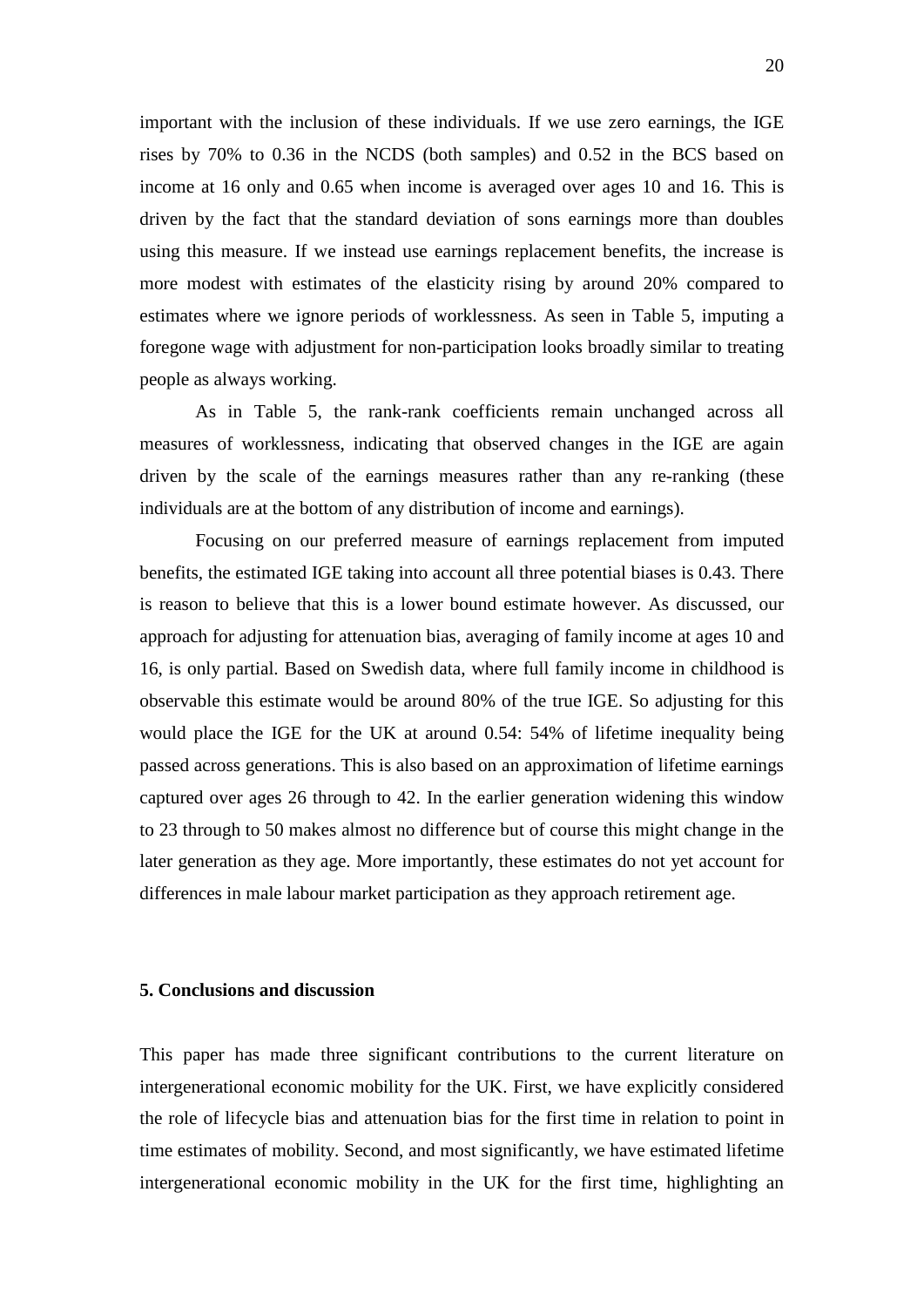important with the inclusion of these individuals. If we use zero earnings, the IGE rises by 70% to 0.36 in the NCDS (both samples) and 0.52 in the BCS based on income at 16 only and 0.65 when income is averaged over ages 10 and 16. This is driven by the fact that the standard deviation of sons earnings more than doubles using this measure. If we instead use earnings replacement benefits, the increase is more modest with estimates of the elasticity rising by around 20% compared to estimates where we ignore periods of worklessness. As seen in Table 5, imputing a foregone wage with adjustment for non-participation looks broadly similar to treating people as always working.

As in Table 5, the rank-rank coefficients remain unchanged across all measures of worklessness, indicating that observed changes in the IGE are again driven by the scale of the earnings measures rather than any re-ranking (these individuals are at the bottom of any distribution of income and earnings).

Focusing on our preferred measure of earnings replacement from imputed benefits, the estimated IGE taking into account all three potential biases is 0.43. There is reason to believe that this is a lower bound estimate however. As discussed, our approach for adjusting for attenuation bias, averaging of family income at ages 10 and 16, is only partial. Based on Swedish data, where full family income in childhood is observable this estimate would be around 80% of the true IGE. So adjusting for this would place the IGE for the UK at around 0.54: 54% of lifetime inequality being passed across generations. This is also based on an approximation of lifetime earnings captured over ages 26 through to 42. In the earlier generation widening this window to 23 through to 50 makes almost no difference but of course this might change in the later generation as they age. More importantly, these estimates do not yet account for differences in male labour market participation as they approach retirement age.

### **5. Conclusions and discussion**

This paper has made three significant contributions to the current literature on intergenerational economic mobility for the UK. First, we have explicitly considered the role of lifecycle bias and attenuation bias for the first time in relation to point in time estimates of mobility. Second, and most significantly, we have estimated lifetime intergenerational economic mobility in the UK for the first time, highlighting an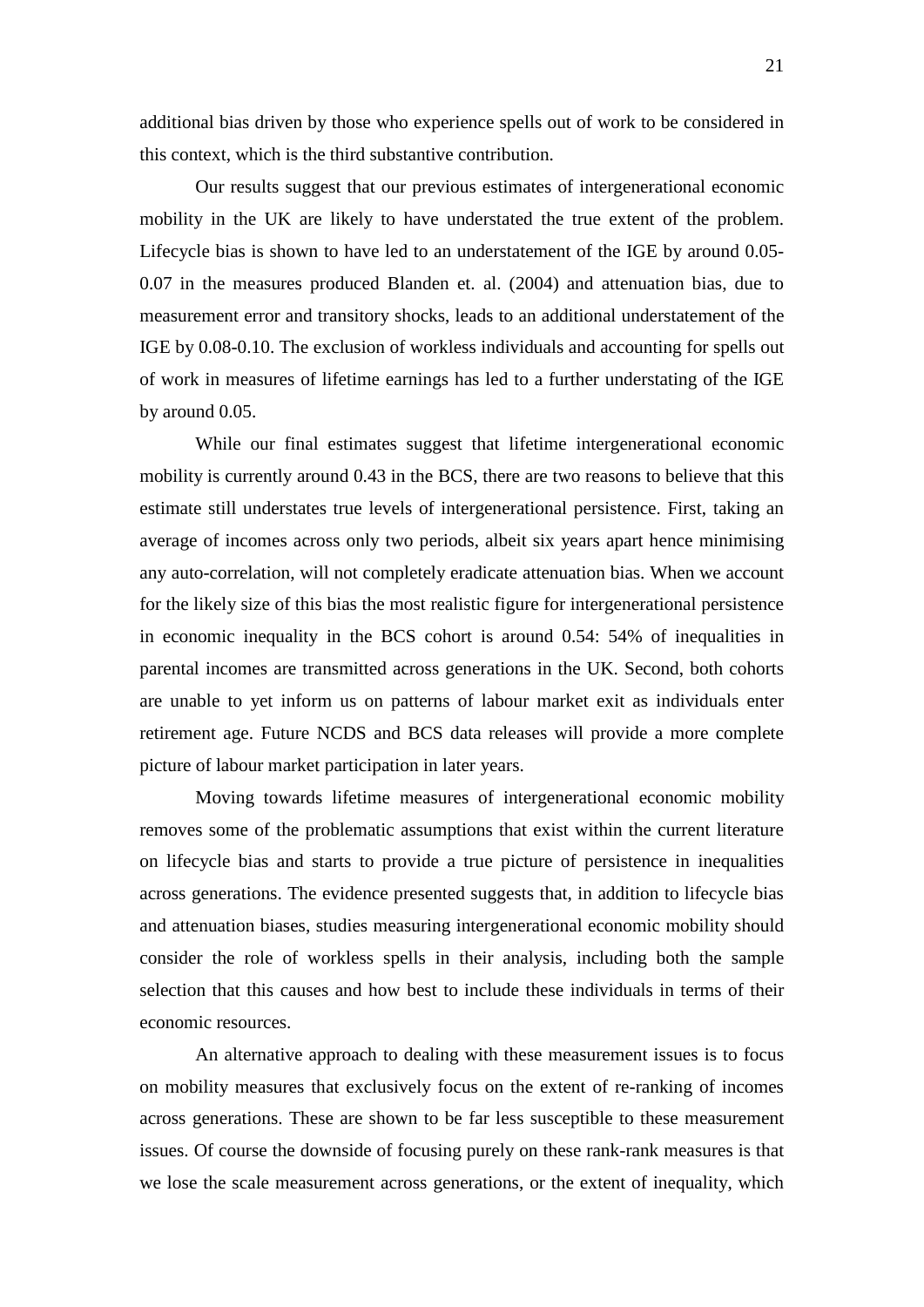additional bias driven by those who experience spells out of work to be considered in this context, which is the third substantive contribution.

Our results suggest that our previous estimates of intergenerational economic mobility in the UK are likely to have understated the true extent of the problem. Lifecycle bias is shown to have led to an understatement of the IGE by around 0.05- 0.07 in the measures produced Blanden et. al. (2004) and attenuation bias, due to measurement error and transitory shocks, leads to an additional understatement of the IGE by 0.08-0.10. The exclusion of workless individuals and accounting for spells out of work in measures of lifetime earnings has led to a further understating of the IGE by around 0.05.

While our final estimates suggest that lifetime intergenerational economic mobility is currently around 0.43 in the BCS, there are two reasons to believe that this estimate still understates true levels of intergenerational persistence. First, taking an average of incomes across only two periods, albeit six years apart hence minimising any auto-correlation, will not completely eradicate attenuation bias. When we account for the likely size of this bias the most realistic figure for intergenerational persistence in economic inequality in the BCS cohort is around 0.54: 54% of inequalities in parental incomes are transmitted across generations in the UK. Second, both cohorts are unable to yet inform us on patterns of labour market exit as individuals enter retirement age. Future NCDS and BCS data releases will provide a more complete picture of labour market participation in later years.

Moving towards lifetime measures of intergenerational economic mobility removes some of the problematic assumptions that exist within the current literature on lifecycle bias and starts to provide a true picture of persistence in inequalities across generations. The evidence presented suggests that, in addition to lifecycle bias and attenuation biases, studies measuring intergenerational economic mobility should consider the role of workless spells in their analysis, including both the sample selection that this causes and how best to include these individuals in terms of their economic resources.

An alternative approach to dealing with these measurement issues is to focus on mobility measures that exclusively focus on the extent of re-ranking of incomes across generations. These are shown to be far less susceptible to these measurement issues. Of course the downside of focusing purely on these rank-rank measures is that we lose the scale measurement across generations, or the extent of inequality, which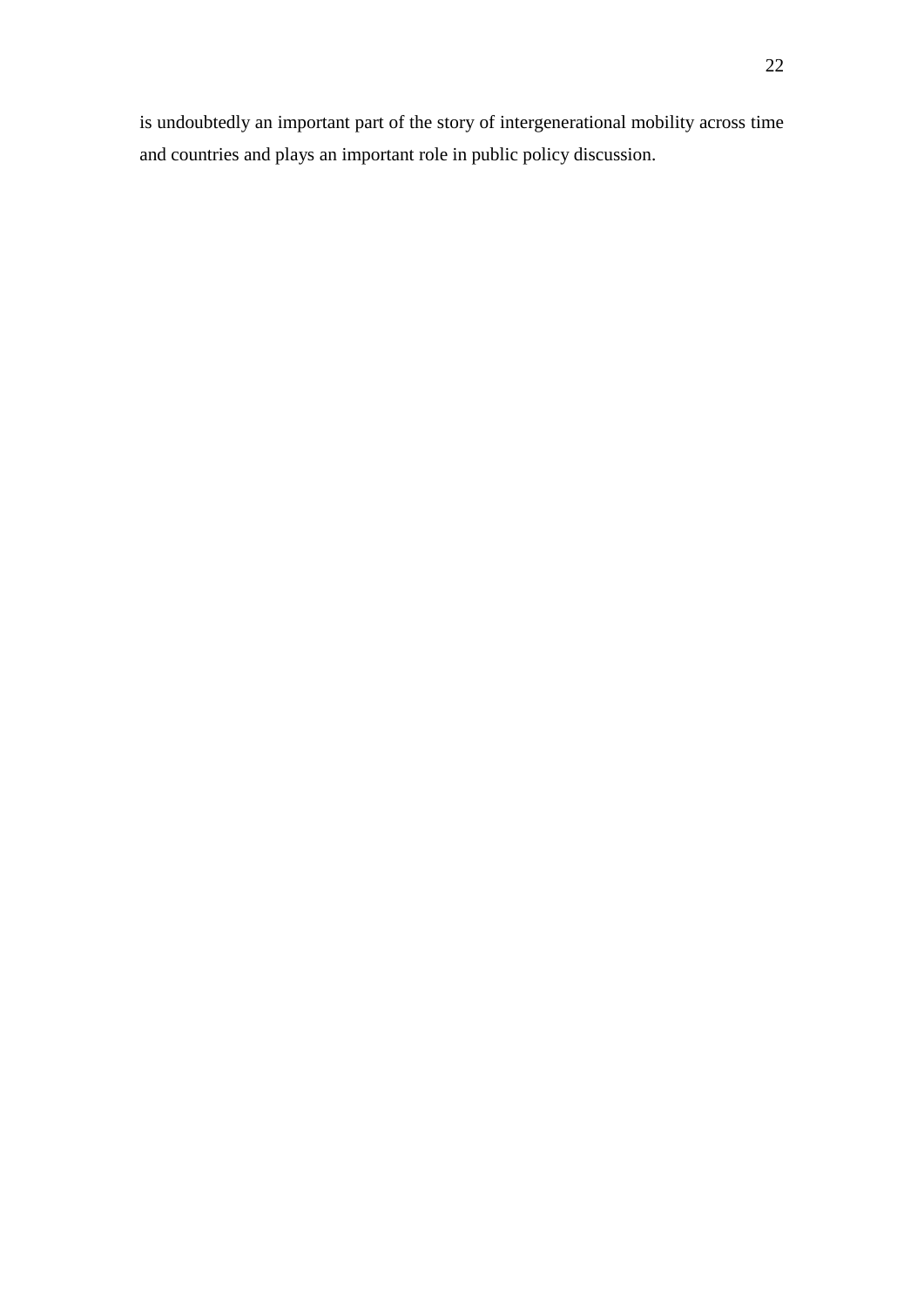is undoubtedly an important part of the story of intergenerational mobility across time and countries and plays an important role in public policy discussion.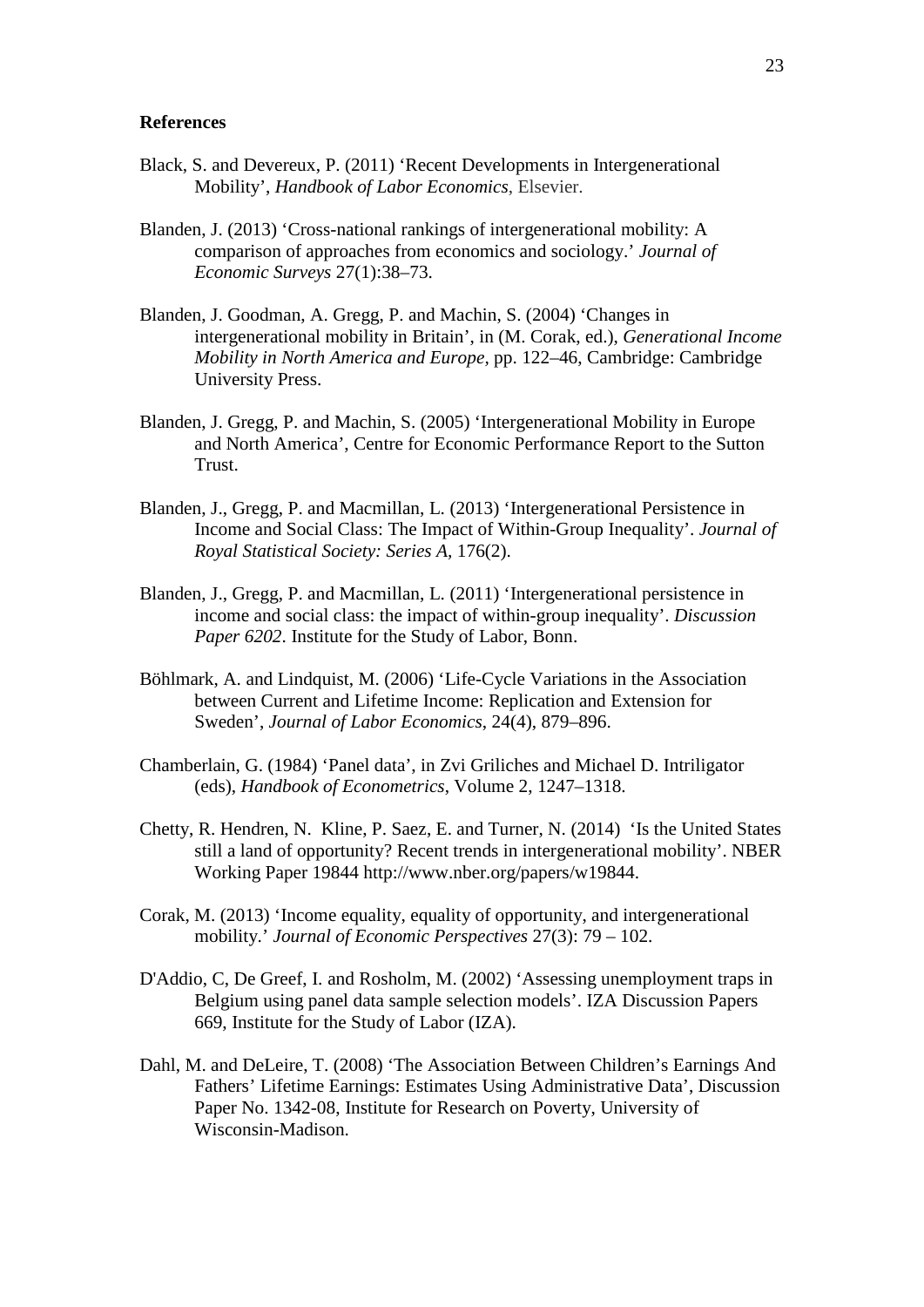### **References**

- [Black,](http://www.nber.org/people/sandra_black) S. and [Devereux,](http://www.nber.org/people/paul_devereux) P. (2011) 'Recent Developments in Intergenerational Mobility', *[Handbook of Labor Economics](http://ideas.repec.org/s/eee/labchp.html)*, Elsevier.
- Blanden, J. (2013) 'Cross-national rankings of intergenerational mobility: A comparison of approaches from economics and sociology.' *Journal of Economic Surveys* 27(1):38–73.
- Blanden, J. Goodman, A. Gregg, P. and Machin, S. (2004) 'Changes in intergenerational mobility in Britain', in (M. Corak, ed.), *Generational Income Mobility in North America and Europe,* pp. 122–46, Cambridge: Cambridge University Press.
- Blanden, J. Gregg, P. and Machin, S. (2005) 'Intergenerational Mobility in Europe and North America', Centre for Economic Performance Report to the Sutton Trust.
- Blanden, J., Gregg, P. and Macmillan, L. (2013) 'Intergenerational Persistence in Income and Social Class: The Impact of Within-Group Inequality'. *Journal of Royal Statistical Society: Series A,* 176(2).
- Blanden, J., Gregg, P. and Macmillan, L. (2011) 'Intergenerational persistence in income and social class: the impact of within-group inequality'. *Discussion Paper 6202*. Institute for the Study of Labor, Bonn.
- Böhlmark, A. and Lindquist, M. (2006) 'Life-Cycle Variations in the Association between Current and Lifetime Income: Replication and Extension for Sweden', *Journal of Labor Economics*, 24(4), 879–896.
- Chamberlain, G. (1984) 'Panel data', in Zvi Griliches and Michael D. Intriligator (eds), *Handbook of Econometrics*, Volume 2, 1247–1318.
- Chetty, R. Hendren, N. Kline, P. Saez, E. and Turner, N. (2014) 'Is the United States still a land of opportunity? Recent trends in intergenerational mobility'. NBER Working Paper 19844 http://www.nber.org/papers/w19844.
- Corak, M. (2013) 'Income equality, equality of opportunity, and intergenerational mobility.' *Journal of Economic Perspectives* 27(3): 79 – 102.
- D'Addio, C, De Greef, I. and Rosholm, M. (2002) 'Assessing unemployment traps in Belgium using panel data sample selection models'. IZA Discussion Papers 669, Institute for the Study of Labor (IZA).
- Dahl, M. and DeLeire, T. (2008) 'The Association Between Children's Earnings And Fathers' Lifetime Earnings: Estimates Using Administrative Data', Discussion Paper No. 1342-08, Institute for Research on Poverty, University of Wisconsin-Madison.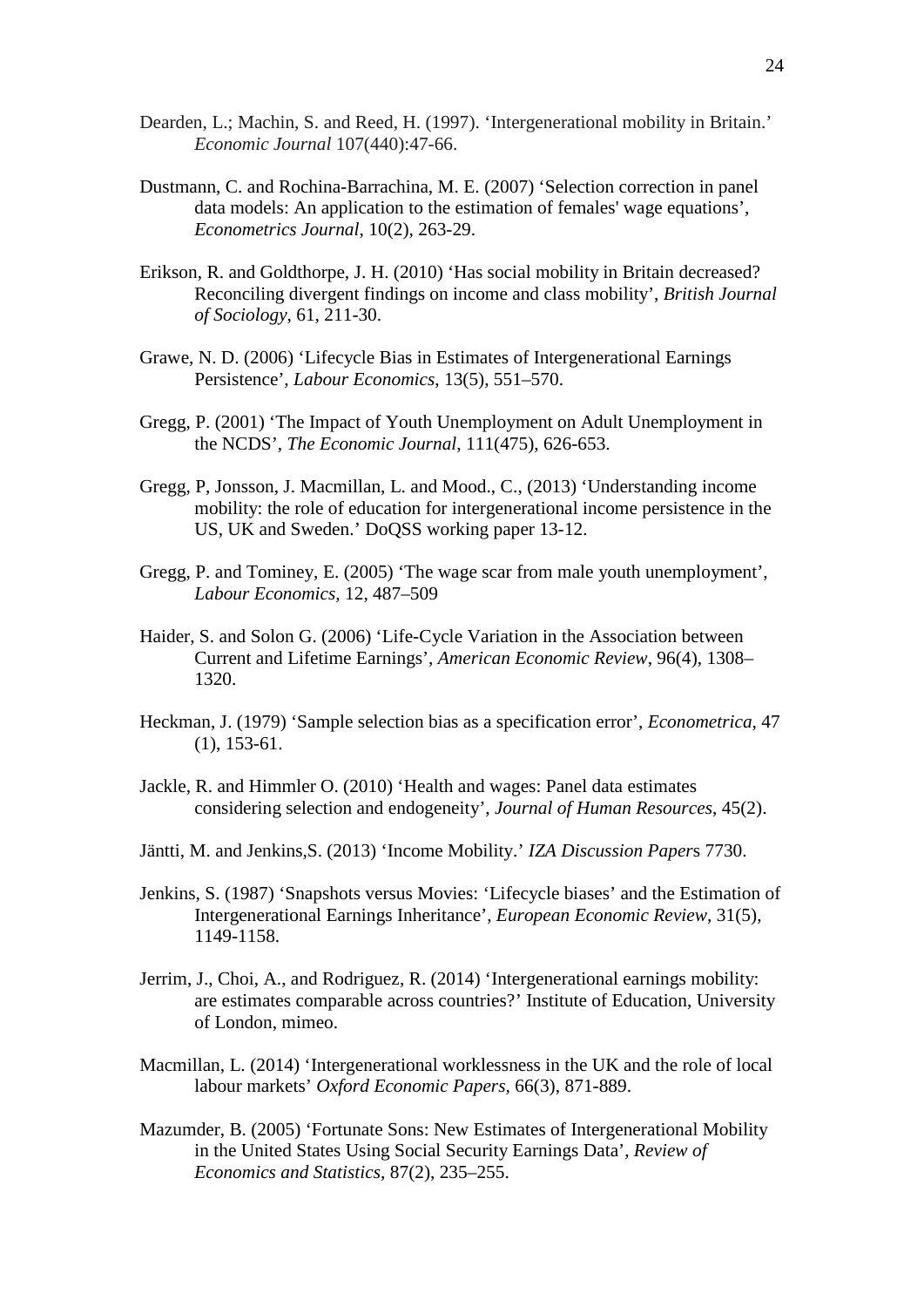- Dearden, L.; Machin, S. and Reed, H. (1997). 'Intergenerational mobility in Britain.' *Economic Journal* 107(440):47-66.
- Dustmann, C. and Rochina-Barrachina, M. E. (2007) 'Selection correction in panel data models: An application to the estimation of females' wage equations', *Econometrics Journal*, 10(2), 263-29.
- Erikson, R. and Goldthorpe, J. H. (2010) 'Has social mobility in Britain decreased? Reconciling divergent findings on income and class mobility', *British Journal of Sociology*, 61, 211-30.
- Grawe, N. D. (2006) 'Lifecycle Bias in Estimates of Intergenerational Earnings Persistence', *Labour Economics*, 13(5), 551–570.
- Gregg, P. (2001) 'The Impact of Youth Unemployment on Adult Unemployment in the NCDS', *The Economic Journal*, 111(475), 626-653.
- Gregg, P, Jonsson, J. Macmillan, L. and Mood., C., (2013) 'Understanding income mobility: the role of education for intergenerational income persistence in the US, UK and Sweden.' DoQSS working paper 13-12.
- Gregg, P. and Tominey, E. (2005) 'The wage scar from male youth unemployment', *Labour Economics,* 12, 487–509
- Haider, S. and Solon G. (2006) 'Life-Cycle Variation in the Association between Current and Lifetime Earnings', *American Economic Review*, 96(4), 1308– 1320.
- Heckman, J. (1979) 'Sample selection bias as a specification error', *Econometrica*, 47 (1), 153-61.
- Jackle, R. and Himmler O. (2010) 'Health and wages: Panel data estimates considering selection and endogeneity', *Journal of Human Resources*, 45(2).
- Jäntti, M. and Jenkins,S. (2013) 'Income Mobility.' *IZA Discussion Paper*s 7730.
- Jenkins, S. (1987) 'Snapshots versus Movies: 'Lifecycle biases' and the Estimation of Intergenerational Earnings Inheritance', *European Economic Review*, 31(5), 1149-1158.
- Jerrim, J., Choi, A., and Rodriguez, R. (2014) 'Intergenerational earnings mobility: are estimates comparable across countries?' Institute of Education, University of London, mimeo.
- Macmillan, L. (2014) 'Intergenerational worklessness in the UK and the role of local labour markets' *Oxford Economic Papers,* 66(3), 871-889.
- Mazumder, B. (2005) 'Fortunate Sons: New Estimates of Intergenerational Mobility in the United States Using Social Security Earnings Data', *Review of Economics and Statistics*, 87(2), 235–255.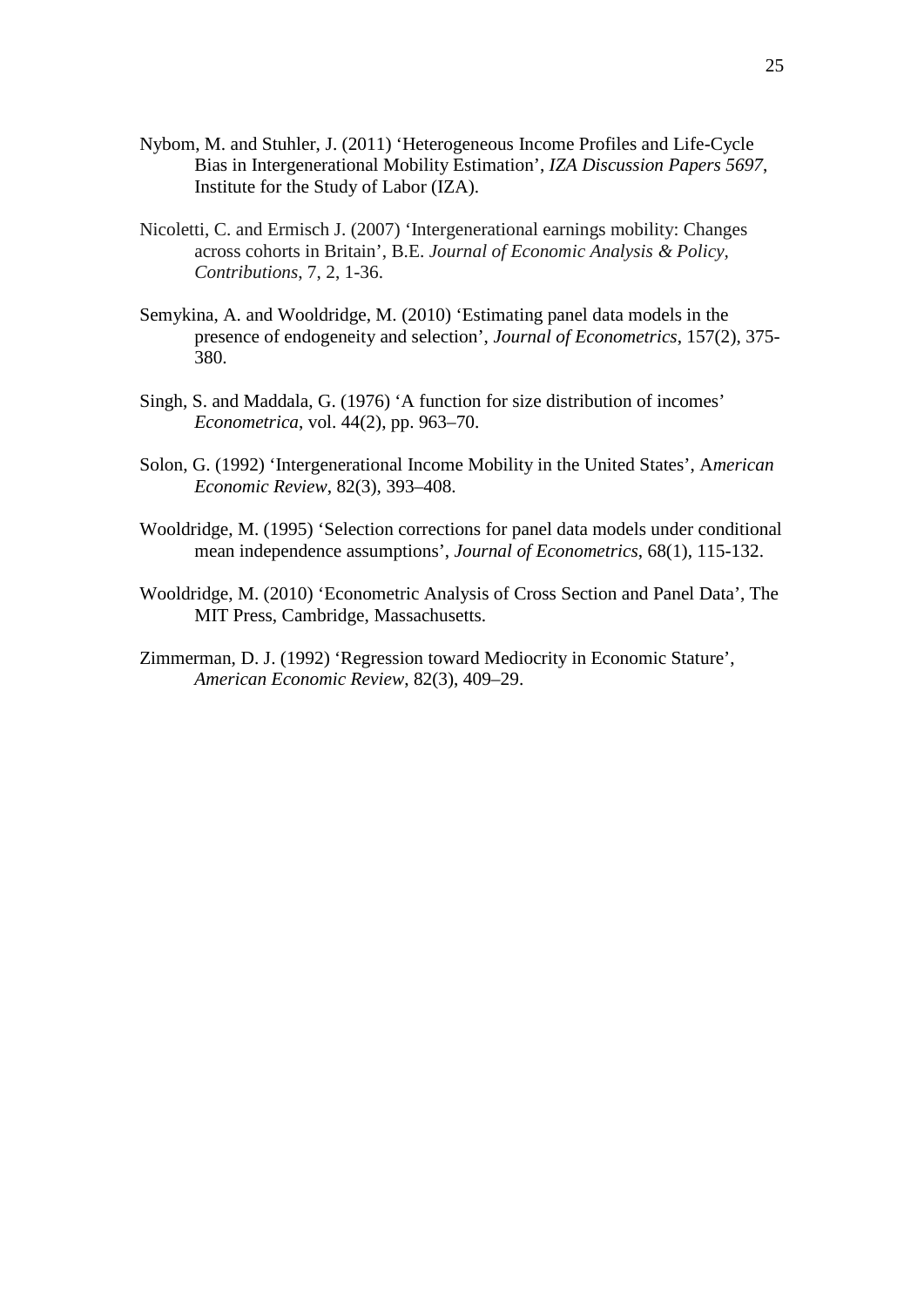- Nybom, M. and Stuhler, J. (2011) 'Heterogeneous Income Profiles and Life-Cycle Bias in Intergenerational Mobility Estimation', *IZA Discussion Papers 5697*, Institute for the Study of Labor (IZA).
- Nicoletti, C. and Ermisch J. (2007) 'Intergenerational earnings mobility: Changes across cohorts in Britain', B.E. *Journal of Economic Analysis & Policy, Contributions*, 7, 2, 1-36.
- Semykina, A. and Wooldridge, M. (2010) 'Estimating panel data models in the presence of endogeneity and selection', *Journal of Econometrics*, 157(2), 375- 380.
- Singh, S. and Maddala, G. (1976) 'A function for size distribution of incomes' *Econometrica*, vol. 44(2), pp. 963–70.
- Solon, G. (1992) 'Intergenerational Income Mobility in the United States', A*merican Economic Review*, 82(3), 393–408.
- Wooldridge, M. (1995) 'Selection corrections for panel data models under conditional mean independence assumptions', *Journal of Econometrics*, 68(1), 115-132.
- Wooldridge, M. (2010) 'Econometric Analysis of Cross Section and Panel Data', The MIT Press, Cambridge, Massachusetts.
- Zimmerman, D. J. (1992) 'Regression toward Mediocrity in Economic Stature', *American Economic Review*, 82(3), 409–29.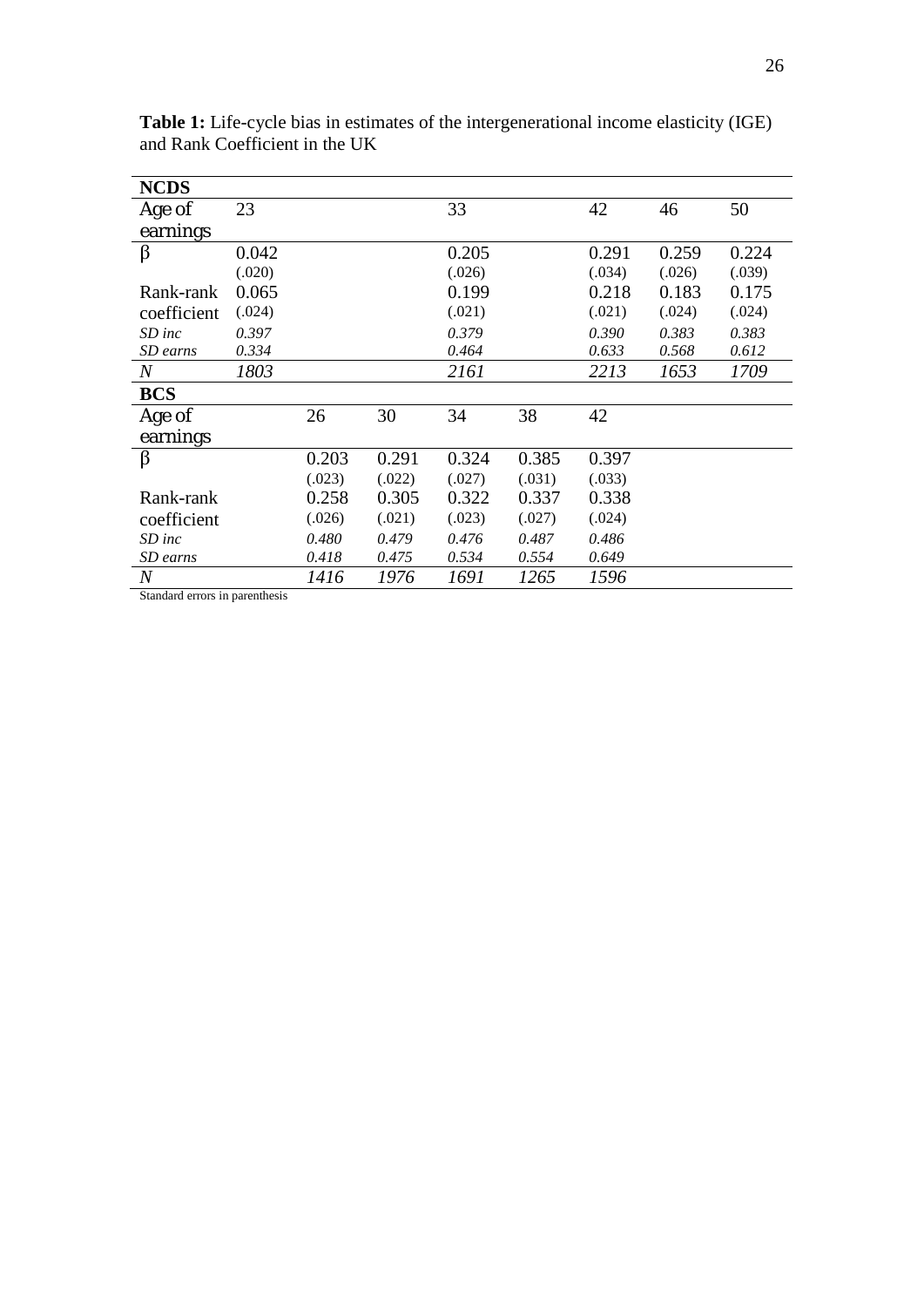| <b>NCDS</b>      |        |        |        |        |        |        |        |        |
|------------------|--------|--------|--------|--------|--------|--------|--------|--------|
| Age of           | 23     |        |        | 33     |        | 42     | 46     | 50     |
| earnings         |        |        |        |        |        |        |        |        |
| β                | 0.042  |        |        | 0.205  |        | 0.291  | 0.259  | 0.224  |
|                  | (.020) |        |        | (.026) |        | (.034) | (.026) | (.039) |
| Rank-rank        | 0.065  |        |        | 0.199  |        | 0.218  | 0.183  | 0.175  |
| coefficient      | (.024) |        |        | (.021) |        | (.021) | (.024) | (.024) |
| $SD$ inc         | 0.397  |        |        | 0.379  |        | 0.390  | 0.383  | 0.383  |
| SD earns         | 0.334  |        |        | 0.464  |        | 0.633  | 0.568  | 0.612  |
| $\boldsymbol{N}$ | 1803   |        |        | 2161   |        | 2213   | 1653   | 1709   |
| <b>BCS</b>       |        |        |        |        |        |        |        |        |
| Age of           |        | 26     | 30     | 34     | 38     | 42     |        |        |
| earnings         |        |        |        |        |        |        |        |        |
| $\beta$          |        | 0.203  | 0.291  | 0.324  | 0.385  | 0.397  |        |        |
|                  |        | (.023) | (.022) | (.027) | (.031) | (.033) |        |        |
| Rank-rank        |        | 0.258  | 0.305  | 0.322  | 0.337  | 0.338  |        |        |
| coefficient      |        | (.026) | (.021) | (.023) | (.027) | (.024) |        |        |
| $SD$ inc         |        | 0.480  | 0.479  | 0.476  | 0.487  | 0.486  |        |        |
| SD earns         |        | 0.418  | 0.475  | 0.534  | 0.554  | 0.649  |        |        |
| $\overline{N}$   |        | 1416   | 1976   | 1691   | 1265   | 1596   |        |        |

**Table 1:** Life-cycle bias in estimates of the intergenerational income elasticity (IGE) and Rank Coefficient in the UK

Standard errors in parenthesis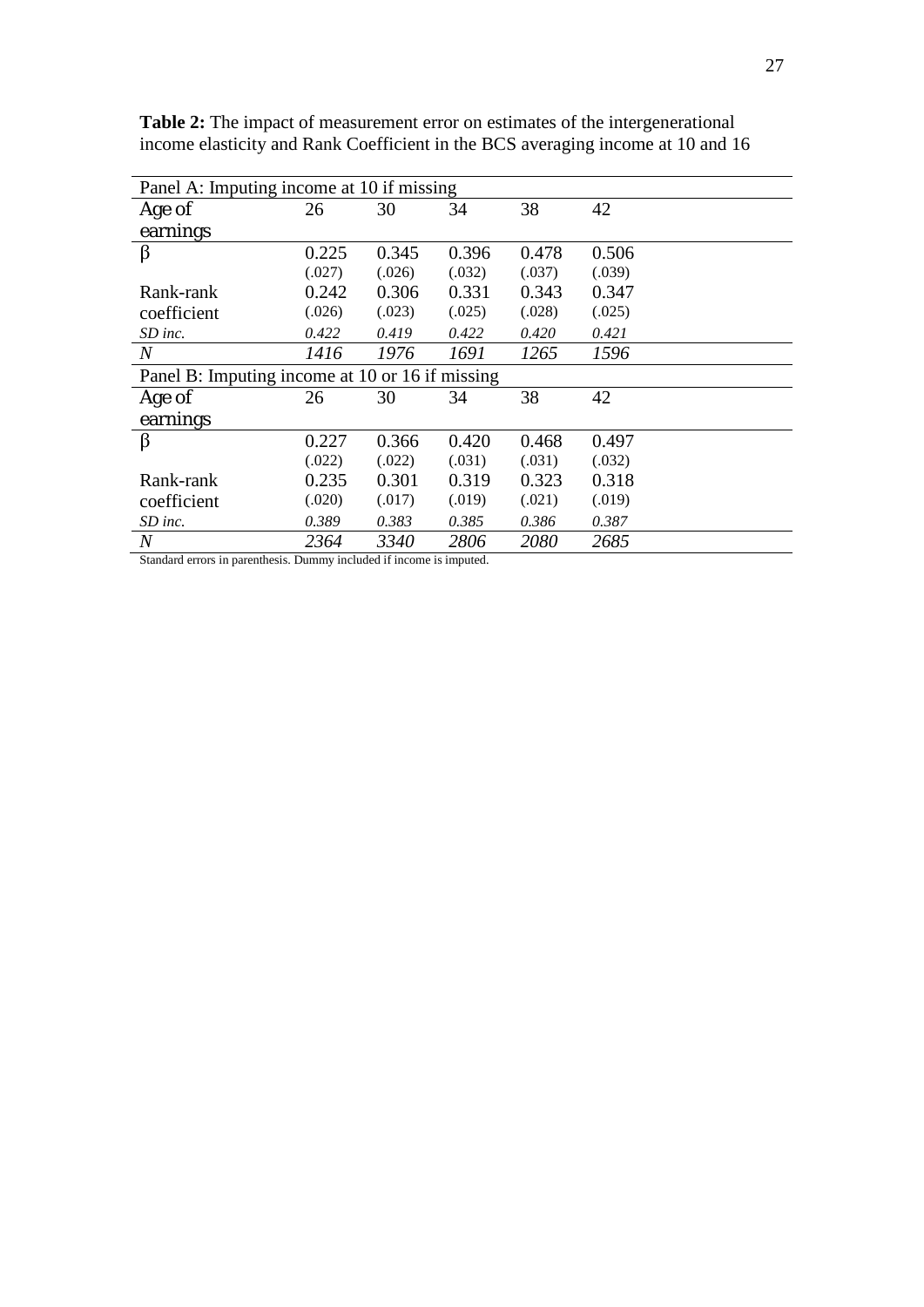| Panel A: Imputing income at 10 if missing       |        |        |        |        |        |  |  |
|-------------------------------------------------|--------|--------|--------|--------|--------|--|--|
| Age of                                          | 26     | 30     | 34     | 38     | 42     |  |  |
| earnings                                        |        |        |        |        |        |  |  |
| β                                               | 0.225  | 0.345  | 0.396  | 0.478  | 0.506  |  |  |
|                                                 | (.027) | (.026) | (.032) | (.037) | (.039) |  |  |
| Rank-rank                                       | 0.242  | 0.306  | 0.331  | 0.343  | 0.347  |  |  |
| coefficient                                     | (.026) | (.023) | (.025) | (.028) | (.025) |  |  |
| $SD$ inc.                                       | 0.422  | 0.419  | 0.422  | 0.420  | 0.421  |  |  |
| $\boldsymbol{N}$                                | 1416   | 1976   | 1691   | 1265   | 1596   |  |  |
| Panel B: Imputing income at 10 or 16 if missing |        |        |        |        |        |  |  |
| Age of                                          | 26     | 30     | 34     | 38     | 42     |  |  |
| earnings                                        |        |        |        |        |        |  |  |
| β                                               | 0.227  | 0.366  | 0.420  | 0.468  | 0.497  |  |  |
|                                                 | (.022) | (.022) | (.031) | (.031) | (.032) |  |  |
| Rank-rank                                       | 0.235  | 0.301  | 0.319  | 0.323  | 0.318  |  |  |
| coefficient                                     | (.020) | (.017) | (.019) | (.021) | (.019) |  |  |
| $SD$ inc.                                       | 0.389  | 0.383  | 0.385  | 0.386  | 0.387  |  |  |
| $\,N$                                           | 2364   | 3340   | 2806   | 2080   | 2685   |  |  |

**Table 2:** The impact of measurement error on estimates of the intergenerational income elasticity and Rank Coefficient in the BCS averaging income at 10 and 16

Standard errors in parenthesis. Dummy included if income is imputed.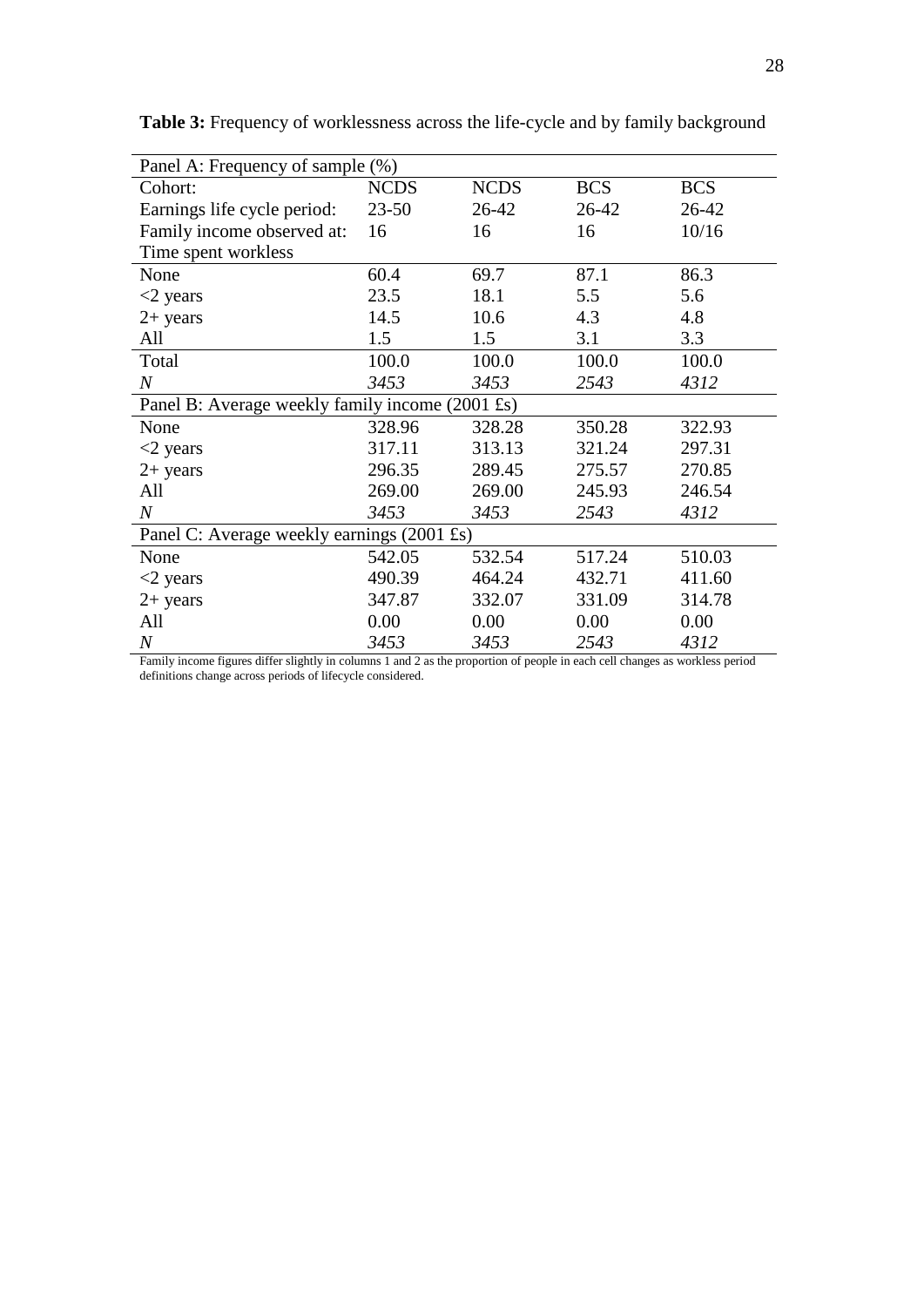| Panel A: Frequency of sample (%)                |             |             |            |            |  |  |  |
|-------------------------------------------------|-------------|-------------|------------|------------|--|--|--|
| Cohort:                                         | <b>NCDS</b> | <b>NCDS</b> | <b>BCS</b> | <b>BCS</b> |  |  |  |
| Earnings life cycle period:                     | $23 - 50$   | 26-42       | 26-42      | 26-42      |  |  |  |
| Family income observed at:                      | 16          | 16          | 16         | 10/16      |  |  |  |
| Time spent workless                             |             |             |            |            |  |  |  |
| None                                            | 60.4        | 69.7        | 87.1       | 86.3       |  |  |  |
| $<$ 2 years                                     | 23.5        | 18.1        | 5.5        | 5.6        |  |  |  |
| $2+$ years                                      | 14.5        | 10.6        | 4.3        | 4.8        |  |  |  |
| All                                             | 1.5         | 1.5         | 3.1        | 3.3        |  |  |  |
| Total                                           | 100.0       | 100.0       | 100.0      | 100.0      |  |  |  |
| $\boldsymbol{N}$                                | 3453        | 3453        | 2543       | 4312       |  |  |  |
| Panel B: Average weekly family income (2001 £s) |             |             |            |            |  |  |  |
| None                                            | 328.96      | 328.28      | 350.28     | 322.93     |  |  |  |
| $<$ 2 years                                     | 317.11      | 313.13      | 321.24     | 297.31     |  |  |  |
| $2+$ years                                      | 296.35      | 289.45      | 275.57     | 270.85     |  |  |  |
| All                                             | 269.00      | 269.00      | 245.93     | 246.54     |  |  |  |
| $\boldsymbol{N}$                                | 3453        | 3453        | 2543       | 4312       |  |  |  |
| Panel C: Average weekly earnings (2001 £s)      |             |             |            |            |  |  |  |
| None                                            | 542.05      | 532.54      | 517.24     | 510.03     |  |  |  |
| $<$ 2 years                                     | 490.39      | 464.24      | 432.71     | 411.60     |  |  |  |
| $2+$ years                                      | 347.87      | 332.07      | 331.09     | 314.78     |  |  |  |
| All                                             | 0.00        | 0.00        | 0.00       | 0.00       |  |  |  |
| $\boldsymbol{N}$                                | 3453        | 3453        | 2543       | 4312       |  |  |  |

**Table 3:** Frequency of worklessness across the life-cycle and by family background

Family income figures differ slightly in columns 1 and 2 as the proportion of people in each cell changes as workless period definitions change across periods of lifecycle considered.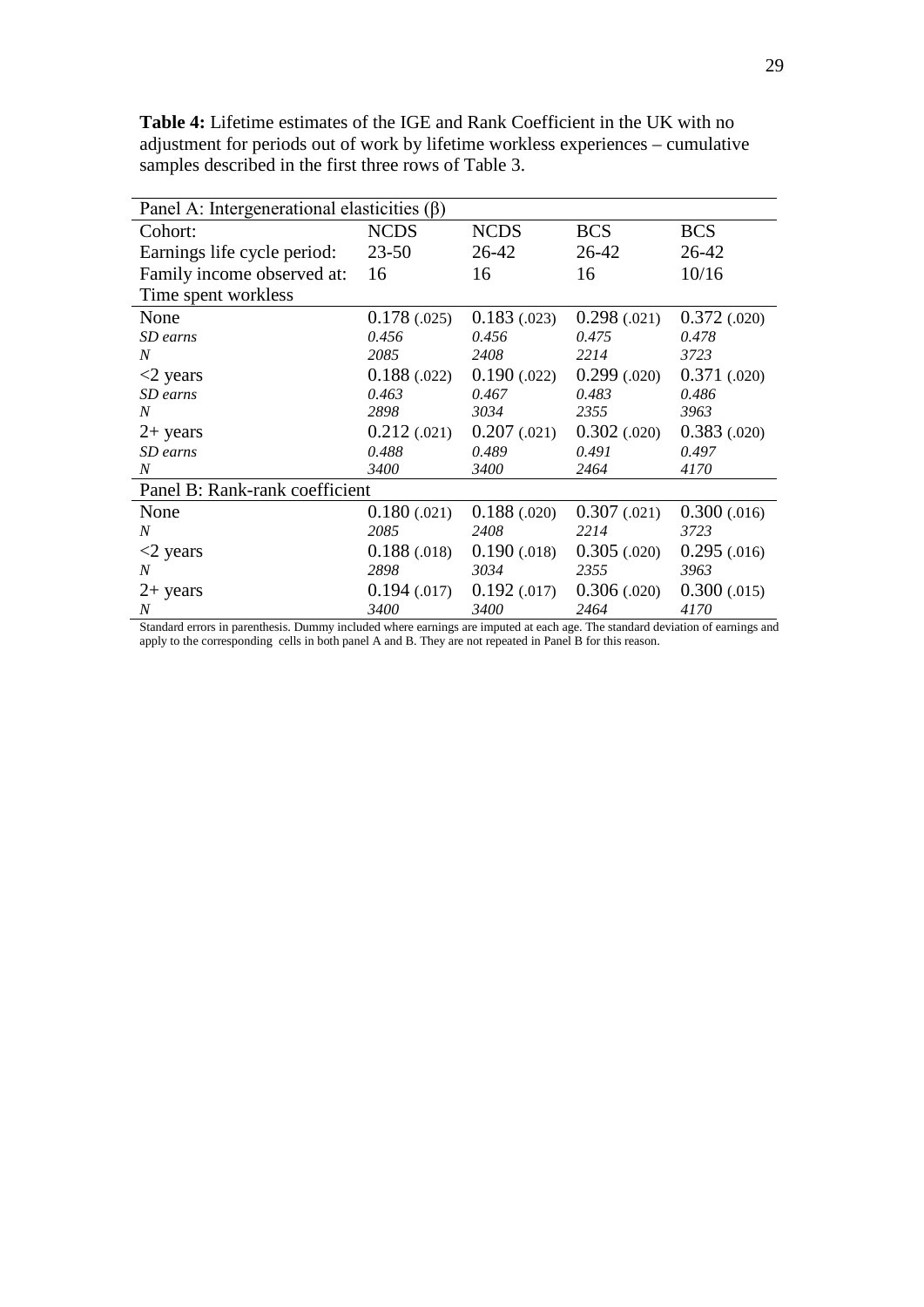Panel A: Intergenerational elasticities (β) Cohort: Earnings life cycle period: Family income observed at: Time spent workless NCDS 23-50 16 NCDS 26-42 16 BCS 26-42 16 **BCS** 26-42 10/16 None 0.178 (.025) 0.183 (.023) 0.298 (.021) 0.372 (.020)<br>
SD earns 0.456 0.456 0.475 0.478 *SD earns 0.456 0.456 0.475 0.478 N 2085 2408 2214 3723* <2 years 0.188 (.022) 0.190 (.022) 0.299 (.020) 0.371 (.020) *SD earns 0.463 0.467 0.483 0.486 N 2898 3034 2355 3963* 2+ years 0.212 (.021) 0.207 (.021) 0.302 (.020) 0.383 (.020)<br>
SD earns 0.488 0.489 0.491 0.497 *SD earns 0.488 0.489 0.491 0.497 N 3400 3400 2464 4170* Panel B: Rank-rank coefficient None 0.180 (.021) 0.188 (.020) 0.307 (.021) 0.300 (.016) *N 2085 2408 2214 3723*  $\langle 2 \rangle$  years 0.188 (.018) 0.190 (.018) 0.305 (.020) 0.295 (.016) *N 2898 3034 2355 3963* 2+ years 0.194 (.017) 0.192 (.017) 0.306 (.020) 0.300 (.015) *N 3400 3400 2464 4170*

**Table 4:** Lifetime estimates of the IGE and Rank Coefficient in the UK with no adjustment for periods out of work by lifetime workless experiences – cumulative samples described in the first three rows of Table 3.

Standard errors in parenthesis. Dummy included where earnings are imputed at each age. The standard deviation of earnings and apply to the corresponding cells in both panel A and B. They are not repeated in Panel B for this reason.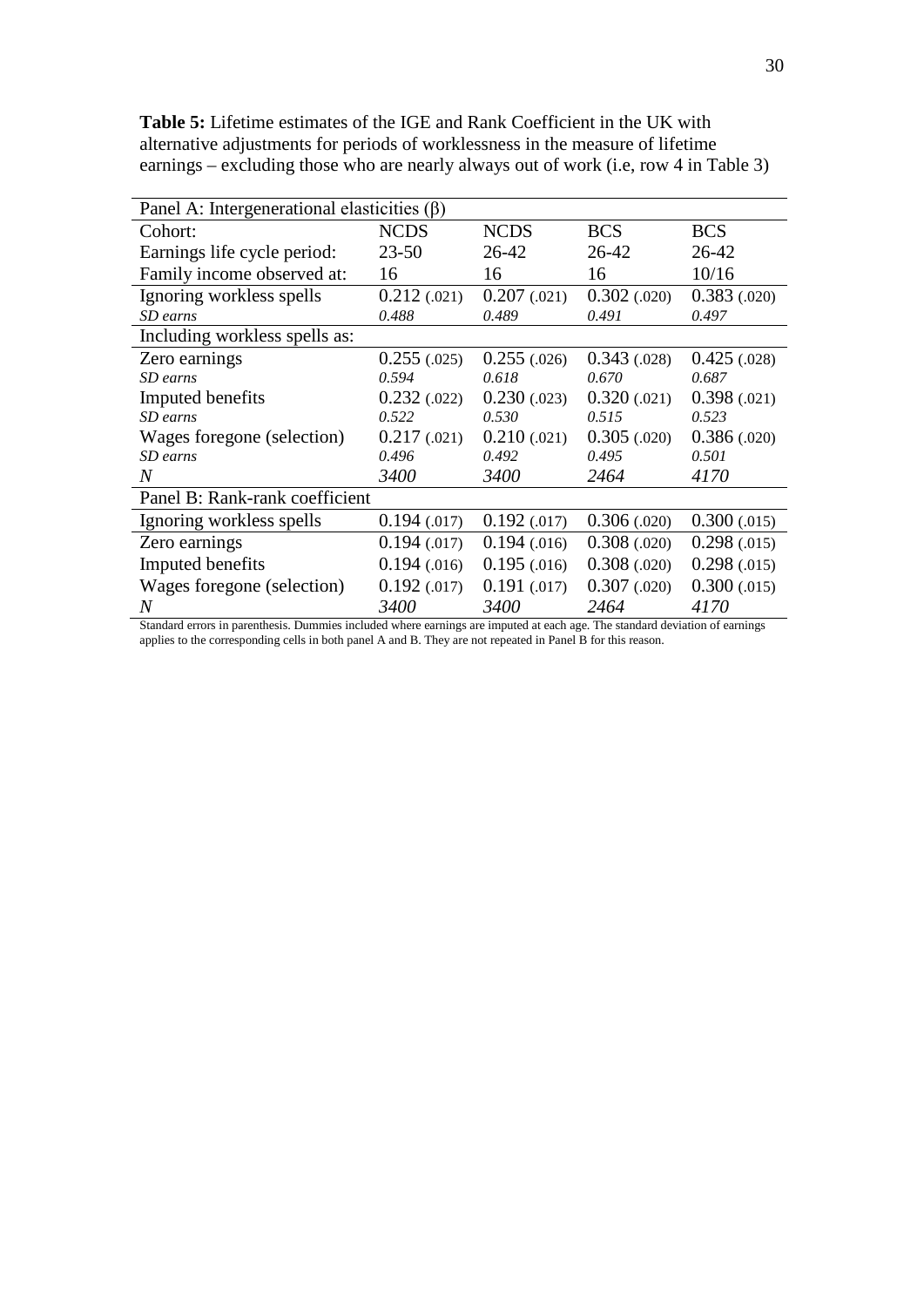| Panel A: Intergenerational elasticities $(\beta)$ |              |              |              |              |  |  |  |  |
|---------------------------------------------------|--------------|--------------|--------------|--------------|--|--|--|--|
| Cohort:                                           | <b>NCDS</b>  | <b>NCDS</b>  | <b>BCS</b>   | <b>BCS</b>   |  |  |  |  |
| Earnings life cycle period:                       | $23 - 50$    | 26-42        | 26-42        | 26-42        |  |  |  |  |
| Family income observed at:                        | 16           | 16           | 16           | 10/16        |  |  |  |  |
| Ignoring workless spells                          | 0.212(0.021) | 0.207(0.021) | 0.302(0.020) | 0.383(0.020) |  |  |  |  |
| SD earns                                          | 0.488        | 0.489        | 0.491        | 0.497        |  |  |  |  |
| Including workless spells as:                     |              |              |              |              |  |  |  |  |
| Zero earnings                                     | 0.255(.025)  | 0.255(.026)  | 0.343(0.028) | 0.425(.028)  |  |  |  |  |
| SD earns                                          | 0.594        | 0.618        | 0.670        | 0.687        |  |  |  |  |
| Imputed benefits                                  | 0.232(0.022) | 0.230(0.023) | 0.320(0.021) | 0.398(0.021) |  |  |  |  |
| SD earns                                          | 0.522        | 0.530        | 0.515        | 0.523        |  |  |  |  |
| Wages foregone (selection)                        | 0.217(0.021) | 0.210(0.021) | 0.305(0.020) | 0.386(0.020) |  |  |  |  |
| SD earns                                          | 0.496        | 0.492        | 0.495        | 0.501        |  |  |  |  |
| $\overline{N}$                                    | 3400         | 3400         | 2464         | 4170         |  |  |  |  |
| Panel B: Rank-rank coefficient                    |              |              |              |              |  |  |  |  |
| Ignoring workless spells                          | 0.194(0.017) | 0.192(0.017) | 0.306(0.020) | 0.300(0.015) |  |  |  |  |
| Zero earnings                                     | 0.194(0.017) | 0.194(0.016) | 0.308(0.020) | 0.298(.015)  |  |  |  |  |
| Imputed benefits                                  | 0.194(0.016) | 0.195(0.016) | 0.308(0.020) | 0.298(.015)  |  |  |  |  |
| Wages foregone (selection)                        | 0.192(0.017) | 0.191(0.017) | 0.307(0.020) | 0.300(0.015) |  |  |  |  |
| $\,N$                                             | 3400         | 3400         | 2464         | 4170         |  |  |  |  |

**Table 5:** Lifetime estimates of the IGE and Rank Coefficient in the UK with alternative adjustments for periods of worklessness in the measure of lifetime earnings – excluding those who are nearly always out of work (i.e, row 4 in Table 3)

Standard errors in parenthesis. Dummies included where earnings are imputed at each age. The standard deviation of earnings applies to the corresponding cells in both panel A and B. They are not repeated in Panel B for this reason.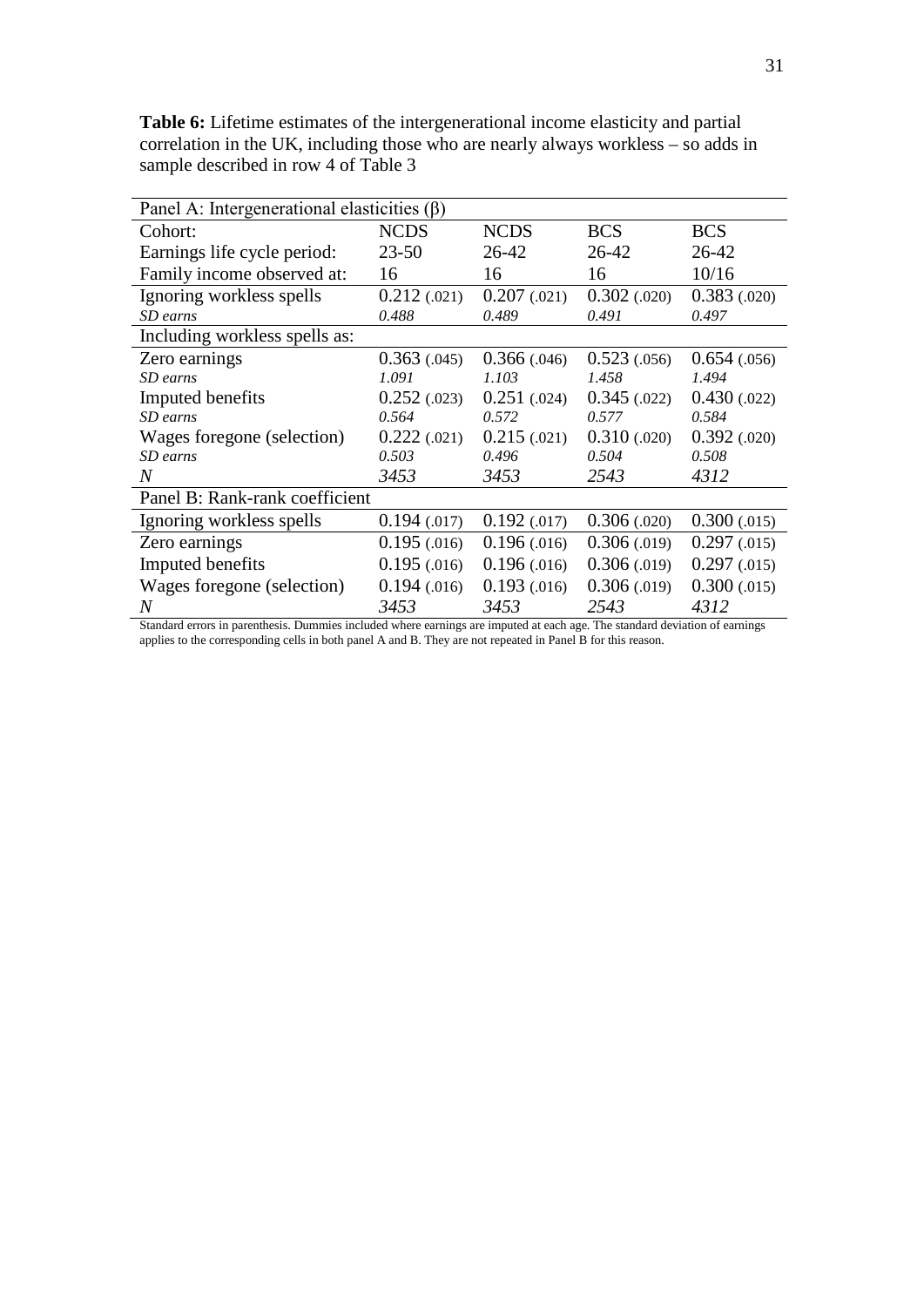| Panel A: Intergenerational elasticities $(\beta)$ |              |              |              |              |  |  |  |  |
|---------------------------------------------------|--------------|--------------|--------------|--------------|--|--|--|--|
| Cohort:                                           | <b>NCDS</b>  | <b>NCDS</b>  | <b>BCS</b>   | <b>BCS</b>   |  |  |  |  |
| Earnings life cycle period:                       | $23 - 50$    | 26-42        | 26-42        | 26-42        |  |  |  |  |
| Family income observed at:                        | 16           | 16           | 16           | 10/16        |  |  |  |  |
| Ignoring workless spells                          | 0.212(0.021) | 0.207(0.021) | 0.302(0.020) | 0.383(0.020) |  |  |  |  |
| SD earns                                          | 0.488        | 0.489        | 0.491        | 0.497        |  |  |  |  |
| Including workless spells as:                     |              |              |              |              |  |  |  |  |
| Zero earnings                                     | 0.363(0.045) | 0.366(0.046) | 0.523(0.056) | 0.654(0.056) |  |  |  |  |
| SD earns                                          | 1.091        | 1.103        | 1.458        | 1.494        |  |  |  |  |
| Imputed benefits                                  | 0.252(0.023) | 0.251(0.024) | 0.345(0.022) | 0.430(0.022) |  |  |  |  |
| SD earns                                          | 0.564        | 0.572        | 0.577        | 0.584        |  |  |  |  |
| Wages foregone (selection)                        | 0.222(0.021) | 0.215(0.021) | 0.310(0.020) | 0.392(0.020) |  |  |  |  |
| SD earns                                          | 0.503        | 0.496        | 0.504        | 0.508        |  |  |  |  |
| $\overline{N}$                                    | 3453         | 3453         | 2543         | 4312         |  |  |  |  |
| Panel B: Rank-rank coefficient                    |              |              |              |              |  |  |  |  |
| Ignoring workless spells                          | 0.194(0.017) | 0.192(0.017) | 0.306(.020)  | 0.300(0.015) |  |  |  |  |
| Zero earnings                                     | 0.195(0.016) | 0.196(0.016) | 0.306(0.019) | 0.297(0.015) |  |  |  |  |
| Imputed benefits                                  | 0.195(.016)  | 0.196(0.016) | 0.306(0.019) | 0.297(0.015) |  |  |  |  |
| Wages foregone (selection)                        | 0.194(0.016) | 0.193(0.016) | 0.306(0.019) | 0.300(0.015) |  |  |  |  |
| $\it N$                                           | 3453         | 3453         | 2543         | 4312         |  |  |  |  |

**Table 6:** Lifetime estimates of the intergenerational income elasticity and partial correlation in the UK, including those who are nearly always workless – so adds in sample described in row 4 of Table 3

Standard errors in parenthesis. Dummies included where earnings are imputed at each age. The standard deviation of earnings applies to the corresponding cells in both panel A and B. They are not repeated in Panel B for this reason.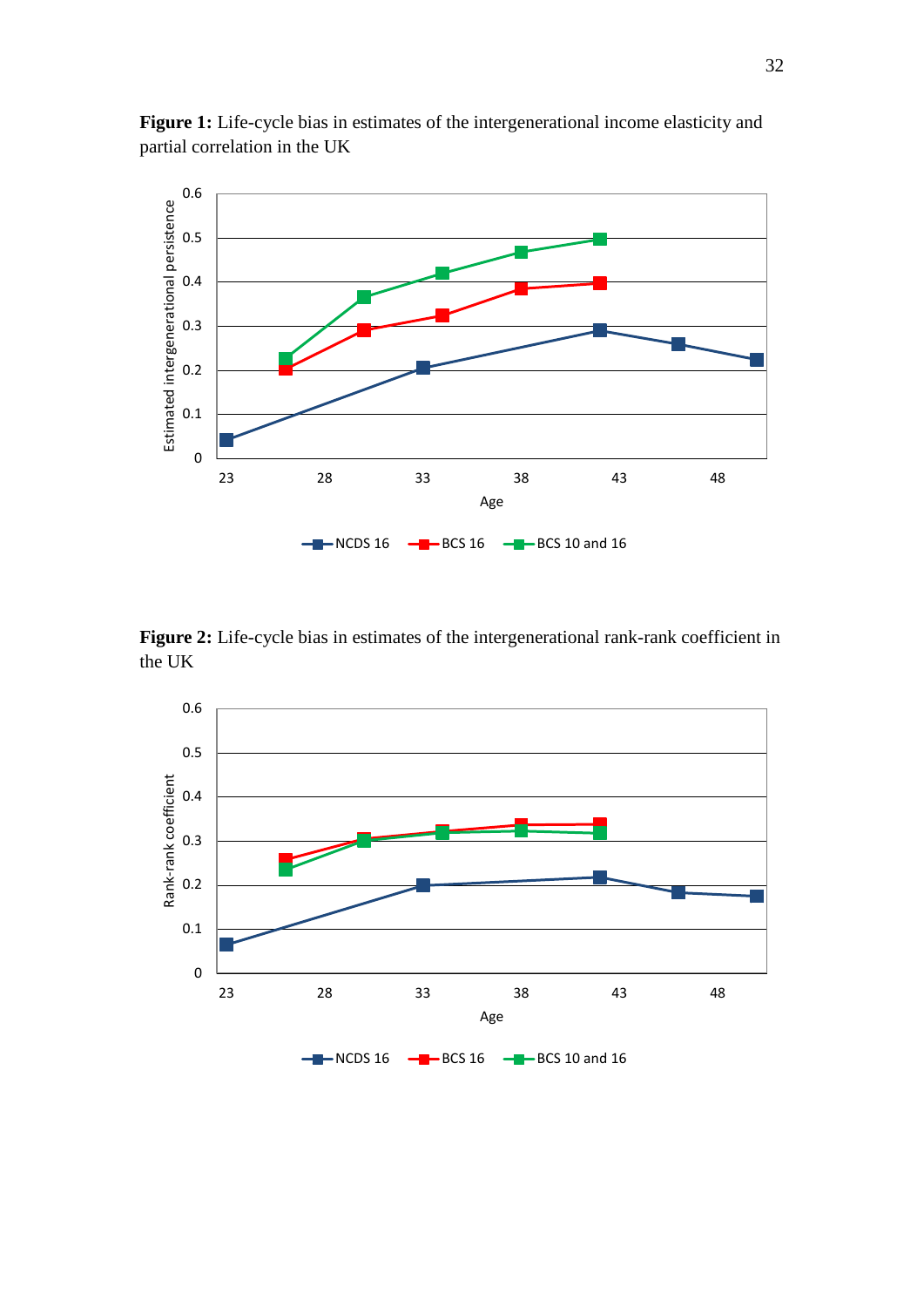

Figure 1: Life-cycle bias in estimates of the intergenerational income elasticity and partial correlation in the UK

Figure 2: Life-cycle bias in estimates of the intergenerational rank-rank coefficient in the UK

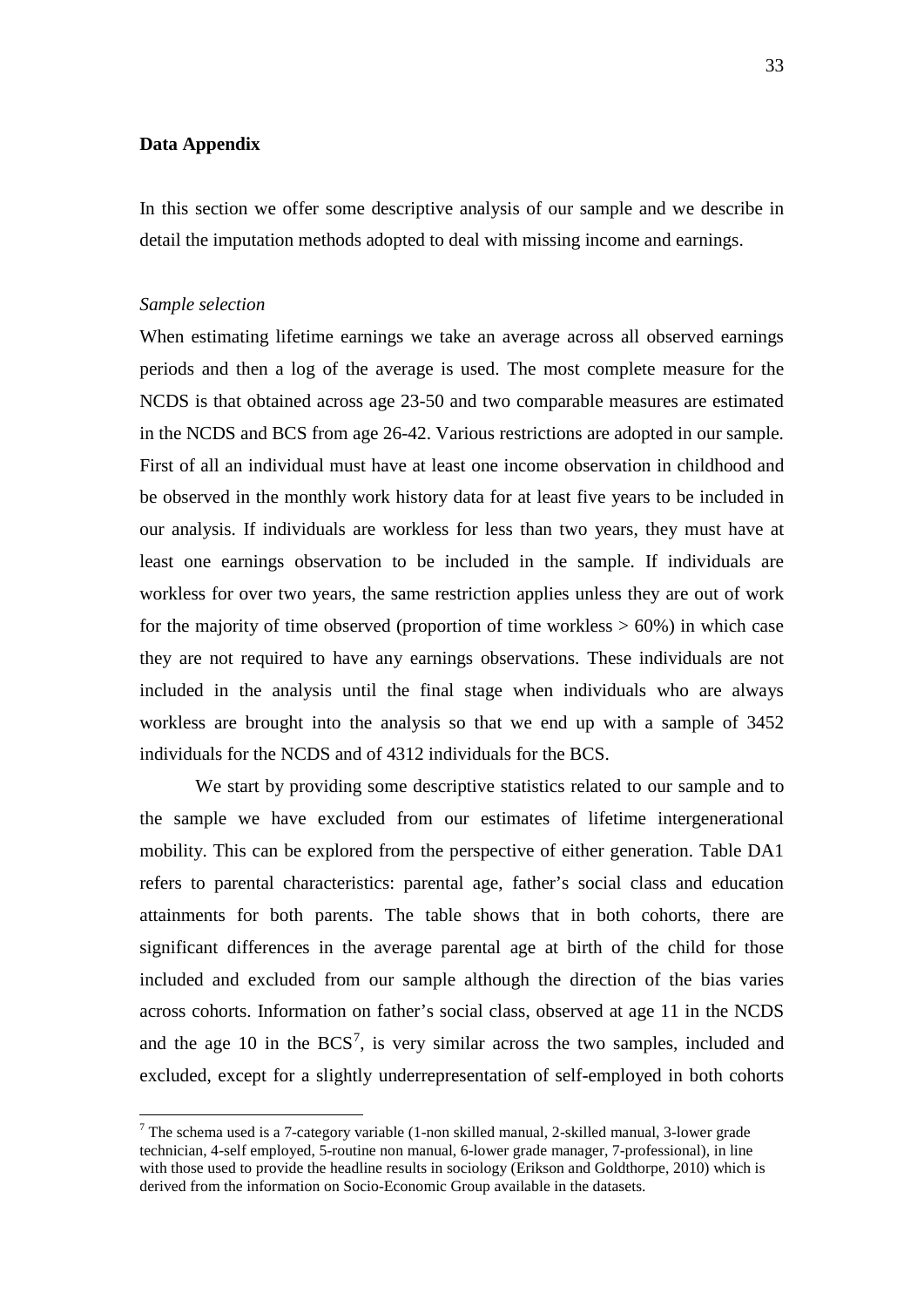### **Data Appendix**

In this section we offer some descriptive analysis of our sample and we describe in detail the imputation methods adopted to deal with missing income and earnings.

#### *Sample selection*

<u>.</u>

When estimating lifetime earnings we take an average across all observed earnings periods and then a log of the average is used. The most complete measure for the NCDS is that obtained across age 23-50 and two comparable measures are estimated in the NCDS and BCS from age 26-42. Various restrictions are adopted in our sample. First of all an individual must have at least one income observation in childhood and be observed in the monthly work history data for at least five years to be included in our analysis. If individuals are workless for less than two years, they must have at least one earnings observation to be included in the sample. If individuals are workless for over two years, the same restriction applies unless they are out of work for the majority of time observed (proportion of time workless  $> 60\%$ ) in which case they are not required to have any earnings observations. These individuals are not included in the analysis until the final stage when individuals who are always workless are brought into the analysis so that we end up with a sample of 3452 individuals for the NCDS and of 4312 individuals for the BCS.

We start by providing some descriptive statistics related to our sample and to the sample we have excluded from our estimates of lifetime intergenerational mobility. This can be explored from the perspective of either generation. Table DA1 refers to parental characteristics: parental age, father's social class and education attainments for both parents. The table shows that in both cohorts, there are significant differences in the average parental age at birth of the child for those included and excluded from our sample although the direction of the bias varies across cohorts. Information on father's social class, observed at age 11 in the NCDS and the age 10 in the  $BCS<sup>7</sup>$  $BCS<sup>7</sup>$  $BCS<sup>7</sup>$ , is very similar across the two samples, included and excluded, except for a slightly underrepresentation of self-employed in both cohorts

<span id="page-34-0"></span><sup>&</sup>lt;sup>7</sup> The schema used is a 7-category variable (1-non skilled manual, 2-skilled manual, 3-lower grade technician, 4-self employed, 5-routine non manual, 6-lower grade manager, 7-professional), in line with those used to provide the headline results in sociology (Erikson and Goldthorpe, 2010) which is derived from the information on Socio-Economic Group available in the datasets.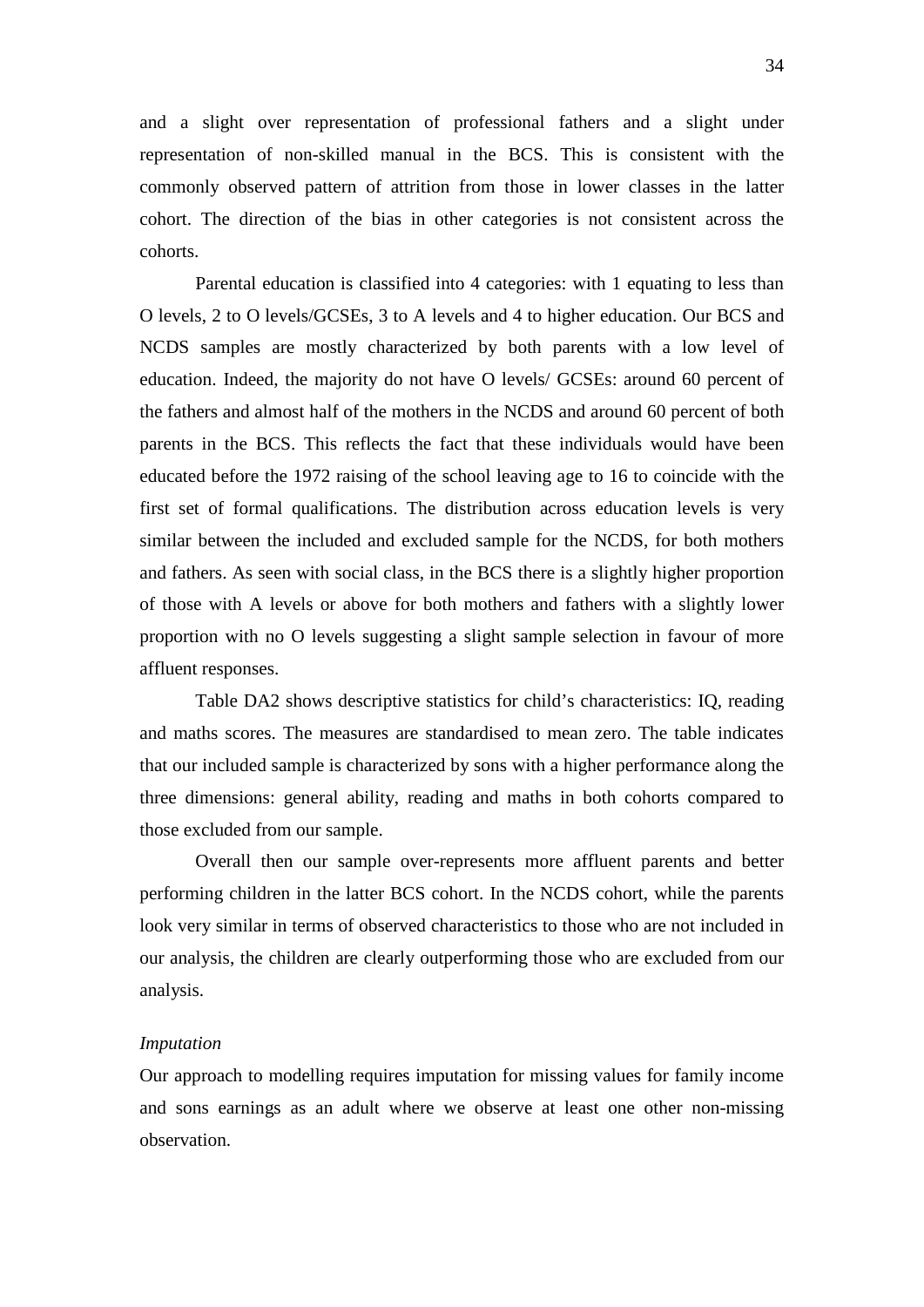and a slight over representation of professional fathers and a slight under representation of non-skilled manual in the BCS. This is consistent with the commonly observed pattern of attrition from those in lower classes in the latter cohort. The direction of the bias in other categories is not consistent across the cohorts.

Parental education is classified into 4 categories: with 1 equating to less than O levels, 2 to O levels/GCSEs, 3 to A levels and 4 to higher education. Our BCS and NCDS samples are mostly characterized by both parents with a low level of education. Indeed, the majority do not have O levels/ GCSEs: around 60 percent of the fathers and almost half of the mothers in the NCDS and around 60 percent of both parents in the BCS. This reflects the fact that these individuals would have been educated before the 1972 raising of the school leaving age to 16 to coincide with the first set of formal qualifications. The distribution across education levels is very similar between the included and excluded sample for the NCDS, for both mothers and fathers. As seen with social class, in the BCS there is a slightly higher proportion of those with A levels or above for both mothers and fathers with a slightly lower proportion with no O levels suggesting a slight sample selection in favour of more affluent responses.

Table DA2 shows descriptive statistics for child's characteristics: IQ, reading and maths scores. The measures are standardised to mean zero. The table indicates that our included sample is characterized by sons with a higher performance along the three dimensions: general ability, reading and maths in both cohorts compared to those excluded from our sample.

Overall then our sample over-represents more affluent parents and better performing children in the latter BCS cohort. In the NCDS cohort, while the parents look very similar in terms of observed characteristics to those who are not included in our analysis, the children are clearly outperforming those who are excluded from our analysis.

### *Imputation*

Our approach to modelling requires imputation for missing values for family income and sons earnings as an adult where we observe at least one other non-missing observation.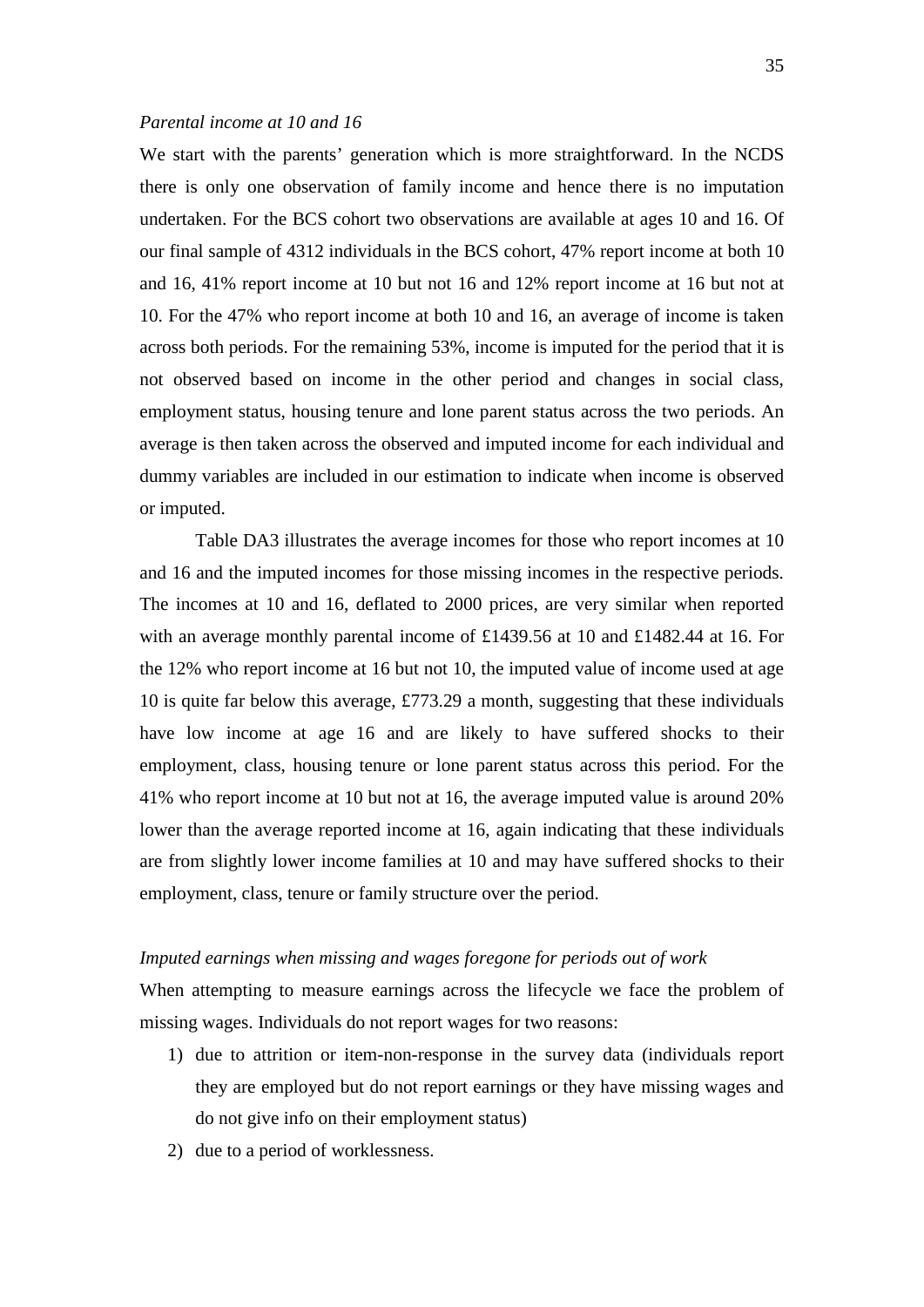### *Parental income at 10 and 16*

We start with the parents' generation which is more straightforward. In the NCDS there is only one observation of family income and hence there is no imputation undertaken. For the BCS cohort two observations are available at ages 10 and 16. Of our final sample of 4312 individuals in the BCS cohort, 47% report income at both 10 and 16, 41% report income at 10 but not 16 and 12% report income at 16 but not at 10. For the 47% who report income at both 10 and 16, an average of income is taken across both periods. For the remaining 53%, income is imputed for the period that it is not observed based on income in the other period and changes in social class, employment status, housing tenure and lone parent status across the two periods. An average is then taken across the observed and imputed income for each individual and dummy variables are included in our estimation to indicate when income is observed or imputed.

Table DA3 illustrates the average incomes for those who report incomes at 10 and 16 and the imputed incomes for those missing incomes in the respective periods. The incomes at 10 and 16, deflated to 2000 prices, are very similar when reported with an average monthly parental income of £1439.56 at 10 and £1482.44 at 16. For the 12% who report income at 16 but not 10, the imputed value of income used at age 10 is quite far below this average, £773.29 a month, suggesting that these individuals have low income at age 16 and are likely to have suffered shocks to their employment, class, housing tenure or lone parent status across this period. For the 41% who report income at 10 but not at 16, the average imputed value is around 20% lower than the average reported income at 16, again indicating that these individuals are from slightly lower income families at 10 and may have suffered shocks to their employment, class, tenure or family structure over the period.

### *Imputed earnings when missing and wages foregone for periods out of work*

When attempting to measure earnings across the lifecycle we face the problem of missing wages. Individuals do not report wages for two reasons:

- 1) due to attrition or item-non-response in the survey data (individuals report they are employed but do not report earnings or they have missing wages and do not give info on their employment status)
- 2) due to a period of worklessness.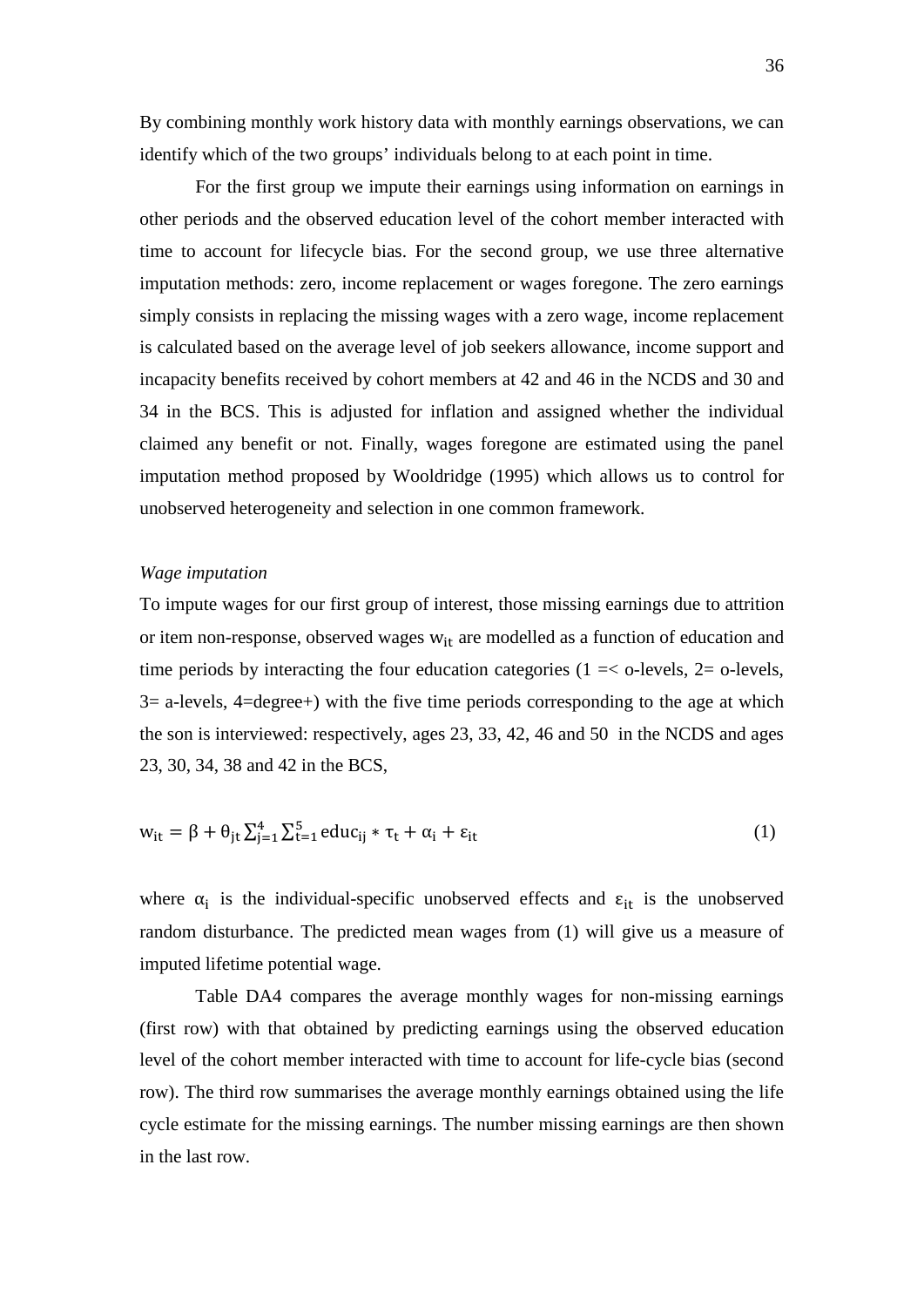By combining monthly work history data with monthly earnings observations, we can identify which of the two groups' individuals belong to at each point in time.

For the first group we impute their earnings using information on earnings in other periods and the observed education level of the cohort member interacted with time to account for lifecycle bias. For the second group, we use three alternative imputation methods: zero, income replacement or wages foregone. The zero earnings simply consists in replacing the missing wages with a zero wage, income replacement is calculated based on the average level of job seekers allowance, income support and incapacity benefits received by cohort members at 42 and 46 in the NCDS and 30 and 34 in the BCS. This is adjusted for inflation and assigned whether the individual claimed any benefit or not. Finally, wages foregone are estimated using the panel imputation method proposed by Wooldridge (1995) which allows us to control for unobserved heterogeneity and selection in one common framework.

### *Wage imputation*

To impute wages for our first group of interest, those missing earnings due to attrition or item non-response, observed wages  $w_{it}$  are modelled as a function of education and time periods by interacting the four education categories ( $1 = <$  o-levels,  $2 =$  o-levels,  $3=$  a-levels,  $4=$ degree+) with the five time periods corresponding to the age at which the son is interviewed: respectively, ages 23, 33, 42, 46 and 50 in the NCDS and ages 23, 30, 34, 38 and 42 in the BCS,

$$
w_{it} = \beta + \theta_{jt} \sum_{j=1}^{4} \sum_{t=1}^{5} educ_{ij} * \tau_t + \alpha_i + \varepsilon_{it}
$$
 (1)

where  $\alpha_i$  is the individual-specific unobserved effects and  $\varepsilon_{it}$  is the unobserved random disturbance. The predicted mean wages from (1) will give us a measure of imputed lifetime potential wage.

Table DA4 compares the average monthly wages for non-missing earnings (first row) with that obtained by predicting earnings using the observed education level of the cohort member interacted with time to account for life-cycle bias (second row). The third row summarises the average monthly earnings obtained using the life cycle estimate for the missing earnings. The number missing earnings are then shown in the last row.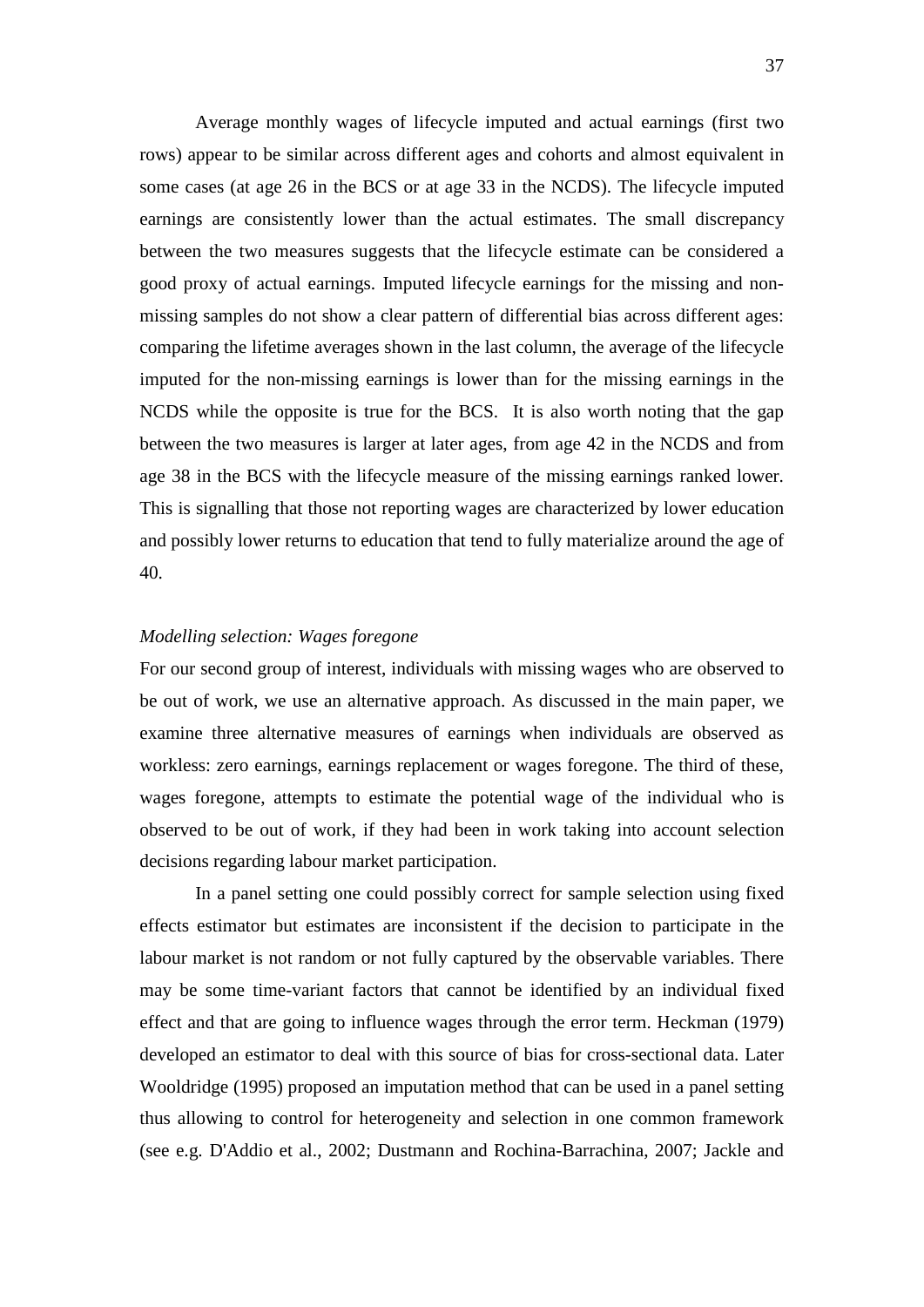Average monthly wages of lifecycle imputed and actual earnings (first two rows) appear to be similar across different ages and cohorts and almost equivalent in some cases (at age 26 in the BCS or at age 33 in the NCDS). The lifecycle imputed earnings are consistently lower than the actual estimates. The small discrepancy between the two measures suggests that the lifecycle estimate can be considered a good proxy of actual earnings. Imputed lifecycle earnings for the missing and nonmissing samples do not show a clear pattern of differential bias across different ages: comparing the lifetime averages shown in the last column, the average of the lifecycle imputed for the non-missing earnings is lower than for the missing earnings in the NCDS while the opposite is true for the BCS. It is also worth noting that the gap between the two measures is larger at later ages, from age 42 in the NCDS and from age 38 in the BCS with the lifecycle measure of the missing earnings ranked lower. This is signalling that those not reporting wages are characterized by lower education and possibly lower returns to education that tend to fully materialize around the age of 40.

### *Modelling selection: Wages foregone*

For our second group of interest, individuals with missing wages who are observed to be out of work, we use an alternative approach. As discussed in the main paper, we examine three alternative measures of earnings when individuals are observed as workless: zero earnings, earnings replacement or wages foregone. The third of these, wages foregone, attempts to estimate the potential wage of the individual who is observed to be out of work, if they had been in work taking into account selection decisions regarding labour market participation.

In a panel setting one could possibly correct for sample selection using fixed effects estimator but estimates are inconsistent if the decision to participate in the labour market is not random or not fully captured by the observable variables. There may be some time-variant factors that cannot be identified by an individual fixed effect and that are going to influence wages through the error term. Heckman (1979) developed an estimator to deal with this source of bias for cross-sectional data. Later Wooldridge (1995) proposed an imputation method that can be used in a panel setting thus allowing to control for heterogeneity and selection in one common framework (see e.g. D'Addio et al., 2002; Dustmann and Rochina-Barrachina, 2007; Jackle and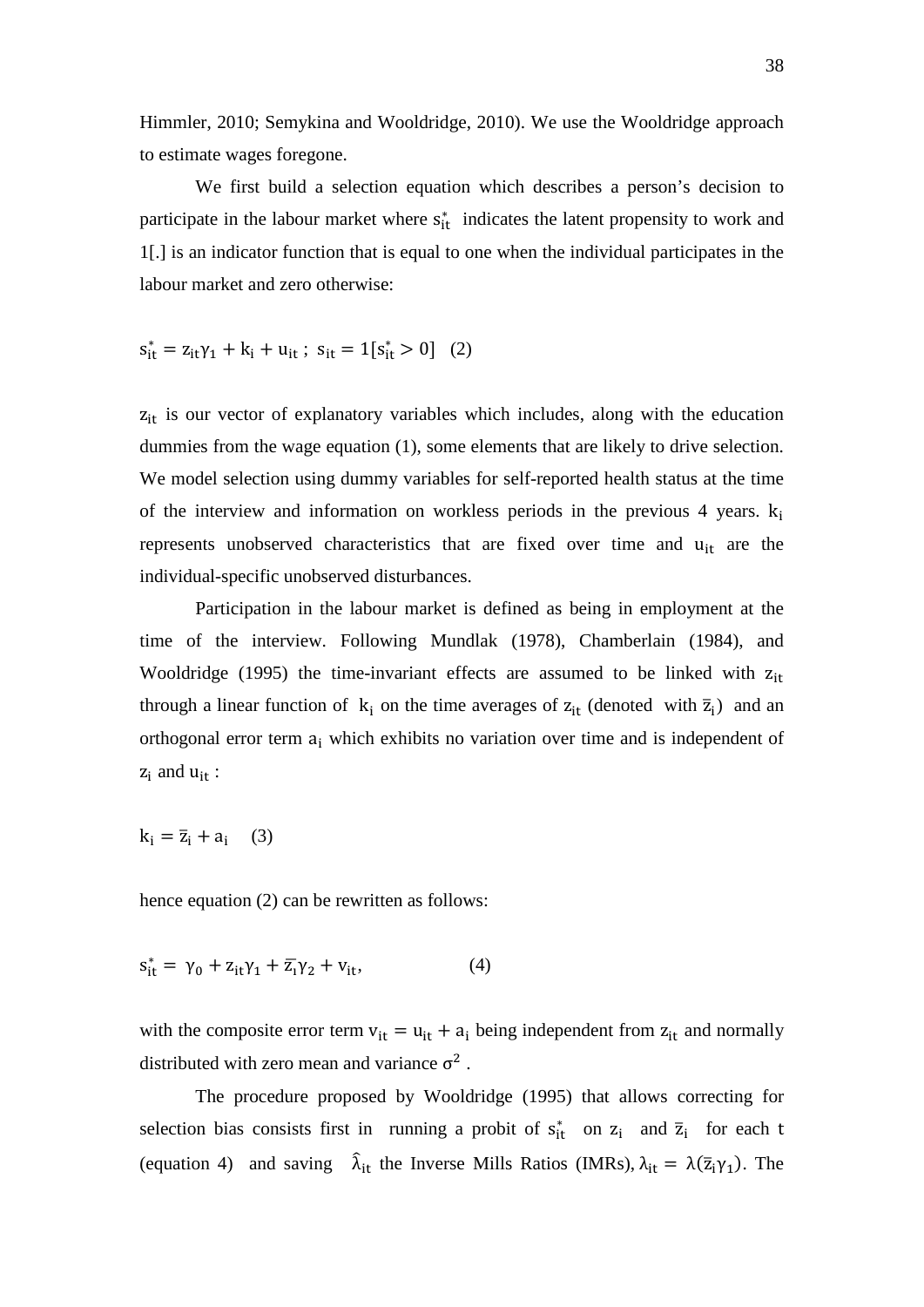Himmler, 2010; Semykina and Wooldridge, 2010). We use the Wooldridge approach to estimate wages foregone.

We first build a selection equation which describes a person's decision to participate in the labour market where  $s_{it}^*$  indicates the latent propensity to work and 1[.] is an indicator function that is equal to one when the individual participates in the labour market and zero otherwise:

 $s_{it}^* = z_{it}\gamma_1 + k_i + u_{it}$ ;  $s_{it} = 1[s_{it}^* > 0]$  (2)

 $z<sub>it</sub>$  is our vector of explanatory variables which includes, along with the education dummies from the wage equation (1), some elements that are likely to drive selection. We model selection using dummy variables for self-reported health status at the time of the interview and information on workless periods in the previous 4 years.  $k_i$ represents unobserved characteristics that are fixed over time and u<sub>it</sub> are the individual-specific unobserved disturbances.

Participation in the labour market is defined as being in employment at the time of the interview. Following Mundlak (1978), Chamberlain (1984), and Wooldridge (1995) the time-invariant effects are assumed to be linked with  $z<sub>it</sub>$ through a linear function of  $k_i$  on the time averages of  $z_{it}$  (denoted with  $\bar{z}_i$ ) and an orthogonal error term  $a_i$  which exhibits no variation over time and is independent of  $z_i$  and  $u_{it}$ :

 $k_i = \bar{z}_i + a_i$  (3)

hence equation (2) can be rewritten as follows:

$$
s_{it}^* = \gamma_0 + z_{it}\gamma_1 + \overline{z}_i\gamma_2 + v_{it},\tag{4}
$$

with the composite error term  $v_{it} = u_{it} + a_i$  being independent from  $z_{it}$  and normally distributed with zero mean and variance  $\sigma^2$ .

The procedure proposed by Wooldridge (1995) that allows correcting for selection bias consists first in running a probit of  $s_{it}^*$  on  $z_i$  and  $\overline{z}_i$  for each t (equation 4) and saving  $\hat{\lambda}_{it}$  the Inverse Mills Ratios (IMRs),  $\lambda_{it} = \lambda(\bar{z}_i \gamma_1)$ . The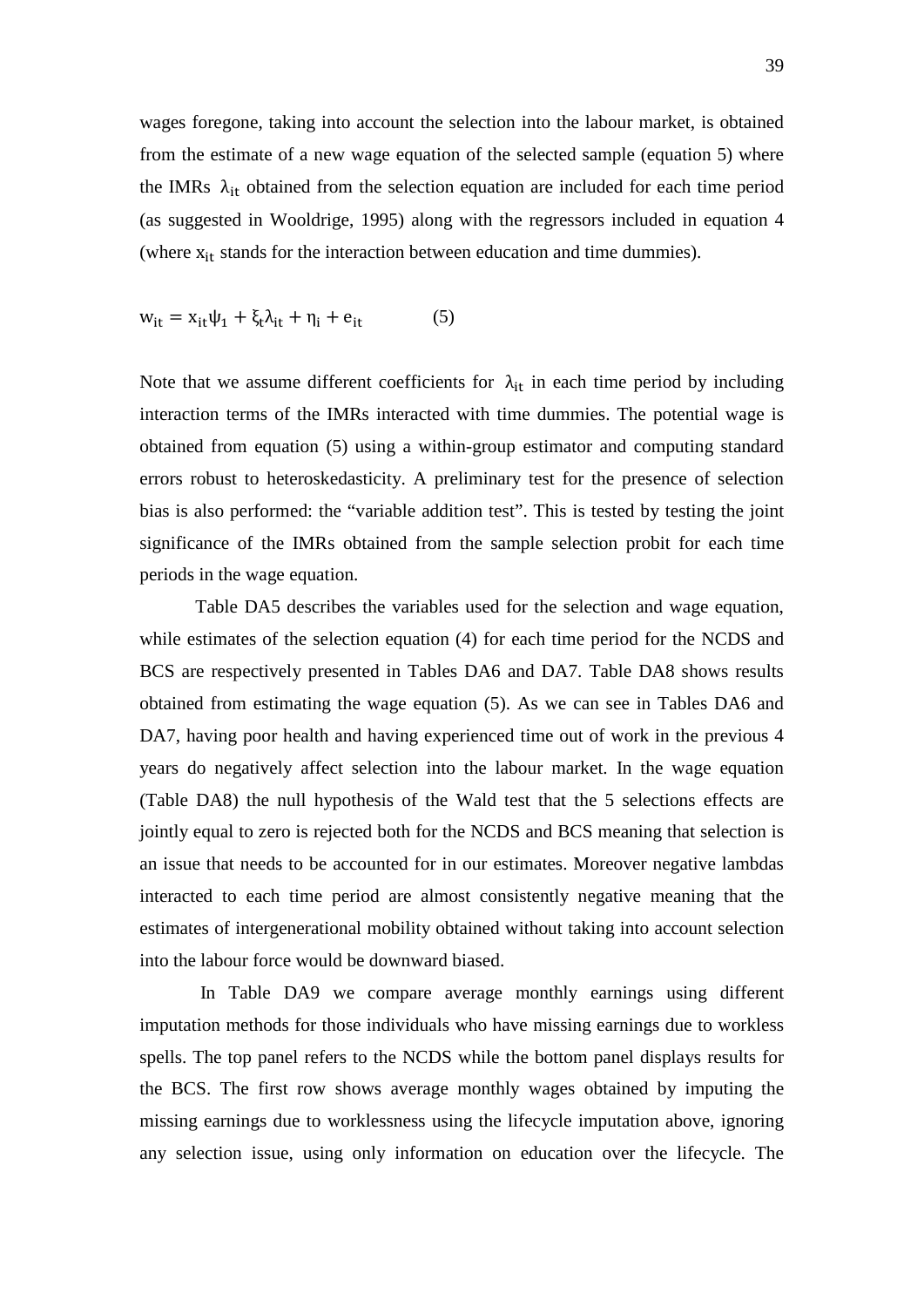wages foregone, taking into account the selection into the labour market, is obtained from the estimate of a new wage equation of the selected sample (equation 5) where the IMRs  $\lambda_{it}$  obtained from the selection equation are included for each time period (as suggested in Wooldrige, 1995) along with the regressors included in equation 4 (where  $x_{it}$  stands for the interaction between education and time dummies).

$$
w_{it} = x_{it}\psi_1 + \xi_t \lambda_{it} + \eta_i + e_{it}
$$
 (5)

Note that we assume different coefficients for  $\lambda_{it}$  in each time period by including interaction terms of the IMRs interacted with time dummies. The potential wage is obtained from equation (5) using a within-group estimator and computing standard errors robust to heteroskedasticity. A preliminary test for the presence of selection bias is also performed: the "variable addition test". This is tested by testing the joint significance of the IMRs obtained from the sample selection probit for each time periods in the wage equation.

Table DA5 describes the variables used for the selection and wage equation, while estimates of the selection equation (4) for each time period for the NCDS and BCS are respectively presented in Tables DA6 and DA7. Table DA8 shows results obtained from estimating the wage equation (5). As we can see in Tables DA6 and DA7, having poor health and having experienced time out of work in the previous 4 years do negatively affect selection into the labour market. In the wage equation (Table DA8) the null hypothesis of the Wald test that the 5 selections effects are jointly equal to zero is rejected both for the NCDS and BCS meaning that selection is an issue that needs to be accounted for in our estimates. Moreover negative lambdas interacted to each time period are almost consistently negative meaning that the estimates of intergenerational mobility obtained without taking into account selection into the labour force would be downward biased.

In Table DA9 we compare average monthly earnings using different imputation methods for those individuals who have missing earnings due to workless spells. The top panel refers to the NCDS while the bottom panel displays results for the BCS. The first row shows average monthly wages obtained by imputing the missing earnings due to worklessness using the lifecycle imputation above, ignoring any selection issue, using only information on education over the lifecycle. The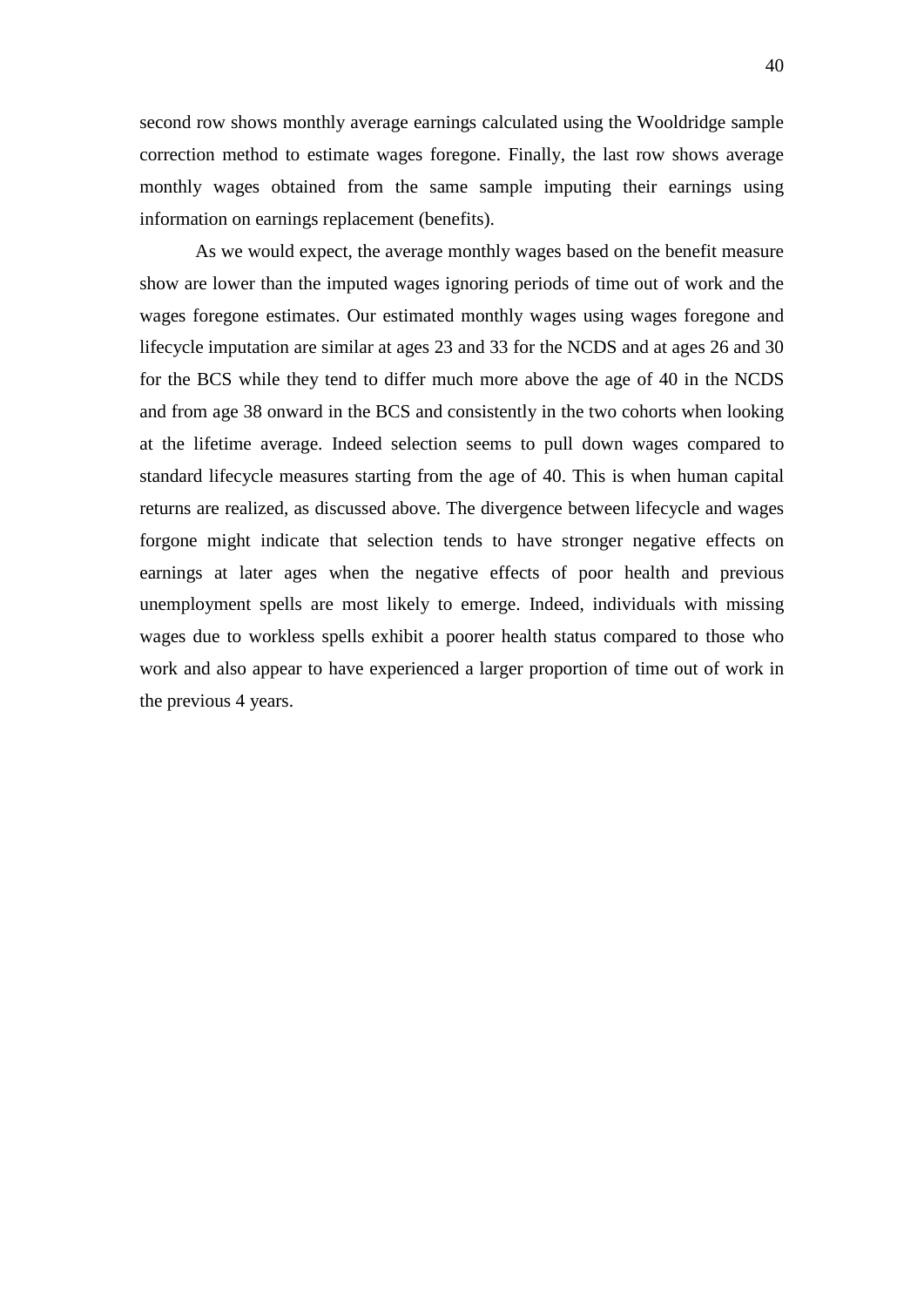second row shows monthly average earnings calculated using the Wooldridge sample correction method to estimate wages foregone. Finally, the last row shows average monthly wages obtained from the same sample imputing their earnings using information on earnings replacement (benefits).

As we would expect, the average monthly wages based on the benefit measure show are lower than the imputed wages ignoring periods of time out of work and the wages foregone estimates. Our estimated monthly wages using wages foregone and lifecycle imputation are similar at ages 23 and 33 for the NCDS and at ages 26 and 30 for the BCS while they tend to differ much more above the age of 40 in the NCDS and from age 38 onward in the BCS and consistently in the two cohorts when looking at the lifetime average. Indeed selection seems to pull down wages compared to standard lifecycle measures starting from the age of 40. This is when human capital returns are realized, as discussed above. The divergence between lifecycle and wages forgone might indicate that selection tends to have stronger negative effects on earnings at later ages when the negative effects of poor health and previous unemployment spells are most likely to emerge. Indeed, individuals with missing wages due to workless spells exhibit a poorer health status compared to those who work and also appear to have experienced a larger proportion of time out of work in the previous 4 years.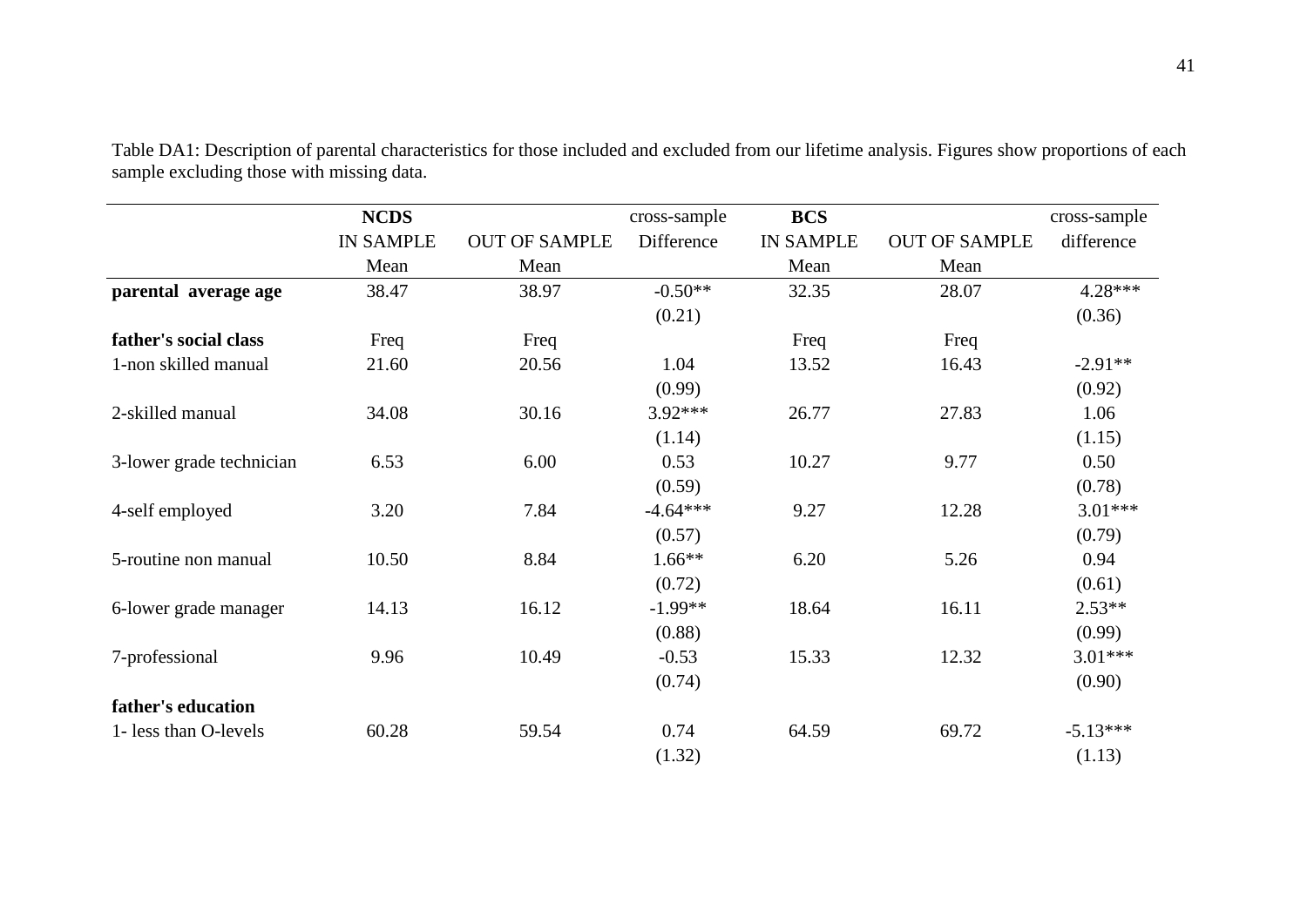|                          | <b>NCDS</b>      |                      | cross-sample | <b>BCS</b>       |                      | cross-sample |
|--------------------------|------------------|----------------------|--------------|------------------|----------------------|--------------|
|                          | <b>IN SAMPLE</b> | <b>OUT OF SAMPLE</b> | Difference   | <b>IN SAMPLE</b> | <b>OUT OF SAMPLE</b> | difference   |
|                          | Mean             | Mean                 |              | Mean             | Mean                 |              |
| parental average age     | 38.47            | 38.97                | $-0.50**$    | 32.35            | 28.07                | $4.28***$    |
|                          |                  |                      | (0.21)       |                  |                      | (0.36)       |
| father's social class    | Freq             | Freq                 |              | Freq             | Freq                 |              |
| 1-non skilled manual     | 21.60            | 20.56                | 1.04         | 13.52            | 16.43                | $-2.91**$    |
|                          |                  |                      | (0.99)       |                  |                      | (0.92)       |
| 2-skilled manual         | 34.08            | 30.16                | 3.92***      | 26.77            | 27.83                | 1.06         |
|                          |                  |                      | (1.14)       |                  |                      | (1.15)       |
| 3-lower grade technician | 6.53             | 6.00                 | 0.53         | 10.27            | 9.77                 | 0.50         |
|                          |                  |                      | (0.59)       |                  |                      | (0.78)       |
| 4-self employed          | 3.20             | 7.84                 | $-4.64***$   | 9.27             | 12.28                | $3.01***$    |
|                          |                  |                      | (0.57)       |                  |                      | (0.79)       |
| 5-routine non manual     | 10.50            | 8.84                 | $1.66**$     | 6.20             | 5.26                 | 0.94         |
|                          |                  |                      | (0.72)       |                  |                      | (0.61)       |
| 6-lower grade manager    | 14.13            | 16.12                | $-1.99**$    | 18.64            | 16.11                | $2.53**$     |
|                          |                  |                      | (0.88)       |                  |                      | (0.99)       |
| 7-professional           | 9.96             | 10.49                | $-0.53$      | 15.33            | 12.32                | 3.01***      |
|                          |                  |                      | (0.74)       |                  |                      | (0.90)       |
| father's education       |                  |                      |              |                  |                      |              |
| 1- less than O-levels    | 60.28            | 59.54                | 0.74         | 64.59            | 69.72                | $-5.13***$   |
|                          |                  |                      | (1.32)       |                  |                      | (1.13)       |

Table DA1: Description of parental characteristics for those included and excluded from our lifetime analysis. Figures show proportions of each sample excluding those with missing data.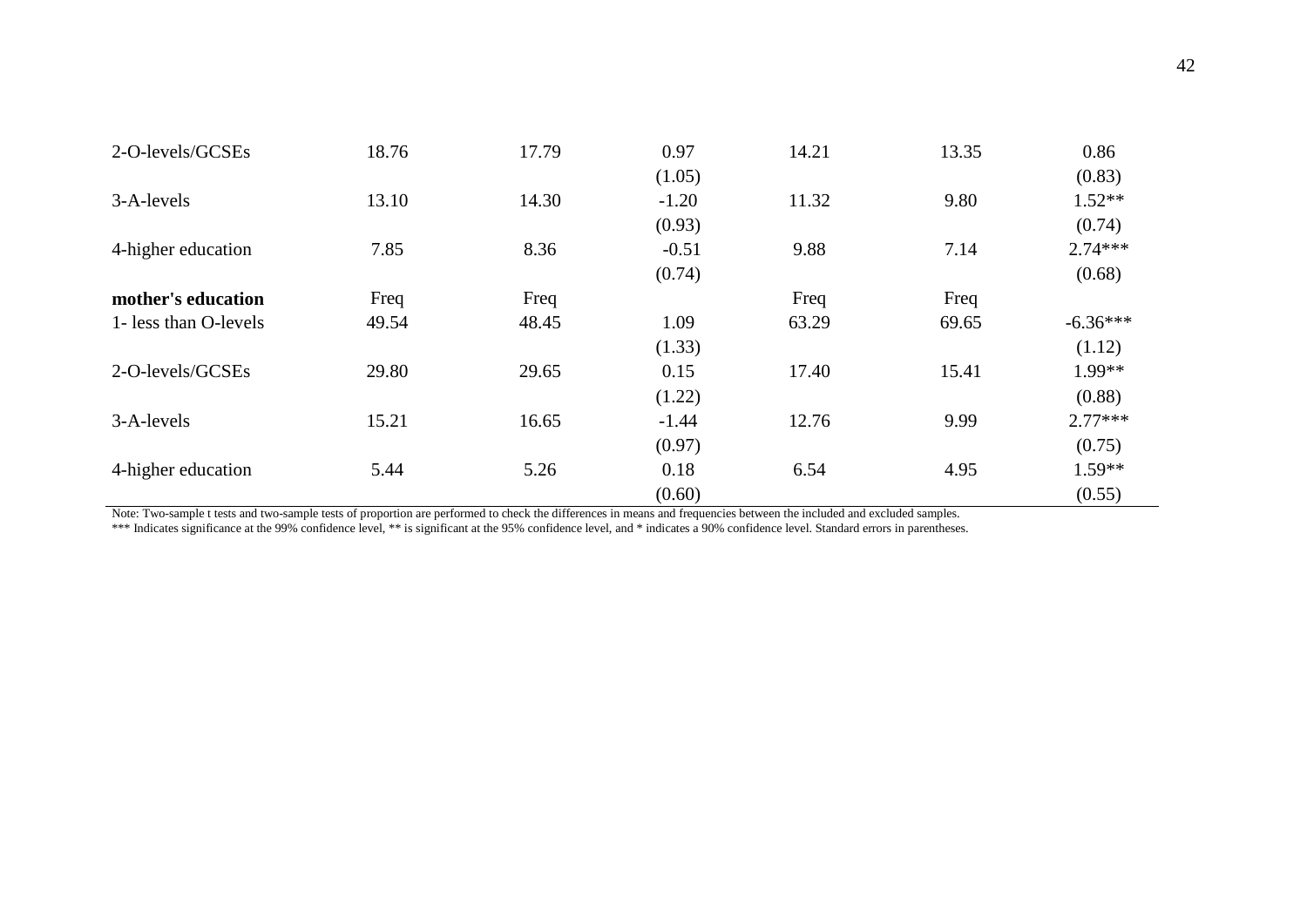| 2-O-levels/GCSEs      | 18.76 | 17.79 | 0.97    | 14.21 | 13.35 | 0.86       |
|-----------------------|-------|-------|---------|-------|-------|------------|
|                       |       |       | (1.05)  |       |       | (0.83)     |
| 3-A-levels            | 13.10 | 14.30 | $-1.20$ | 11.32 | 9.80  | $1.52**$   |
|                       |       |       | (0.93)  |       |       | (0.74)     |
| 4-higher education    | 7.85  | 8.36  | $-0.51$ | 9.88  | 7.14  | $2.74***$  |
|                       |       |       | (0.74)  |       |       | (0.68)     |
| mother's education    | Freq  | Freq  |         | Freq  | Freq  |            |
| 1- less than O-levels | 49.54 | 48.45 | 1.09    | 63.29 | 69.65 | $-6.36***$ |
|                       |       |       | (1.33)  |       |       | (1.12)     |
| 2-O-levels/GCSEs      | 29.80 | 29.65 | 0.15    | 17.40 | 15.41 | 1.99**     |
|                       |       |       | (1.22)  |       |       | (0.88)     |
| 3-A-levels            | 15.21 | 16.65 | $-1.44$ | 12.76 | 9.99  | $2.77***$  |
|                       |       |       | (0.97)  |       |       | (0.75)     |
| 4-higher education    | 5.44  | 5.26  | 0.18    | 6.54  | 4.95  | $1.59**$   |
|                       |       |       | (0.60)  |       |       | (0.55)     |

Note: Two-sample t tests and two-sample tests of proportion are performed to check the differences in means and frequencies between the included and excluded samples.

\*\*\* Indicates significance at the 99% confidence level, \*\* is significant at the 95% confidence level, and \* indicates a 90% confidence level. Standard errors in parentheses.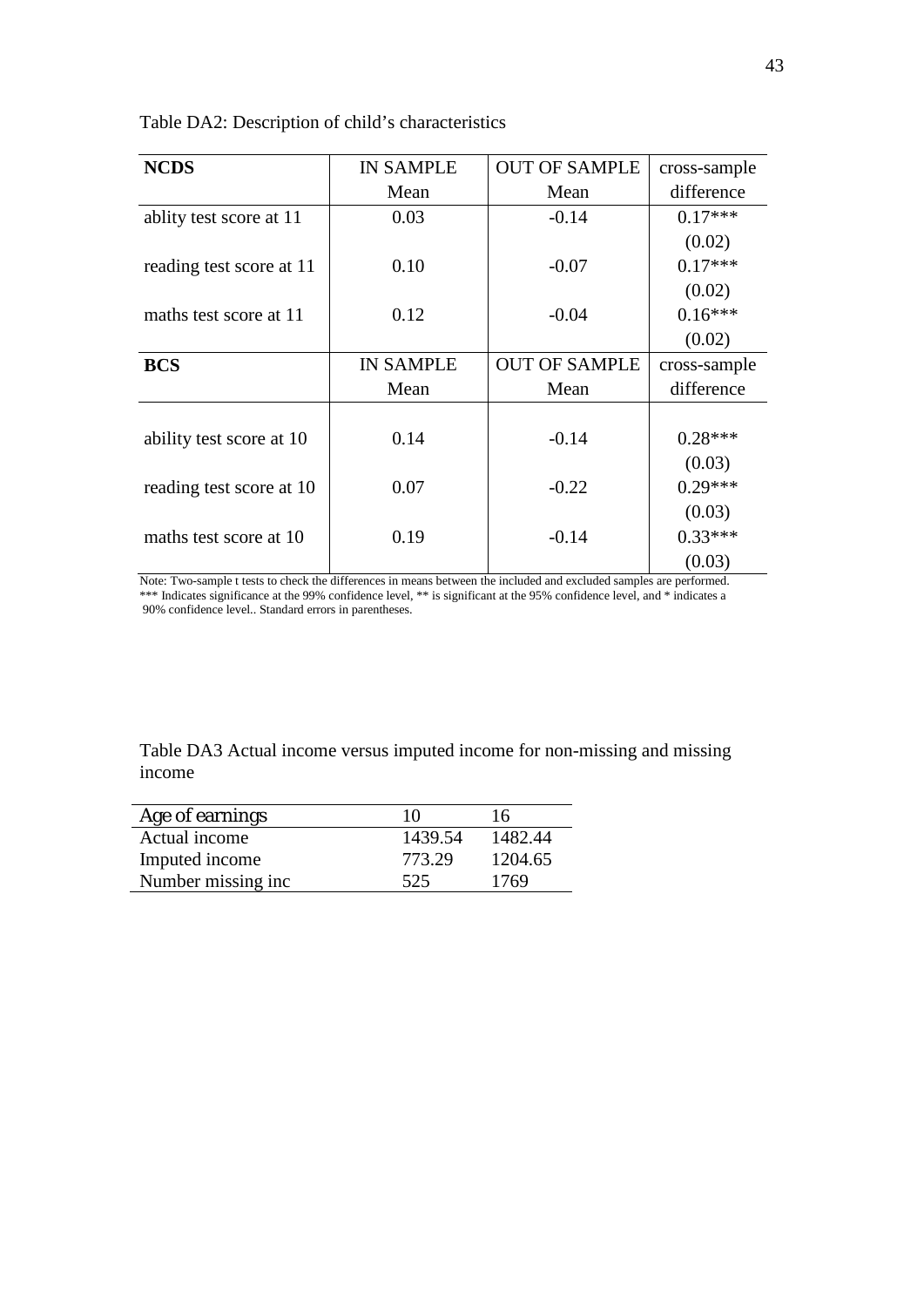Table DA2: Description of child's characteristics

| <b>NCDS</b>              | <b>IN SAMPLE</b> | <b>OUT OF SAMPLE</b> | cross-sample |
|--------------------------|------------------|----------------------|--------------|
|                          | Mean             | Mean                 | difference   |
| ablity test score at 11  | 0.03             | $-0.14$              | $0.17***$    |
|                          |                  |                      | (0.02)       |
| reading test score at 11 | 0.10             | $-0.07$              | $0.17***$    |
|                          |                  |                      | (0.02)       |
| maths test score at 11   | 0.12             | $-0.04$              | $0.16***$    |
|                          |                  |                      | (0.02)       |
| <b>BCS</b>               | <b>IN SAMPLE</b> | <b>OUT OF SAMPLE</b> | cross-sample |
|                          | Mean             | Mean                 | difference   |
|                          |                  |                      |              |
| ability test score at 10 | 0.14             | $-0.14$              | $0.28***$    |
|                          |                  |                      | (0.03)       |
| reading test score at 10 | 0.07             | $-0.22$              | $0.29***$    |
|                          |                  |                      | (0.03)       |
| maths test score at 10   | 0.19             | $-0.14$              | $0.33***$    |
|                          |                  |                      | (0.03)       |

Note: Two-sample t tests to check the differences in means between the included and excluded samples are performed. \*\*\* Indicates significance at the 99% confidence level, \*\* is significant at the 95% confidence level, and \* indicates a 90% confidence level.. Standard errors in parentheses.

Table DA3 Actual income versus imputed income for non-missing and missing income

| Age of earnings    | 10      | 16      |
|--------------------|---------|---------|
| Actual income      | 1439.54 | 1482.44 |
| Imputed income     | 773.29  | 1204.65 |
| Number missing inc | 525     | 1769    |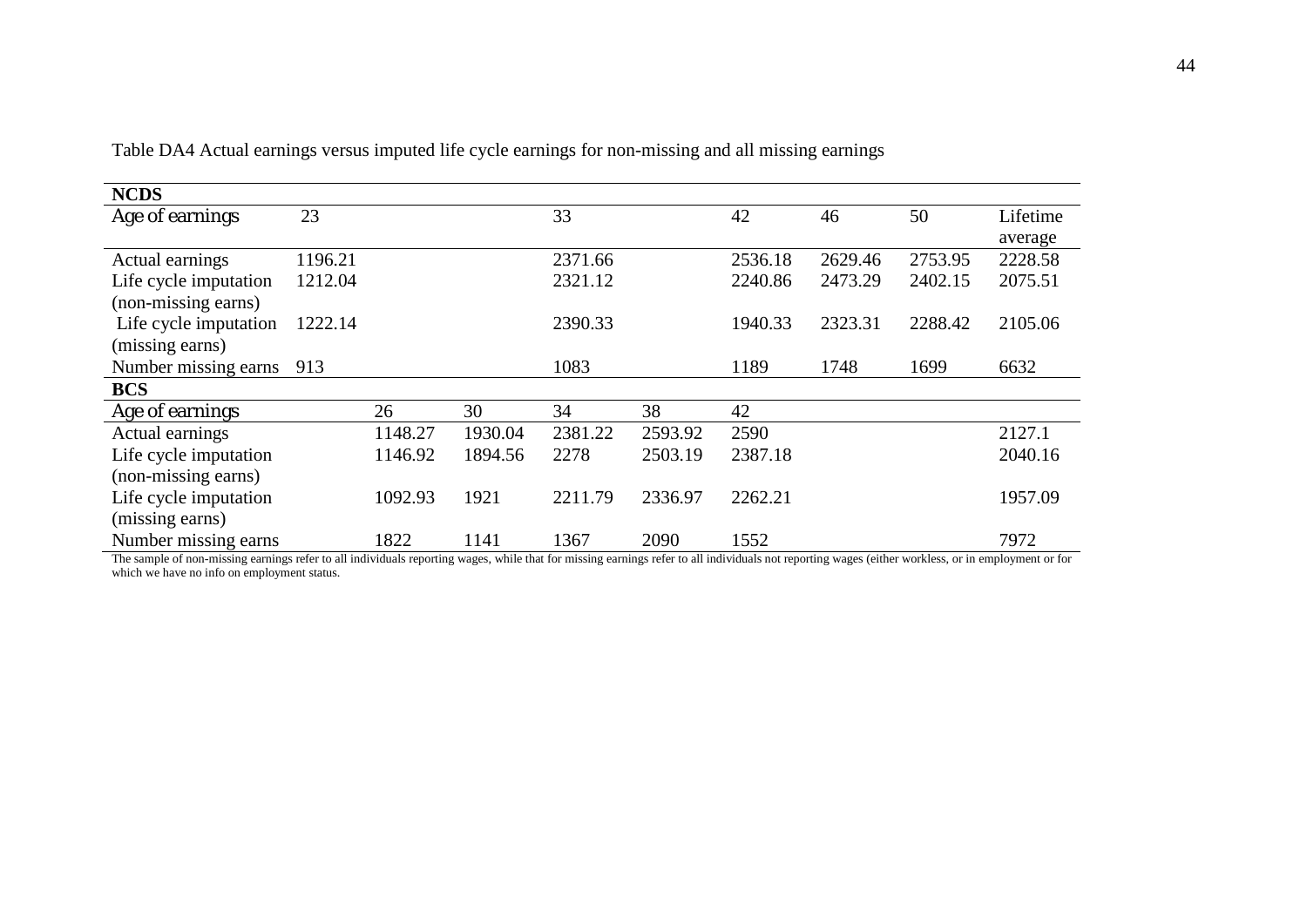| <b>NCDS</b>           |         |         |         |         |         |         |         |         |          |
|-----------------------|---------|---------|---------|---------|---------|---------|---------|---------|----------|
| Age of earnings       | 23      |         |         | 33      |         | 42      | 46      | 50      | Lifetime |
|                       |         |         |         |         |         |         |         |         | average  |
| Actual earnings       | 1196.21 |         |         | 2371.66 |         | 2536.18 | 2629.46 | 2753.95 | 2228.58  |
| Life cycle imputation | 1212.04 |         |         | 2321.12 |         | 2240.86 | 2473.29 | 2402.15 | 2075.51  |
| (non-missing earns)   |         |         |         |         |         |         |         |         |          |
| Life cycle imputation | 1222.14 |         |         | 2390.33 |         | 1940.33 | 2323.31 | 2288.42 | 2105.06  |
| (missing earns)       |         |         |         |         |         |         |         |         |          |
| Number missing earns  | 913     |         |         | 1083    |         | 1189    | 1748    | 1699    | 6632     |
| <b>BCS</b>            |         |         |         |         |         |         |         |         |          |
| Age of earnings       |         | 26      | 30      | 34      | 38      | 42      |         |         |          |
| Actual earnings       |         | 1148.27 | 1930.04 | 2381.22 | 2593.92 | 2590    |         |         | 2127.1   |
| Life cycle imputation |         | 1146.92 | 1894.56 | 2278    | 2503.19 | 2387.18 |         |         | 2040.16  |
| (non-missing earns)   |         |         |         |         |         |         |         |         |          |
| Life cycle imputation |         | 1092.93 | 1921    | 2211.79 | 2336.97 | 2262.21 |         |         | 1957.09  |
| (missing earns)       |         |         |         |         |         |         |         |         |          |
| Number missing earns  |         | 1822    | 1141    | 1367    | 2090    | 1552    |         |         | 7972     |

Table DA4 Actual earnings versus imputed life cycle earnings for non-missing and all missing earnings

The sample of non-missing earnings refer to all individuals reporting wages, while that for missing earnings refer to all individuals not reporting wages (either workless, or in employment or for which we have no info on employment status.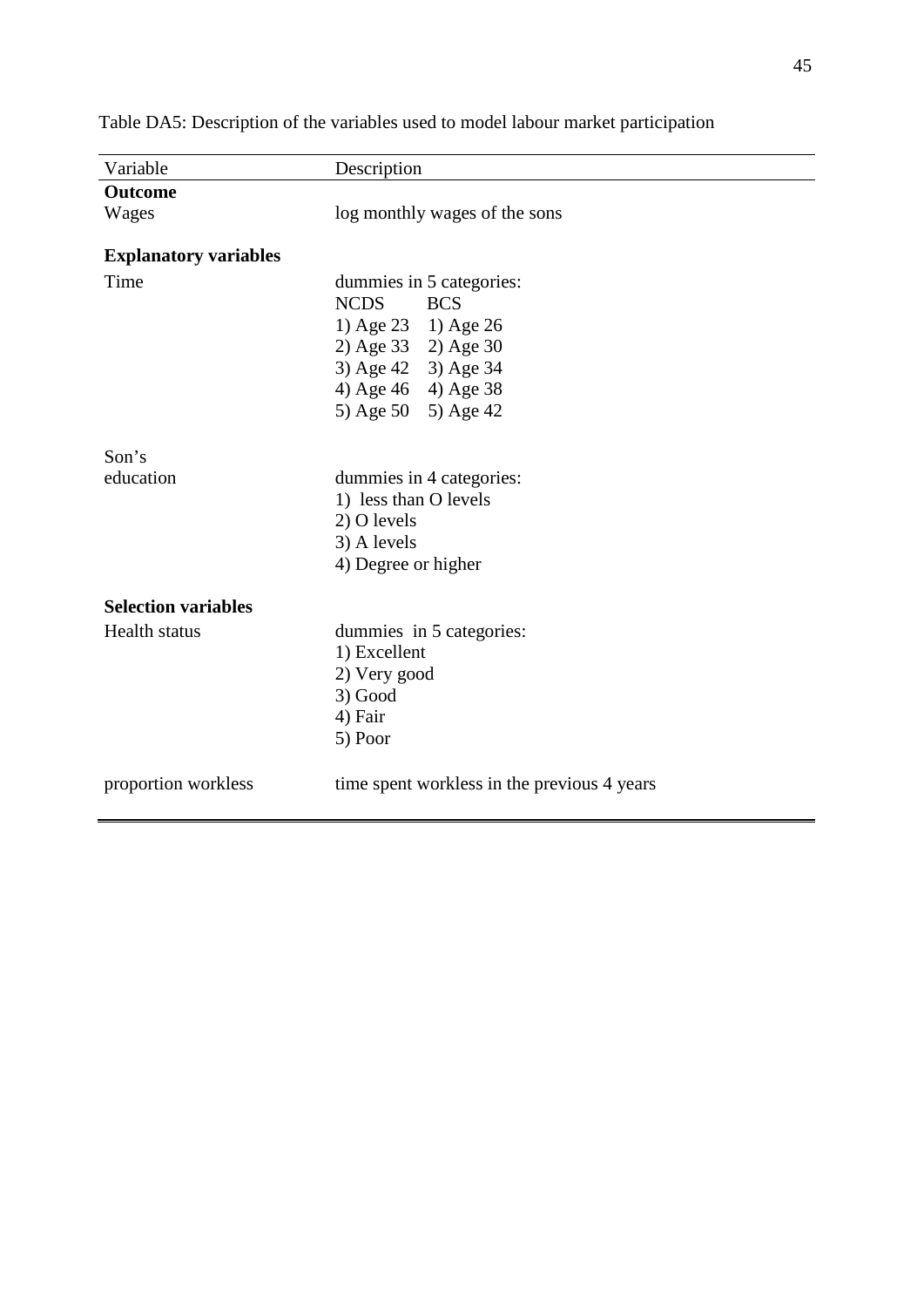| <b>Outcome</b>               |                                             |  |  |  |  |  |
|------------------------------|---------------------------------------------|--|--|--|--|--|
|                              |                                             |  |  |  |  |  |
| Wages                        | log monthly wages of the sons               |  |  |  |  |  |
| <b>Explanatory variables</b> |                                             |  |  |  |  |  |
| Time                         | dummies in 5 categories:                    |  |  |  |  |  |
|                              | <b>NCDS</b><br><b>BCS</b>                   |  |  |  |  |  |
|                              | 1) Age 23 1) Age 26                         |  |  |  |  |  |
|                              | 2) Age 33 2) Age 30                         |  |  |  |  |  |
|                              | 3) Age 42 3) Age 34                         |  |  |  |  |  |
|                              | 4) Age 46 4) Age 38                         |  |  |  |  |  |
|                              | 5) Age 50 5) Age 42                         |  |  |  |  |  |
| Son's                        |                                             |  |  |  |  |  |
| education                    | dummies in 4 categories:                    |  |  |  |  |  |
|                              | 1) less than O levels                       |  |  |  |  |  |
|                              | 2) O levels                                 |  |  |  |  |  |
|                              | 3) A levels                                 |  |  |  |  |  |
|                              | 4) Degree or higher                         |  |  |  |  |  |
| <b>Selection variables</b>   |                                             |  |  |  |  |  |
| <b>Health</b> status         | dummies in 5 categories:                    |  |  |  |  |  |
|                              | 1) Excellent                                |  |  |  |  |  |
|                              | 2) Very good                                |  |  |  |  |  |
|                              | 3) Good                                     |  |  |  |  |  |
|                              | 4) Fair                                     |  |  |  |  |  |
|                              | 5) Poor                                     |  |  |  |  |  |
| proportion workless          | time spent workless in the previous 4 years |  |  |  |  |  |

Table DA5: Description of the variables used to model labour market participation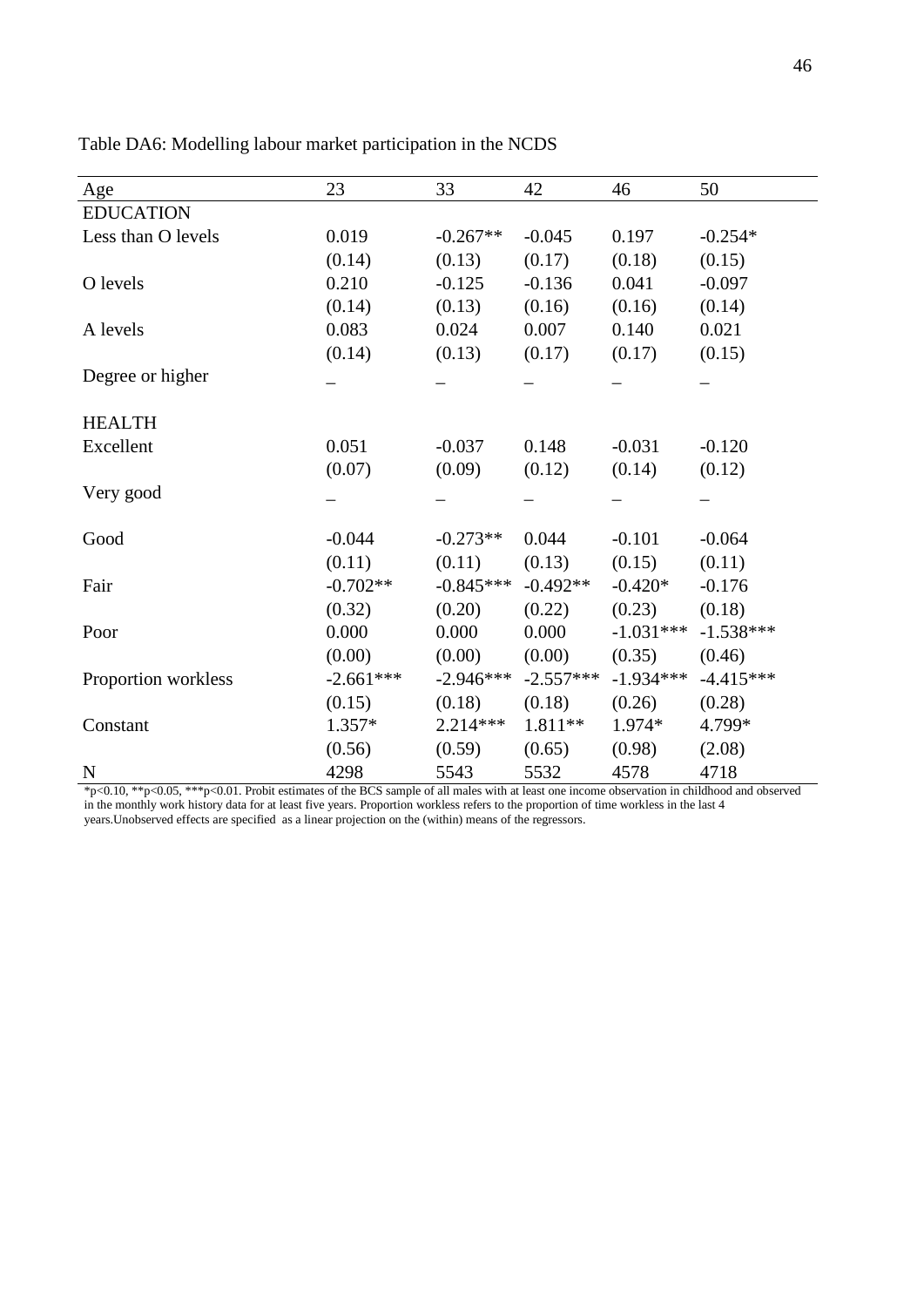| Age                 | 23          | 33          | 42          | 46          | 50          |
|---------------------|-------------|-------------|-------------|-------------|-------------|
| <b>EDUCATION</b>    |             |             |             |             |             |
| Less than O levels  | 0.019       | $-0.267**$  | $-0.045$    | 0.197       | $-0.254*$   |
|                     | (0.14)      | (0.13)      | (0.17)      | (0.18)      | (0.15)      |
| O levels            | 0.210       | $-0.125$    | $-0.136$    | 0.041       | $-0.097$    |
|                     | (0.14)      | (0.13)      | (0.16)      | (0.16)      | (0.14)      |
| A levels            | 0.083       | 0.024       | 0.007       | 0.140       | 0.021       |
|                     | (0.14)      | (0.13)      | (0.17)      | (0.17)      | (0.15)      |
| Degree or higher    |             |             |             |             |             |
|                     |             |             |             |             |             |
| <b>HEALTH</b>       |             |             |             |             |             |
| Excellent           | 0.051       | $-0.037$    | 0.148       | $-0.031$    | $-0.120$    |
|                     | (0.07)      | (0.09)      | (0.12)      | (0.14)      | (0.12)      |
| Very good           |             |             |             |             |             |
|                     |             |             |             |             |             |
| Good                | $-0.044$    | $-0.273**$  | 0.044       | $-0.101$    | $-0.064$    |
|                     | (0.11)      | (0.11)      | (0.13)      | (0.15)      | (0.11)      |
| Fair                | $-0.702**$  | $-0.845***$ | $-0.492**$  | $-0.420*$   | $-0.176$    |
|                     | (0.32)      | (0.20)      | (0.22)      | (0.23)      | (0.18)      |
| Poor                | 0.000       | 0.000       | 0.000       | $-1.031***$ | $-1.538***$ |
|                     | (0.00)      | (0.00)      | (0.00)      | (0.35)      | (0.46)      |
| Proportion workless | $-2.661***$ | $-2.946***$ | $-2.557***$ | $-1.934***$ | $-4.415***$ |
|                     | (0.15)      | (0.18)      | (0.18)      | (0.26)      | (0.28)      |
| Constant            | $1.357*$    | $2.214***$  | 1.811**     | 1.974*      | 4.799*      |
|                     | (0.56)      | (0.59)      | (0.65)      | (0.98)      | (2.08)      |
| $\mathbf N$         | 4298        | 5543        | 5532        | 4578        | 4718        |

Table DA6: Modelling labour market participation in the NCDS

\*p<0.10, \*\*p<0.05, \*\*\*p<0.01. Probit estimates of the BCS sample of all males with at least one income observation in childhood and observed in the monthly work history data for at least five years. Proportion workless refers to the proportion of time workless in the last 4 years.Unobserved effects are specified as a linear projection on the (within) means of the regressors.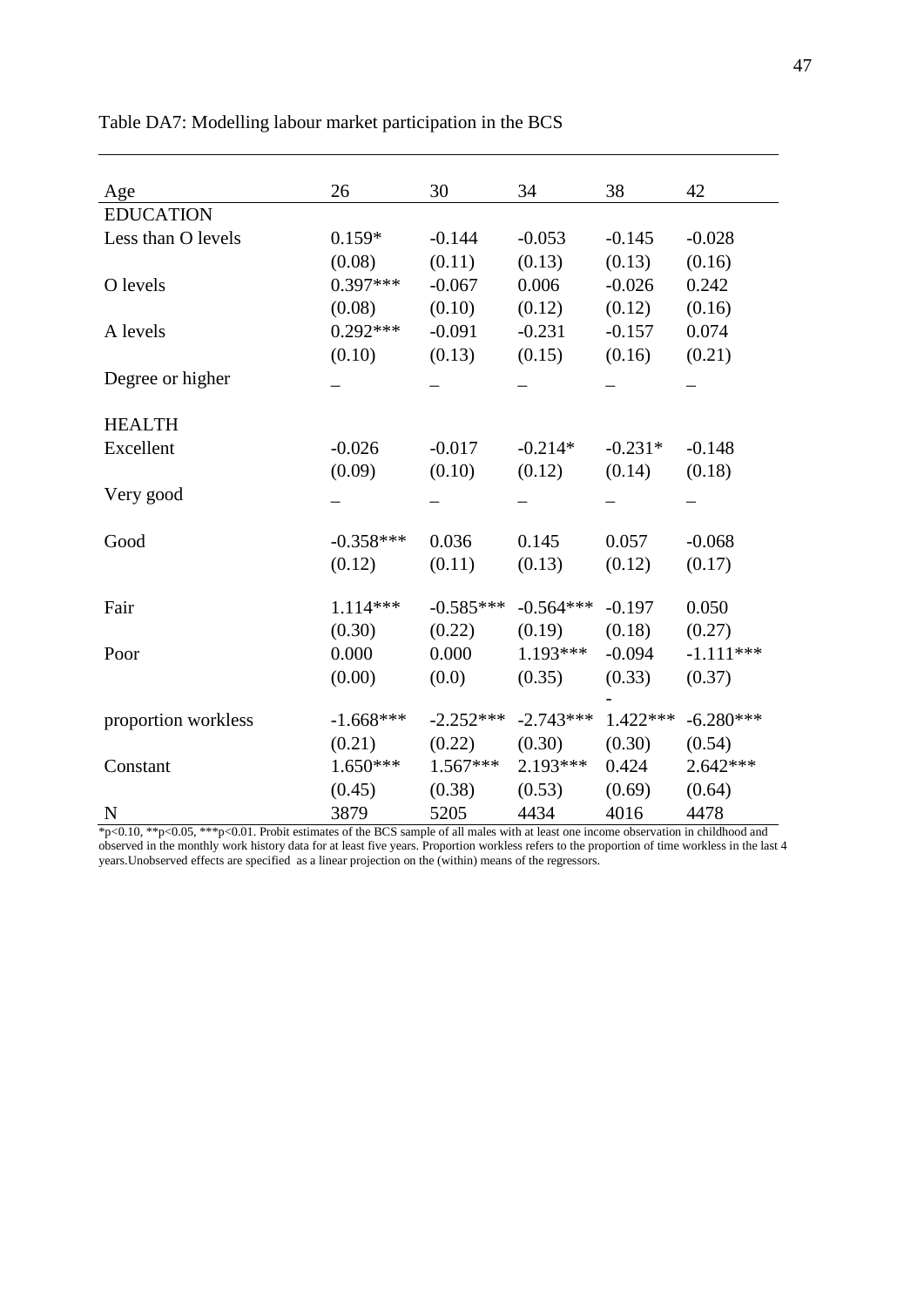| Age                 | 26          | 30          | 34          | 38         | 42          |
|---------------------|-------------|-------------|-------------|------------|-------------|
| <b>EDUCATION</b>    |             |             |             |            |             |
| Less than O levels  | $0.159*$    | $-0.144$    | $-0.053$    | $-0.145$   | $-0.028$    |
|                     | (0.08)      | (0.11)      | (0.13)      | (0.13)     | (0.16)      |
| O levels            | $0.397***$  | $-0.067$    | 0.006       | $-0.026$   | 0.242       |
|                     | (0.08)      | (0.10)      | (0.12)      | (0.12)     | (0.16)      |
| A levels            | $0.292***$  | $-0.091$    | $-0.231$    | $-0.157$   | 0.074       |
|                     | (0.10)      | (0.13)      | (0.15)      | (0.16)     | (0.21)      |
| Degree or higher    |             |             |             |            |             |
| <b>HEALTH</b>       |             |             |             |            |             |
| Excellent           | $-0.026$    | $-0.017$    | $-0.214*$   | $-0.231*$  | $-0.148$    |
|                     | (0.09)      | (0.10)      | (0.12)      | (0.14)     | (0.18)      |
| Very good           |             |             |             |            |             |
| Good                | $-0.358***$ | 0.036       | 0.145       | 0.057      | $-0.068$    |
|                     | (0.12)      | (0.11)      | (0.13)      | (0.12)     | (0.17)      |
| Fair                | $1.114***$  | $-0.585***$ | $-0.564***$ | $-0.197$   | 0.050       |
|                     | (0.30)      | (0.22)      | (0.19)      | (0.18)     | (0.27)      |
| Poor                | 0.000       | 0.000       | 1.193***    | $-0.094$   | $-1.111***$ |
|                     | (0.00)      | (0.0)       | (0.35)      | (0.33)     | (0.37)      |
| proportion workless | $-1.668***$ | $-2.252***$ | $-2.743***$ | $1.422***$ | $-6.280***$ |
|                     | (0.21)      | (0.22)      | (0.30)      | (0.30)     | (0.54)      |
| Constant            | $1.650***$  | $1.567***$  | 2.193***    | 0.424      | $2.642***$  |
|                     | (0.45)      | (0.38)      | (0.53)      | (0.69)     | (0.64)      |
| $\mathbf N$         | 3879        | 5205        | 4434        | 4016       | 4478        |

Table DA7: Modelling labour market participation in the BCS

\*p<0.10, \*\*p<0.05, \*\*\*p<0.01. Probit estimates of the BCS sample of all males with at least one income observation in childhood and observed in the monthly work history data for at least five years. Proportion workless refers to the proportion of time workless in the last 4 years.Unobserved effects are specified as a linear projection on the (within) means of the regressors.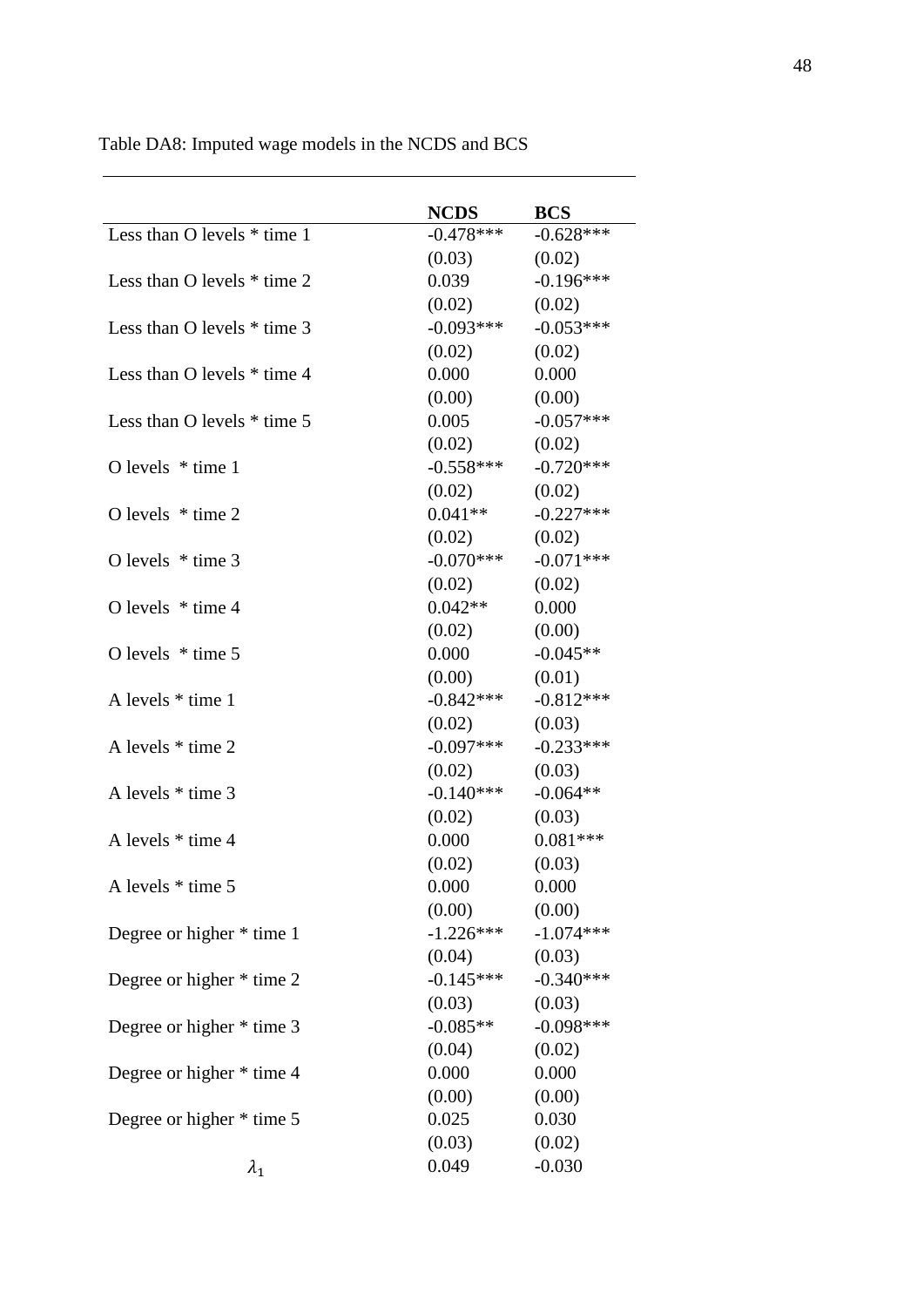|                               | <b>NCDS</b> | <b>BCS</b>  |
|-------------------------------|-------------|-------------|
| Less than O levels * time 1   | $-0.478***$ | $-0.628***$ |
|                               | (0.03)      | (0.02)      |
| Less than O levels $*$ time 2 | 0.039       | $-0.196***$ |
|                               | (0.02)      | (0.02)      |
| Less than O levels $*$ time 3 | $-0.093***$ | $-0.053***$ |
|                               | (0.02)      | (0.02)      |
| Less than O levels $*$ time 4 | 0.000       | 0.000       |
|                               | (0.00)      | (0.00)      |
| Less than O levels $*$ time 5 | 0.005       | $-0.057***$ |
|                               | (0.02)      | (0.02)      |
| O levels $*$ time 1           | $-0.558***$ | $-0.720***$ |
|                               | (0.02)      | (0.02)      |
| O levels $*$ time 2           | $0.041**$   | $-0.227***$ |
|                               | (0.02)      | (0.02)      |
| O levels $*$ time 3           | $-0.070***$ | $-0.071***$ |
|                               | (0.02)      | (0.02)      |
| O levels $*$ time 4           | $0.042**$   | 0.000       |
|                               | (0.02)      | (0.00)      |
| O levels $*$ time 5           | 0.000       | $-0.045**$  |
|                               | (0.00)      | (0.01)      |
| A levels * time 1             | $-0.842***$ | $-0.812***$ |
|                               | (0.02)      | (0.03)      |
| A levels * time 2             | $-0.097***$ | $-0.233***$ |
|                               | (0.02)      | (0.03)      |
| A levels * time 3             | $-0.140***$ | $-0.064**$  |
|                               | (0.02)      | (0.03)      |
| A levels * time 4             | 0.000       | $0.081***$  |
|                               | (0.02)      | (0.03)      |
| A levels * time 5             | 0.000       | 0.000       |
|                               | (0.00)      | (0.00)      |
| Degree or higher * time 1     | $-1.226***$ | $-1.074***$ |
|                               | (0.04)      | (0.03)      |
| Degree or higher * time 2     | $-0.145***$ | $-0.340***$ |
|                               | (0.03)      | (0.03)      |
| Degree or higher * time 3     | $-0.085**$  | $-0.098***$ |
|                               | (0.04)      | (0.02)      |
| Degree or higher * time 4     | 0.000       | 0.000       |
|                               | (0.00)      | (0.00)      |
| Degree or higher * time 5     | 0.025       | 0.030       |
|                               | (0.03)      | (0.02)      |
| $\lambda_1$                   | 0.049       | $-0.030$    |

Table DA8: Imputed wage models in the NCDS and BCS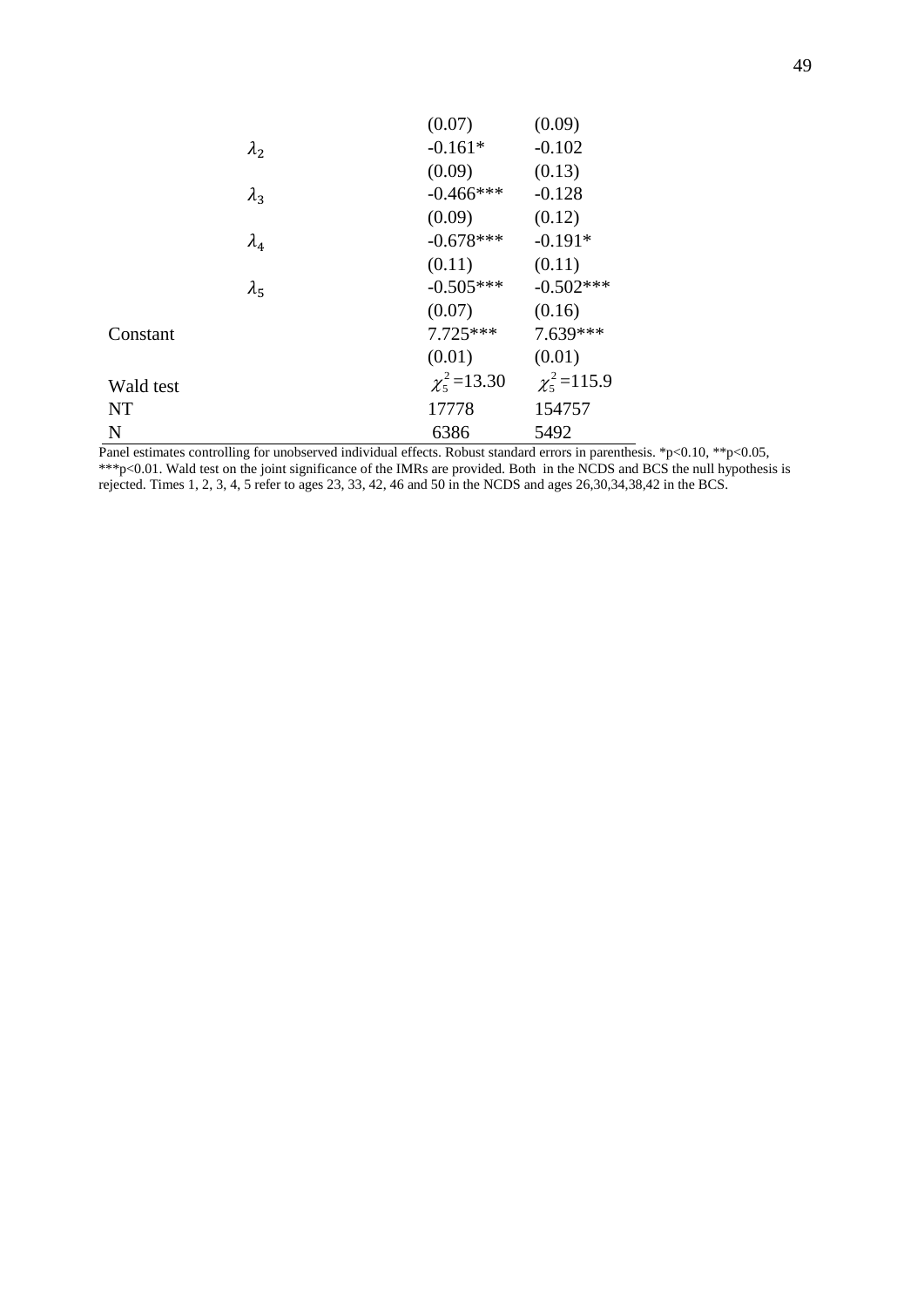|               | (0.07)             | (0.09)           |
|---------------|--------------------|------------------|
| $\lambda_2$   | $-0.161*$          | $-0.102$         |
|               | (0.09)             | (0.13)           |
| $\lambda_3$   | $-0.466$ ***       | $-0.128$         |
|               | (0.09)             | (0.12)           |
| $\lambda_4$   | $-0.678***$        | $-0.191*$        |
|               | (0.11)             | (0.11)           |
| $\lambda_{5}$ | $-0.505***$        | $-0.502***$      |
|               | (0.07)             | (0.16)           |
| Constant      | $7.725***$         | $7.639***$       |
|               | (0.01)             | (0.01)           |
| Wald test     | $\chi^2_5$ = 13.30 | $\chi^2$ = 115.9 |
| <b>NT</b>     | 17778              | 154757           |
| N             | 6386               | 5492             |

Panel estimates controlling for unobserved individual effects. Robust standard errors in parenthesis. \*p<0.10, \*\*p<0.05, \*\*\*p<0.01. Wald test on the joint significance of the IMRs are provided. Both in the NCDS and BCS the null hypothesis is rejected. Times 1, 2, 3, 4, 5 refer to ages 23, 33, 42, 46 and 50 in the NCDS and ages 26,30,34,38,42 in the BCS.